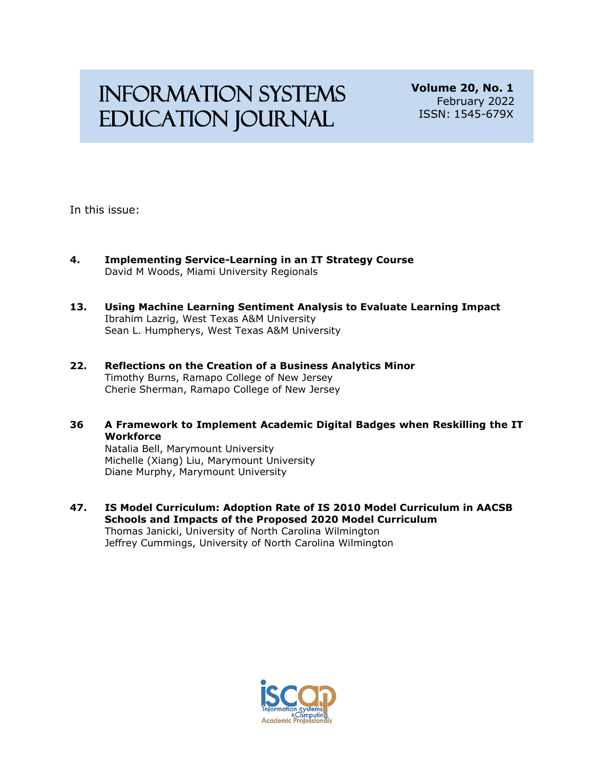# Information Systems Education Journal

**Volume 20, No. 1** February 2022 ISSN: 1545-679X

In this issue:

- **4. Implementing Service-Learning in an IT Strategy Course** David M Woods, Miami University Regionals
- **13. Using Machine Learning Sentiment Analysis to Evaluate Learning Impact** Ibrahim Lazrig, West Texas A&M University Sean L. Humpherys, West Texas A&M University
- **22. Reflections on the Creation of a Business Analytics Minor** Timothy Burns, Ramapo College of New Jersey Cherie Sherman, Ramapo College of New Jersey
- **36 A Framework to Implement Academic Digital Badges when Reskilling the IT Workforce**

Natalia Bell, Marymount University Michelle (Xiang) Liu, Marymount University Diane Murphy, Marymount University

**47. IS Model Curriculum: Adoption Rate of IS 2010 Model Curriculum in AACSB Schools and Impacts of the Proposed 2020 Model Curriculum**  Thomas Janicki, University of North Carolina Wilmington Jeffrey Cummings, University of North Carolina Wilmington

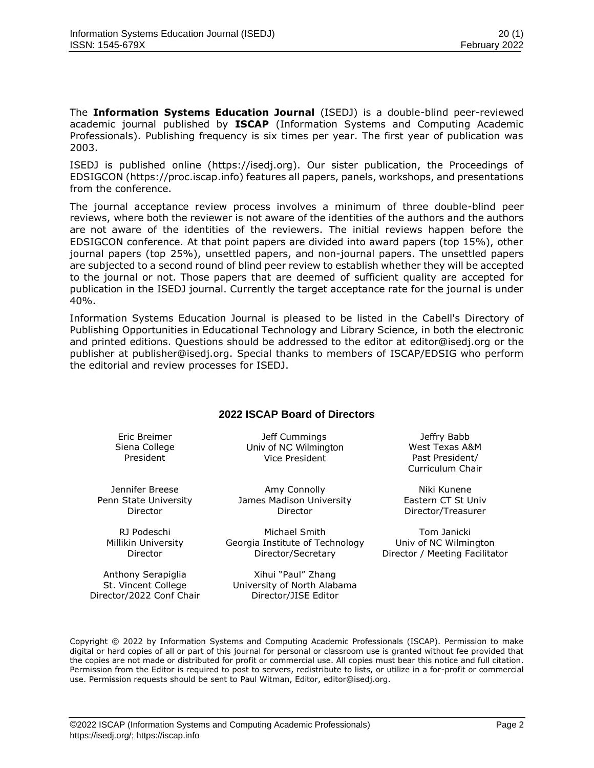The **Information Systems Education Journal** (ISEDJ) is a double-blind peer-reviewed academic journal published by **ISCAP** (Information Systems and Computing Academic Professionals). Publishing frequency is six times per year. The first year of publication was 2003.

ISEDJ is published online (https://isedj.org). Our sister publication, the Proceedings of EDSIGCON (https://proc.iscap.info) features all papers, panels, workshops, and presentations from the conference.

The journal acceptance review process involves a minimum of three double-blind peer reviews, where both the reviewer is not aware of the identities of the authors and the authors are not aware of the identities of the reviewers. The initial reviews happen before the EDSIGCON conference. At that point papers are divided into award papers (top 15%), other journal papers (top 25%), unsettled papers, and non-journal papers. The unsettled papers are subjected to a second round of blind peer review to establish whether they will be accepted to the journal or not. Those papers that are deemed of sufficient quality are accepted for publication in the ISEDJ journal. Currently the target acceptance rate for the journal is under 40%.

Information Systems Education Journal is pleased to be listed in the [Cabell's Directory of](http://www.cabells.com/) [Publishing Opportunities in Educational Technology and Library Science, i](http://www.cabells.com/)n both the electronic and printed editions. Questions should be addressed to the editor at [editor@isedj.org](mailto:editor@isedj.org) or the publisher at [publisher@isedj.org.](mailto:publisher@isedj.org) Special thanks to members of ISCAP/EDSIG who perform the editorial and review processes for ISEDJ.

# **2022 ISCAP Board of Directors**

Eric Breimer Siena College President

Jeff Cummings Univ of NC Wilmington Vice President

Jennifer Breese Penn State University Director

RJ Podeschi Millikin University Director

Anthony Serapiglia St. Vincent College Director/2022 Conf Chair

Amy Connolly James Madison University Director

Michael Smith Georgia Institute of Technology Director/Secretary

Xihui "Paul" Zhang University of North Alabama Director/JISE Editor

Jeffry Babb West Texas A&M Past President/ Curriculum Chair

Niki Kunene Eastern CT St Univ Director/Treasurer

Tom Janicki Univ of NC Wilmington Director / Meeting Facilitator

Copyright © 2022 by Information Systems and Computing Academic Professionals (ISCAP). Permission to make digital or hard copies of all or part of this journal for personal or classroom use is granted without fee provided that the copies are not made or distributed for profit or commercial use. All copies must bear this notice and full citation. Permission from the Editor is required to post to servers, redistribute to lists, or utilize in a for-profit or commercial use. Permission requests should be sent to Paul Witman, Editor, editor@isedj.org.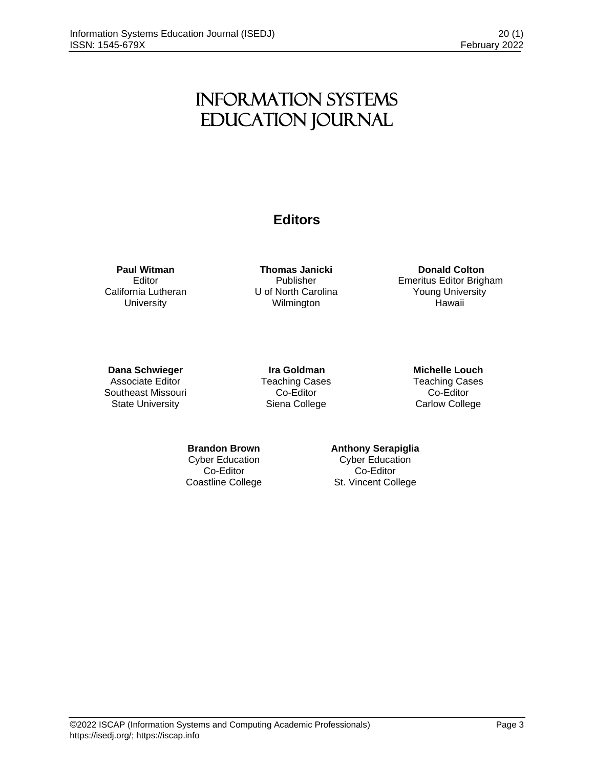# Information Systems Education Journal

# **Editors**

**Paul Witman** Editor California Lutheran **University** 

**Thomas Janicki** Publisher U of North Carolina Wilmington

**Donald Colton** Emeritus Editor Brigham Young University Hawaii

# **Dana Schwieger**

Associate Editor Southeast Missouri State University

**Ira Goldman** Teaching Cases Co-Editor Siena College

**Michelle Louch**  Teaching Cases Co-Editor Carlow College

**Brandon Brown** Cyber Education Co-Editor Coastline College

# **Anthony Serapiglia**

Cyber Education Co-Editor St. Vincent College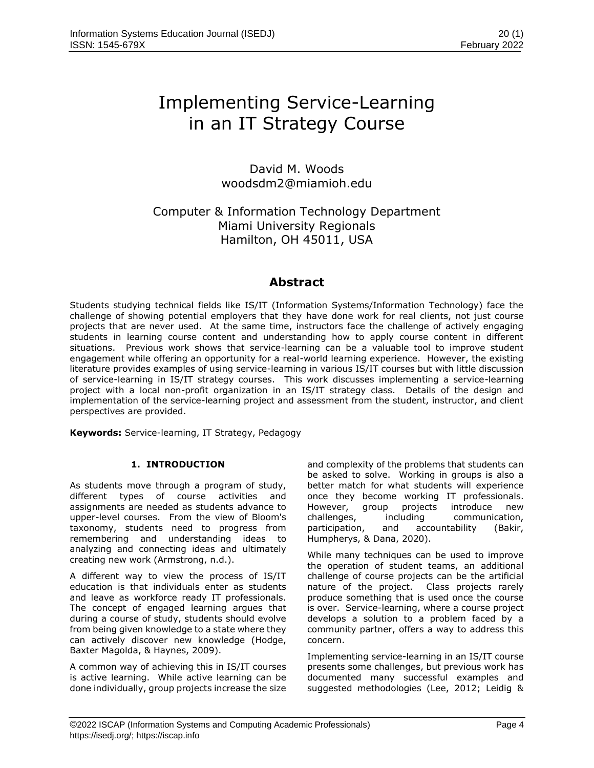# Implementing Service-Learning in an IT Strategy Course

David M. Woods woodsdm2@miamioh.edu

Computer & Information Technology Department Miami University Regionals Hamilton, OH 45011, USA

# **Abstract**

Students studying technical fields like IS/IT (Information Systems/Information Technology) face the challenge of showing potential employers that they have done work for real clients, not just course projects that are never used. At the same time, instructors face the challenge of actively engaging students in learning course content and understanding how to apply course content in different situations. Previous work shows that service-learning can be a valuable tool to improve student engagement while offering an opportunity for a real-world learning experience. However, the existing literature provides examples of using service-learning in various IS/IT courses but with little discussion of service-learning in IS/IT strategy courses. This work discusses implementing a service-learning project with a local non-profit organization in an IS/IT strategy class. Details of the design and implementation of the service-learning project and assessment from the student, instructor, and client perspectives are provided.

**Keywords:** Service-learning, IT Strategy, Pedagogy

# **1. INTRODUCTION**

As students move through a program of study, different types of course activities and assignments are needed as students advance to upper-level courses. From the view of Bloom's taxonomy, students need to progress from remembering and understanding ideas to analyzing and connecting ideas and ultimately creating new work (Armstrong, n.d.).

A different way to view the process of IS/IT education is that individuals enter as students and leave as workforce ready IT professionals. The concept of engaged learning argues that during a course of study, students should evolve from being given knowledge to a state where they can actively discover new knowledge (Hodge, Baxter Magolda, & Haynes, 2009).

A common way of achieving this in IS/IT courses is active learning. While active learning can be done individually, group projects increase the size and complexity of the problems that students can be asked to solve. Working in groups is also a better match for what students will experience once they become working IT professionals. However, group projects introduce new challenges, including communication, participation, and accountability (Bakir, Humpherys, & Dana, 2020).

While many techniques can be used to improve the operation of student teams, an additional challenge of course projects can be the artificial nature of the project. Class projects rarely produce something that is used once the course is over. Service-learning, where a course project develops a solution to a problem faced by a community partner, offers a way to address this concern.

Implementing service-learning in an IS/IT course presents some challenges, but previous work has documented many successful examples and suggested methodologies (Lee, 2012; Leidig &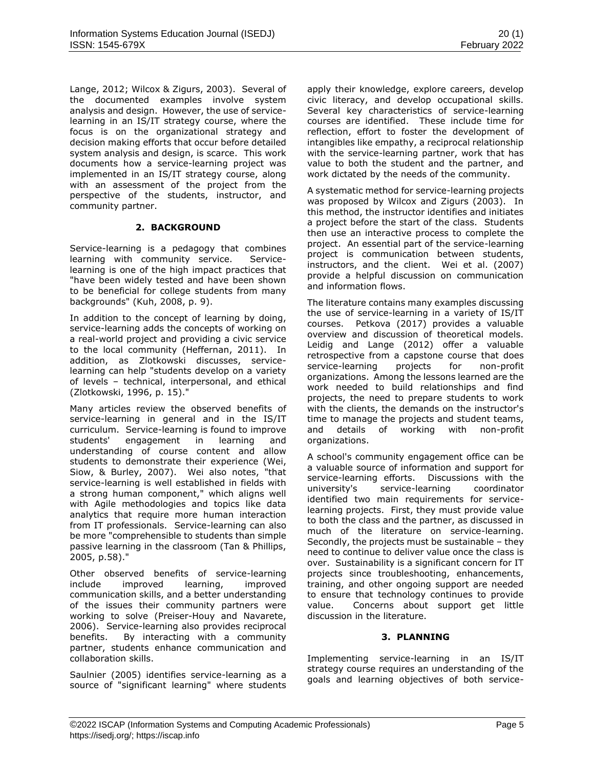Lange, 2012; Wilcox & Zigurs, 2003). Several of the documented examples involve system analysis and design. However, the use of servicelearning in an IS/IT strategy course, where the focus is on the organizational strategy and decision making efforts that occur before detailed system analysis and design, is scarce. This work documents how a service-learning project was implemented in an IS/IT strategy course, along with an assessment of the project from the perspective of the students, instructor, and community partner.

### **2. BACKGROUND**

Service-learning is a pedagogy that combines learning with community service. Servicelearning is one of the high impact practices that "have been widely tested and have been shown to be beneficial for college students from many backgrounds" (Kuh, 2008, p. 9).

In addition to the concept of learning by doing, service-learning adds the concepts of working on a real-world project and providing a civic service to the local community (Heffernan, 2011). In addition, as Zlotkowski discusses, servicelearning can help "students develop on a variety of levels – technical, interpersonal, and ethical (Zlotkowski, 1996, p. 15)."

Many articles review the observed benefits of service-learning in general and in the IS/IT curriculum. Service-learning is found to improve students' engagement in learning and understanding of course content and allow students to demonstrate their experience (Wei, Siow, & Burley, 2007). Wei also notes, "that service-learning is well established in fields with a strong human component," which aligns well with Agile methodologies and topics like data analytics that require more human interaction from IT professionals. Service-learning can also be more "comprehensible to students than simple passive learning in the classroom (Tan & Phillips, 2005, p.58)."

Other observed benefits of service-learning include improved learning, improved communication skills, and a better understanding of the issues their community partners were working to solve (Preiser-Houy and Navarete, 2006). Service-learning also provides reciprocal benefits. By interacting with a community partner, students enhance communication and collaboration skills.

Saulnier (2005) identifies service-learning as a source of "significant learning" where students apply their knowledge, explore careers, develop civic literacy, and develop occupational skills. Several key characteristics of service-learning courses are identified. These include time for reflection, effort to foster the development of intangibles like empathy, a reciprocal relationship with the service-learning partner, work that has value to both the student and the partner, and work dictated by the needs of the community.

A systematic method for service-learning projects was proposed by Wilcox and Zigurs (2003). In this method, the instructor identifies and initiates a project before the start of the class. Students then use an interactive process to complete the project. An essential part of the service-learning project is communication between students, instructors, and the client. Wei et al. (2007) provide a helpful discussion on communication and information flows.

The literature contains many examples discussing the use of service-learning in a variety of IS/IT courses. Petkova (2017) provides a valuable overview and discussion of theoretical models. Leidig and Lange (2012) offer a valuable retrospective from a capstone course that does service-learning projects for non-profit organizations. Among the lessons learned are the work needed to build relationships and find projects, the need to prepare students to work with the clients, the demands on the instructor's time to manage the projects and student teams, and details of working with non-profit organizations.

A school's community engagement office can be a valuable source of information and support for service-learning efforts. Discussions with the university's service-learning coordinator identified two main requirements for servicelearning projects. First, they must provide value to both the class and the partner, as discussed in much of the literature on service-learning. Secondly, the projects must be sustainable – they need to continue to deliver value once the class is over. Sustainability is a significant concern for IT projects since troubleshooting, enhancements, training, and other ongoing support are needed to ensure that technology continues to provide value. Concerns about support get little discussion in the literature.

### **3. PLANNING**

Implementing service-learning in an IS/IT strategy course requires an understanding of the goals and learning objectives of both service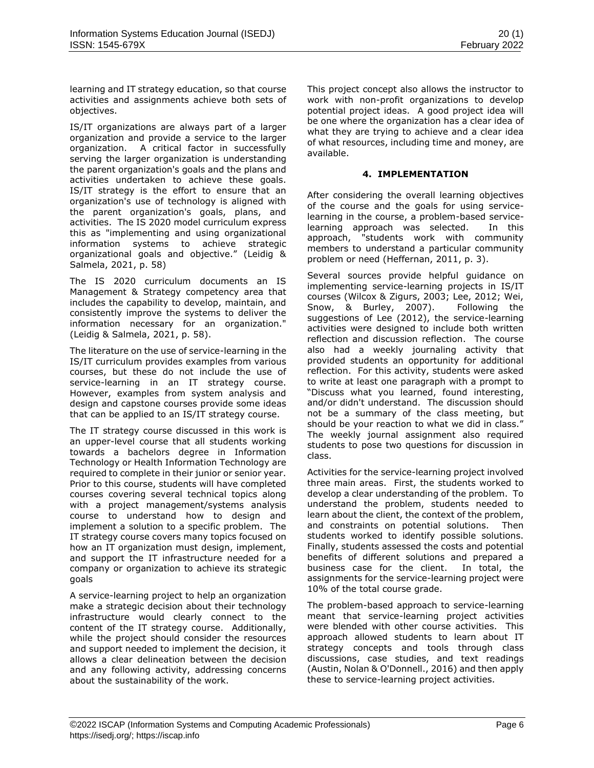learning and IT strategy education, so that course activities and assignments achieve both sets of objectives.

IS/IT organizations are always part of a larger organization and provide a service to the larger organization. A critical factor in successfully serving the larger organization is understanding the parent organization's goals and the plans and activities undertaken to achieve these goals. IS/IT strategy is the effort to ensure that an organization's use of technology is aligned with the parent organization's goals, plans, and activities. The IS 2020 model curriculum express this as "implementing and using organizational information systems to achieve strategic organizational goals and objective." (Leidig & Salmela, 2021, p. 58)

The IS 2020 curriculum documents an IS Management & Strategy competency area that includes the capability to develop, maintain, and consistently improve the systems to deliver the information necessary for an organization." (Leidig & Salmela, 2021, p. 58).

The literature on the use of service-learning in the IS/IT curriculum provides examples from various courses, but these do not include the use of service-learning in an IT strategy course. However, examples from system analysis and design and capstone courses provide some ideas that can be applied to an IS/IT strategy course.

The IT strategy course discussed in this work is an upper-level course that all students working towards a bachelors degree in Information Technology or Health Information Technology are required to complete in their junior or senior year. Prior to this course, students will have completed courses covering several technical topics along with a project management/systems analysis course to understand how to design and implement a solution to a specific problem. The IT strategy course covers many topics focused on how an IT organization must design, implement, and support the IT infrastructure needed for a company or organization to achieve its strategic goals

A service-learning project to help an organization make a strategic decision about their technology infrastructure would clearly connect to the content of the IT strategy course. Additionally, while the project should consider the resources and support needed to implement the decision, it allows a clear delineation between the decision and any following activity, addressing concerns about the sustainability of the work.

This project concept also allows the instructor to work with non-profit organizations to develop potential project ideas. A good project idea will be one where the organization has a clear idea of what they are trying to achieve and a clear idea of what resources, including time and money, are available.

# **4. IMPLEMENTATION**

After considering the overall learning objectives of the course and the goals for using servicelearning in the course, a problem-based servicelearning approach was selected. In this approach, "students work with community members to understand a particular community problem or need (Heffernan, 2011, p. 3).

Several sources provide helpful guidance on implementing service-learning projects in IS/IT courses (Wilcox & Zigurs, 2003; Lee, 2012; Wei, Snow, & Burley, 2007). Following the suggestions of Lee (2012), the service-learning activities were designed to include both written reflection and discussion reflection. The course also had a weekly journaling activity that provided students an opportunity for additional reflection. For this activity, students were asked to write at least one paragraph with a prompt to "Discuss what you learned, found interesting, and/or didn't understand. The discussion should not be a summary of the class meeting, but should be your reaction to what we did in class." The weekly journal assignment also required students to pose two questions for discussion in class.

Activities for the service-learning project involved three main areas. First, the students worked to develop a clear understanding of the problem. To understand the problem, students needed to learn about the client, the context of the problem, and constraints on potential solutions. Then students worked to identify possible solutions. Finally, students assessed the costs and potential benefits of different solutions and prepared a business case for the client. In total, the assignments for the service-learning project were 10% of the total course grade.

The problem-based approach to service-learning meant that service-learning project activities were blended with other course activities. This approach allowed students to learn about IT strategy concepts and tools through class discussions, case studies, and text readings (Austin, Nolan & O'Donnell., 2016) and then apply these to service-learning project activities.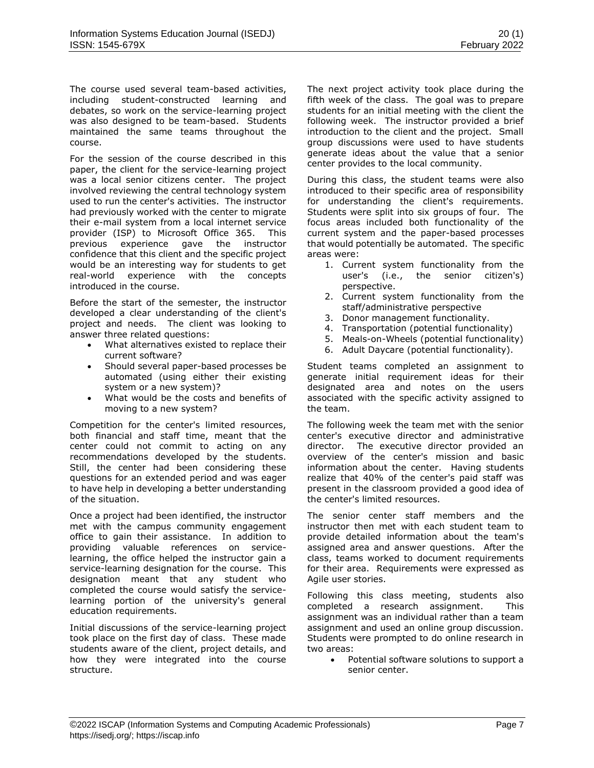The course used several team-based activities, including student-constructed learning and debates, so work on the service-learning project was also designed to be team-based. Students maintained the same teams throughout the course.

For the session of the course described in this paper, the client for the service-learning project was a local senior citizens center. The project involved reviewing the central technology system used to run the center's activities. The instructor had previously worked with the center to migrate their e-mail system from a local internet service provider (ISP) to Microsoft Office 365. This previous experience gave the instructor confidence that this client and the specific project would be an interesting way for students to get real-world experience with the concepts introduced in the course.

Before the start of the semester, the instructor developed a clear understanding of the client's project and needs. The client was looking to answer three related questions:

- What alternatives existed to replace their current software?
- Should several paper-based processes be automated (using either their existing system or a new system)?
- What would be the costs and benefits of moving to a new system?

Competition for the center's limited resources, both financial and staff time, meant that the center could not commit to acting on any recommendations developed by the students. Still, the center had been considering these questions for an extended period and was eager to have help in developing a better understanding of the situation.

Once a project had been identified, the instructor met with the campus community engagement office to gain their assistance. In addition to providing valuable references on servicelearning, the office helped the instructor gain a service-learning designation for the course. This designation meant that any student who completed the course would satisfy the servicelearning portion of the university's general education requirements.

Initial discussions of the service-learning project took place on the first day of class. These made students aware of the client, project details, and how they were integrated into the course structure.

The next project activity took place during the fifth week of the class. The goal was to prepare students for an initial meeting with the client the following week. The instructor provided a brief introduction to the client and the project. Small group discussions were used to have students generate ideas about the value that a senior center provides to the local community.

During this class, the student teams were also introduced to their specific area of responsibility for understanding the client's requirements. Students were split into six groups of four. The focus areas included both functionality of the current system and the paper-based processes that would potentially be automated. The specific areas were:

- 1. Current system functionality from the user's (i.e., the senior citizen's) perspective.
- 2. Current system functionality from the staff/administrative perspective
- 3. Donor management functionality.
- 4. Transportation (potential functionality)
- 5. Meals-on-Wheels (potential functionality)
- 6. Adult Daycare (potential functionality).

Student teams completed an assignment to generate initial requirement ideas for their designated area and notes on the users associated with the specific activity assigned to the team.

The following week the team met with the senior center's executive director and administrative director. The executive director provided an overview of the center's mission and basic information about the center. Having students realize that 40% of the center's paid staff was present in the classroom provided a good idea of the center's limited resources.

The senior center staff members and the instructor then met with each student team to provide detailed information about the team's assigned area and answer questions. After the class, teams worked to document requirements for their area. Requirements were expressed as Agile user stories.

Following this class meeting, students also completed a research assignment. This assignment was an individual rather than a team assignment and used an online group discussion. Students were prompted to do online research in two areas:

• Potential software solutions to support a senior center.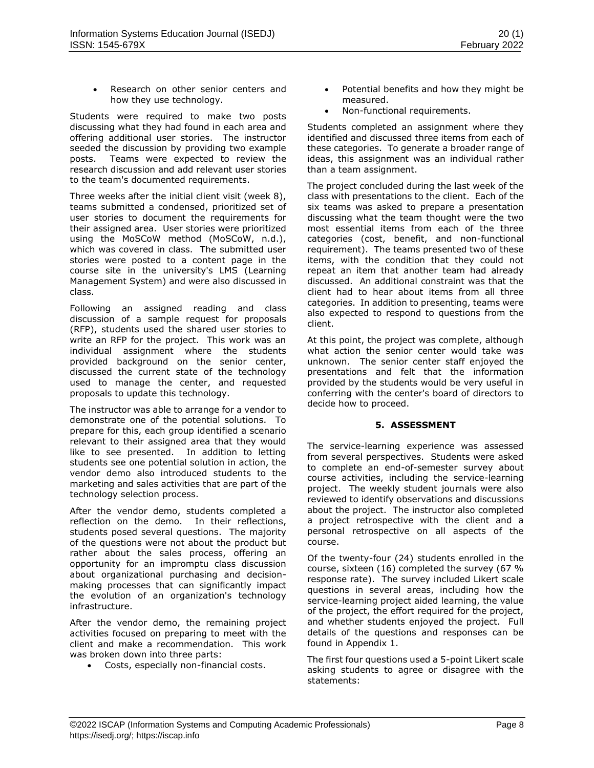Research on other senior centers and how they use technology.

Students were required to make two posts discussing what they had found in each area and offering additional user stories. The instructor seeded the discussion by providing two example posts. Teams were expected to review the research discussion and add relevant user stories to the team's documented requirements.

Three weeks after the initial client visit (week 8), teams submitted a condensed, prioritized set of user stories to document the requirements for their assigned area. User stories were prioritized using the MoSCoW method (MoSCoW, n.d.), which was covered in class. The submitted user stories were posted to a content page in the course site in the university's LMS (Learning Management System) and were also discussed in class.

Following an assigned reading and class discussion of a sample request for proposals (RFP), students used the shared user stories to write an RFP for the project. This work was an individual assignment where the students provided background on the senior center, discussed the current state of the technology used to manage the center, and requested proposals to update this technology.

The instructor was able to arrange for a vendor to demonstrate one of the potential solutions. To prepare for this, each group identified a scenario relevant to their assigned area that they would like to see presented. In addition to letting students see one potential solution in action, the vendor demo also introduced students to the marketing and sales activities that are part of the technology selection process.

After the vendor demo, students completed a reflection on the demo. In their reflections, students posed several questions. The majority of the questions were not about the product but rather about the sales process, offering an opportunity for an impromptu class discussion about organizational purchasing and decisionmaking processes that can significantly impact the evolution of an organization's technology infrastructure.

After the vendor demo, the remaining project activities focused on preparing to meet with the client and make a recommendation. This work was broken down into three parts:

• Costs, especially non-financial costs.

- Potential benefits and how they might be measured.
- Non-functional requirements.

Students completed an assignment where they identified and discussed three items from each of these categories. To generate a broader range of ideas, this assignment was an individual rather than a team assignment.

The project concluded during the last week of the class with presentations to the client. Each of the six teams was asked to prepare a presentation discussing what the team thought were the two most essential items from each of the three categories (cost, benefit, and non-functional requirement). The teams presented two of these items, with the condition that they could not repeat an item that another team had already discussed. An additional constraint was that the client had to hear about items from all three categories. In addition to presenting, teams were also expected to respond to questions from the client.

At this point, the project was complete, although what action the senior center would take was unknown. The senior center staff enjoyed the presentations and felt that the information provided by the students would be very useful in conferring with the center's board of directors to decide how to proceed.

# **5. ASSESSMENT**

The service-learning experience was assessed from several perspectives. Students were asked to complete an end-of-semester survey about course activities, including the service-learning project. The weekly student journals were also reviewed to identify observations and discussions about the project. The instructor also completed a project retrospective with the client and a personal retrospective on all aspects of the course.

Of the twenty-four (24) students enrolled in the course, sixteen (16) completed the survey (67 % response rate). The survey included Likert scale questions in several areas, including how the service-learning project aided learning, the value of the project, the effort required for the project, and whether students enjoyed the project. Full details of the questions and responses can be found in Appendix 1.

The first four questions used a 5-point Likert scale asking students to agree or disagree with the statements: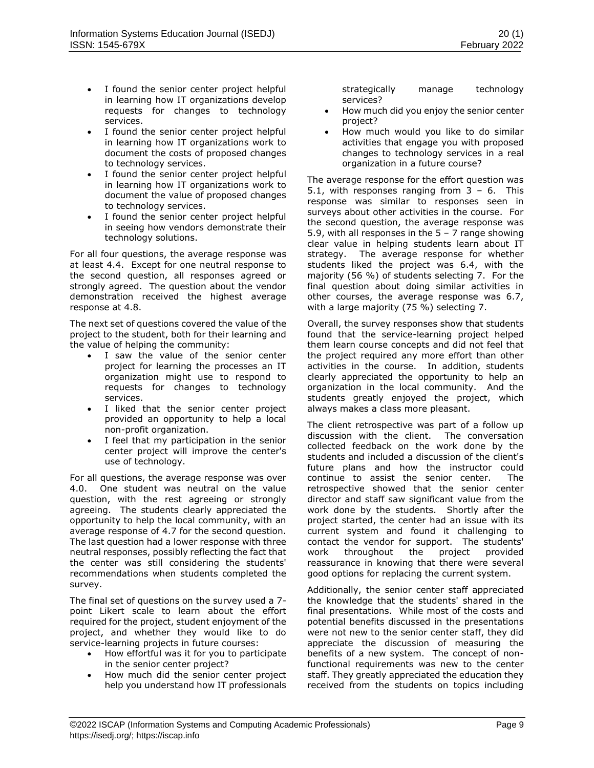- I found the senior center project helpful in learning how IT organizations develop requests for changes to technology services.
- I found the senior center project helpful in learning how IT organizations work to document the costs of proposed changes to technology services.
- I found the senior center project helpful in learning how IT organizations work to document the value of proposed changes to technology services.
- I found the senior center project helpful in seeing how vendors demonstrate their technology solutions.

For all four questions, the average response was at least 4.4. Except for one neutral response to the second question, all responses agreed or strongly agreed. The question about the vendor demonstration received the highest average response at 4.8.

The next set of questions covered the value of the project to the student, both for their learning and the value of helping the community:

- I saw the value of the senior center project for learning the processes an IT organization might use to respond to requests for changes to technology services.
- I liked that the senior center project provided an opportunity to help a local non-profit organization.
- I feel that my participation in the senior center project will improve the center's use of technology.

For all questions, the average response was over 4.0. One student was neutral on the value question, with the rest agreeing or strongly agreeing. The students clearly appreciated the opportunity to help the local community, with an average response of 4.7 for the second question. The last question had a lower response with three neutral responses, possibly reflecting the fact that the center was still considering the students' recommendations when students completed the survey.

The final set of questions on the survey used a 7 point Likert scale to learn about the effort required for the project, student enjoyment of the project, and whether they would like to do service-learning projects in future courses:

- How effortful was it for you to participate in the senior center project?
- How much did the senior center project help you understand how IT professionals

strategically manage technology services?

- How much did you enjoy the senior center project?
- How much would you like to do similar activities that engage you with proposed changes to technology services in a real organization in a future course?

The average response for the effort question was 5.1, with responses ranging from  $3 - 6$ . This response was similar to responses seen in surveys about other activities in the course. For the second question, the average response was 5.9, with all responses in the  $5 - 7$  range showing clear value in helping students learn about IT strategy. The average response for whether students liked the project was 6.4, with the majority (56 %) of students selecting 7. For the final question about doing similar activities in other courses, the average response was 6.7, with a large majority (75 %) selecting 7.

Overall, the survey responses show that students found that the service-learning project helped them learn course concepts and did not feel that the project required any more effort than other activities in the course. In addition, students clearly appreciated the opportunity to help an organization in the local community. And the students greatly enjoyed the project, which always makes a class more pleasant.

The client retrospective was part of a follow up discussion with the client. The conversation collected feedback on the work done by the students and included a discussion of the client's future plans and how the instructor could continue to assist the senior center. The retrospective showed that the senior center director and staff saw significant value from the work done by the students. Shortly after the project started, the center had an issue with its current system and found it challenging to contact the vendor for support. The students' work throughout the project provided reassurance in knowing that there were several good options for replacing the current system.

Additionally, the senior center staff appreciated the knowledge that the students' shared in the final presentations. While most of the costs and potential benefits discussed in the presentations were not new to the senior center staff, they did appreciate the discussion of measuring the benefits of a new system. The concept of nonfunctional requirements was new to the center staff. They greatly appreciated the education they received from the students on topics including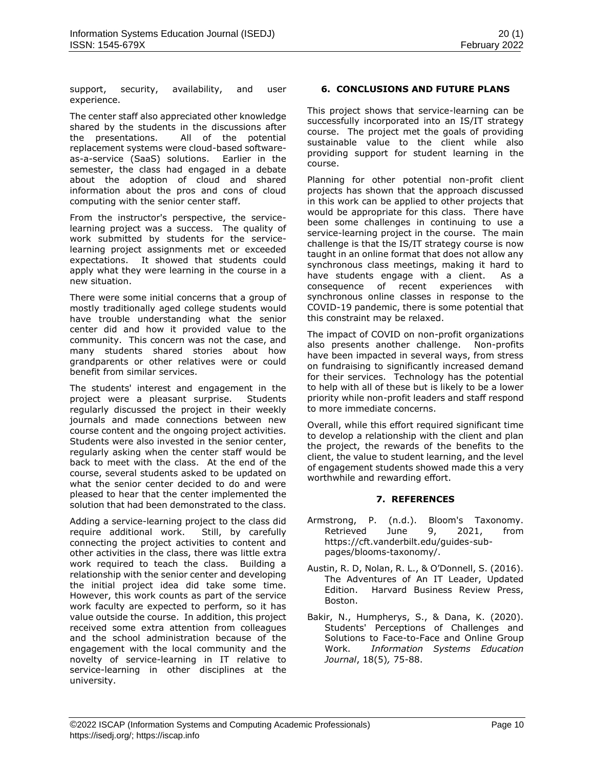support, security, availability, and user experience.

The center staff also appreciated other knowledge shared by the students in the discussions after the presentations. All of the potential replacement systems were cloud-based softwareas-a-service (SaaS) solutions. Earlier in the semester, the class had engaged in a debate about the adoption of cloud and shared information about the pros and cons of cloud computing with the senior center staff.

From the instructor's perspective, the servicelearning project was a success. The quality of work submitted by students for the servicelearning project assignments met or exceeded expectations. It showed that students could apply what they were learning in the course in a new situation.

There were some initial concerns that a group of mostly traditionally aged college students would have trouble understanding what the senior center did and how it provided value to the community. This concern was not the case, and many students shared stories about how grandparents or other relatives were or could benefit from similar services.

The students' interest and engagement in the project were a pleasant surprise. Students regularly discussed the project in their weekly journals and made connections between new course content and the ongoing project activities. Students were also invested in the senior center, regularly asking when the center staff would be back to meet with the class. At the end of the course, several students asked to be updated on what the senior center decided to do and were pleased to hear that the center implemented the solution that had been demonstrated to the class.

Adding a service-learning project to the class did require additional work. Still, by carefully connecting the project activities to content and other activities in the class, there was little extra work required to teach the class. Building a relationship with the senior center and developing the initial project idea did take some time. However, this work counts as part of the service work faculty are expected to perform, so it has value outside the course. In addition, this project received some extra attention from colleagues and the school administration because of the engagement with the local community and the novelty of service-learning in IT relative to service-learning in other disciplines at the university.

# **6. CONCLUSIONS AND FUTURE PLANS**

This project shows that service-learning can be successfully incorporated into an IS/IT strategy course. The project met the goals of providing sustainable value to the client while also providing support for student learning in the course.

Planning for other potential non-profit client projects has shown that the approach discussed in this work can be applied to other projects that would be appropriate for this class. There have been some challenges in continuing to use a service-learning project in the course. The main challenge is that the IS/IT strategy course is now taught in an online format that does not allow any synchronous class meetings, making it hard to have students engage with a client. As a consequence of recent experiences with synchronous online classes in response to the COVID-19 pandemic, there is some potential that this constraint may be relaxed.

The impact of COVID on non-profit organizations also presents another challenge. Non-profits have been impacted in several ways, from stress on fundraising to significantly increased demand for their services. Technology has the potential to help with all of these but is likely to be a lower priority while non-profit leaders and staff respond to more immediate concerns.

Overall, while this effort required significant time to develop a relationship with the client and plan the project, the rewards of the benefits to the client, the value to student learning, and the level of engagement students showed made this a very worthwhile and rewarding effort.

### **7. REFERENCES**

- Armstrong, P. (n.d.). Bloom's Taxonomy. Retrieved June 9, 2021, from https://cft.vanderbilt.edu/guides-subpages/blooms-taxonomy/.
- Austin, R. D, Nolan, R. L., & O'Donnell, S. (2016). The Adventures of An IT Leader, Updated Edition. Harvard Business Review Press, Boston.
- Bakir, N., Humpherys, S., & Dana, K. (2020). Students' Perceptions of Challenges and Solutions to Face-to-Face and Online Group Work. *Information Systems Education Journal*, 18(5)*,* 75-88.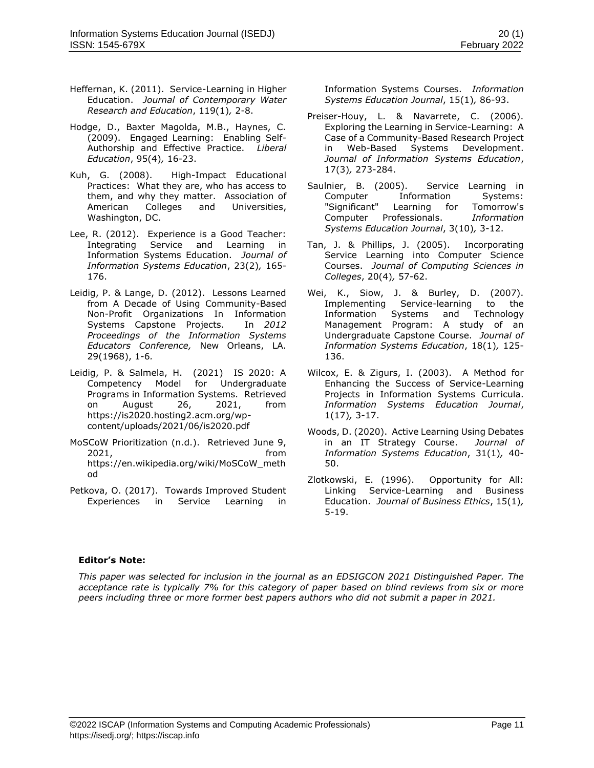- Heffernan, K. (2011). Service-Learning in Higher Education. *Journal of Contemporary Water Research and Education*, 119(1)*,* 2-8.
- Hodge, D., Baxter Magolda, M.B., Haynes, C. (2009). Engaged Learning: Enabling Self-Authorship and Effective Practice. *Liberal Education*, 95(4)*,* 16-23.
- Kuh, G. (2008). High-Impact Educational Practices: What they are, who has access to them, and why they matter. Association of American Colleges and Universities, Washington, DC.
- Lee, R. (2012). Experience is a Good Teacher: Integrating Service and Learning in Information Systems Education. *Journal of Information Systems Education*, 23(2)*,* 165- 176.
- Leidig, P. & Lange, D. (2012). Lessons Learned from A Decade of Using Community-Based Non-Profit Organizations In Information Systems Capstone Projects. In *2012 Proceedings of the Information Systems Educators Conference,* New Orleans, LA. 29(1968), 1-6*.*
- Leidig, P. & Salmela, H. (2021) IS 2020: A Competency Model for Undergraduate Programs in Information Systems. Retrieved on August 26, 2021, from https://is2020.hosting2.acm.org/wpcontent/uploads/2021/06/is2020.pdf
- MoSCoW Prioritization (n.d.). Retrieved June 9, 2021, from https://en.wikipedia.org/wiki/MoSCoW\_meth od
- Petkova, O. (2017). Towards Improved Student Experiences in Service Learning in

Information Systems Courses. *Information Systems Education Journal*, 15(1)*,* 86-93.

- Preiser-Houy, L. & Navarrete, C. (2006). Exploring the Learning in Service-Learning: A Case of a Community-Based Research Project in Web-Based Systems Development. *Journal of Information Systems Education*, 17(3)*,* 273-284.
- Saulnier, B. (2005). Service Learning in Computer Information Systems: "Significant" Learning for Tomorrow's Computer Professionals. *Information Systems Education Journal*, 3(10)*,* 3-12.
- Tan, J. & Phillips, J. (2005). Incorporating Service Learning into Computer Science Courses. *Journal of Computing Sciences in Colleges*, 20(4)*,* 57-62.
- Wei, K., Siow, J. & Burley, D. (2007). Implementing Service-learning to the Information Systems and Technology Management Program: A study of an Undergraduate Capstone Course. *Journal of Information Systems Education*, 18(1)*,* 125- 136.
- Wilcox, E. & Zigurs, I. (2003). A Method for Enhancing the Success of Service-Learning Projects in Information Systems Curricula. *Information Systems Education Journal*, 1(17)*,* 3-17.
- Woods, D. (2020). Active Learning Using Debates in an IT Strategy Course. *Journal of Information Systems Education*, 31(1)*,* 40- 50.
- Zlotkowski, E. (1996). Opportunity for All: Linking Service-Learning and Business Education. *Journal of Business Ethics*, 15(1)*,* 5-19.

### **Editor's Note:**

*This paper was selected for inclusion in the journal as an EDSIGCON 2021 Distinguished Paper. The acceptance rate is typically 7% for this category of paper based on blind reviews from six or more peers including three or more former best papers authors who did not submit a paper in 2021.*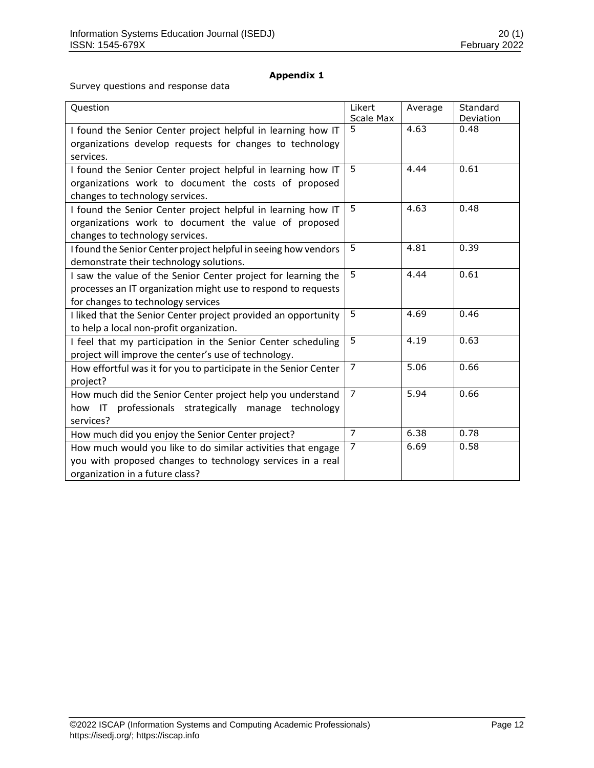# **Appendix 1**

Survey questions and response data

| Question                                                         | Likert<br>Scale Max | Average | Standard<br>Deviation |
|------------------------------------------------------------------|---------------------|---------|-----------------------|
| I found the Senior Center project helpful in learning how IT     | 5                   | 4.63    | 0.48                  |
| organizations develop requests for changes to technology         |                     |         |                       |
| services.                                                        |                     |         |                       |
| I found the Senior Center project helpful in learning how IT     | 5                   | 4.44    | 0.61                  |
| organizations work to document the costs of proposed             |                     |         |                       |
| changes to technology services.                                  |                     |         |                       |
| I found the Senior Center project helpful in learning how IT     | 5                   | 4.63    | 0.48                  |
| organizations work to document the value of proposed             |                     |         |                       |
| changes to technology services.                                  |                     |         |                       |
| I found the Senior Center project helpful in seeing how vendors  | 5                   | 4.81    | 0.39                  |
| demonstrate their technology solutions.                          |                     |         |                       |
| I saw the value of the Senior Center project for learning the    | 5                   | 4.44    | 0.61                  |
| processes an IT organization might use to respond to requests    |                     |         |                       |
| for changes to technology services                               |                     |         |                       |
| I liked that the Senior Center project provided an opportunity   | 5                   | 4.69    | 0.46                  |
| to help a local non-profit organization.                         |                     |         |                       |
| I feel that my participation in the Senior Center scheduling     | $\overline{5}$      | 4.19    | 0.63                  |
| project will improve the center's use of technology.             |                     |         |                       |
| How effortful was it for you to participate in the Senior Center | 7                   | 5.06    | 0.66                  |
| project?                                                         |                     |         |                       |
| How much did the Senior Center project help you understand       | 7                   | 5.94    | 0.66                  |
| professionals strategically<br>how IT<br>manage<br>technology    |                     |         |                       |
| services?                                                        |                     |         |                       |
| How much did you enjoy the Senior Center project?                | $\overline{7}$      | 6.38    | 0.78                  |
| How much would you like to do similar activities that engage     | $\overline{7}$      | 6.69    | 0.58                  |
| you with proposed changes to technology services in a real       |                     |         |                       |
| organization in a future class?                                  |                     |         |                       |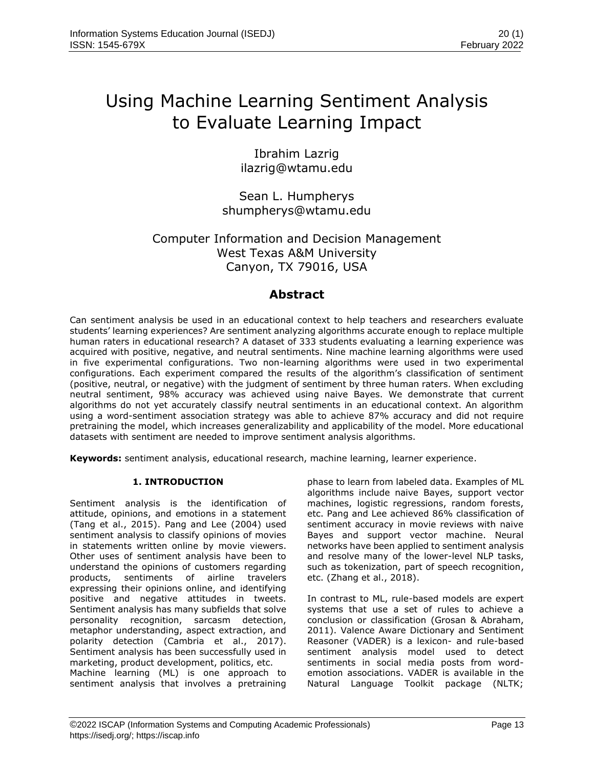# Using Machine Learning Sentiment Analysis to Evaluate Learning Impact

Ibrahim Lazrig ilazrig@wtamu.edu

Sean L. Humpherys shumpherys@wtamu.edu

# Computer Information and Decision Management West Texas A&M University Canyon, TX 79016, USA

# **Abstract**

Can sentiment analysis be used in an educational context to help teachers and researchers evaluate students' learning experiences? Are sentiment analyzing algorithms accurate enough to replace multiple human raters in educational research? A dataset of 333 students evaluating a learning experience was acquired with positive, negative, and neutral sentiments. Nine machine learning algorithms were used in five experimental configurations. Two non-learning algorithms were used in two experimental configurations. Each experiment compared the results of the algorithm's classification of sentiment (positive, neutral, or negative) with the judgment of sentiment by three human raters. When excluding neutral sentiment, 98% accuracy was achieved using naive Bayes. We demonstrate that current algorithms do not yet accurately classify neutral sentiments in an educational context. An algorithm using a word-sentiment association strategy was able to achieve 87% accuracy and did not require pretraining the model, which increases generalizability and applicability of the model. More educational datasets with sentiment are needed to improve sentiment analysis algorithms.

**Keywords:** sentiment analysis, educational research, machine learning, learner experience.

# **1. INTRODUCTION**

Sentiment analysis is the identification of attitude, opinions, and emotions in a statement (Tang et al., 2015). Pang and Lee (2004) used sentiment analysis to classify opinions of movies in statements written online by movie viewers. Other uses of sentiment analysis have been to understand the opinions of customers regarding products, sentiments of airline travelers expressing their opinions online, and identifying positive and negative attitudes in tweets. Sentiment analysis has many subfields that solve personality recognition, sarcasm detection, metaphor understanding, aspect extraction, and polarity detection (Cambria et al., 2017). Sentiment analysis has been successfully used in marketing, product development, politics, etc. Machine learning (ML) is one approach to sentiment analysis that involves a pretraining phase to learn from labeled data. Examples of ML algorithms include naive Bayes, support vector machines, logistic regressions, random forests, etc. Pang and Lee achieved 86% classification of sentiment accuracy in movie reviews with naive Bayes and support vector machine. Neural networks have been applied to sentiment analysis and resolve many of the lower-level NLP tasks, such as tokenization, part of speech recognition, etc. (Zhang et al., 2018).

In contrast to ML, rule-based models are expert systems that use a set of rules to achieve a conclusion or classification (Grosan & Abraham, 2011). Valence Aware Dictionary and Sentiment Reasoner (VADER) is a lexicon- and rule-based sentiment analysis model used to detect sentiments in social media posts from wordemotion associations. VADER is available in the Natural Language Toolkit package (NLTK;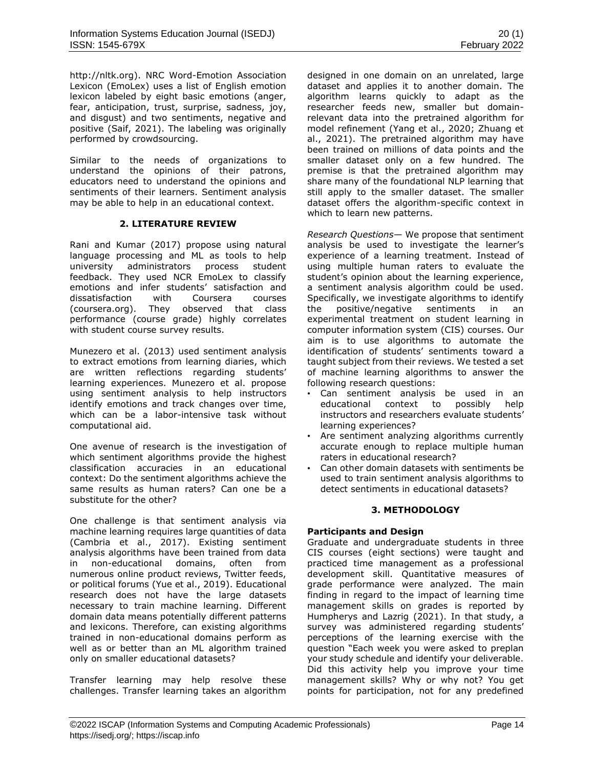http://nltk.org). NRC Word-Emotion Association Lexicon (EmoLex) uses a list of English emotion lexicon labeled by eight basic emotions (anger, fear, anticipation, trust, surprise, sadness, joy, and disgust) and two sentiments, negative and positive (Saif, 2021). The labeling was originally performed by crowdsourcing.

Similar to the needs of organizations to understand the opinions of their patrons, educators need to understand the opinions and sentiments of their learners. Sentiment analysis may be able to help in an educational context.

# **2. LITERATURE REVIEW**

Rani and Kumar (2017) propose using natural language processing and ML as tools to help<br>university administrators process student university administrators process student feedback. They used NCR EmoLex to classify emotions and infer students' satisfaction and dissatisfaction with Coursera courses (coursera.org). They observed that class performance (course grade) highly correlates with student course survey results.

Munezero et al. (2013) used sentiment analysis to extract emotions from learning diaries, which are written reflections regarding students' learning experiences. Munezero et al. propose using sentiment analysis to help instructors identify emotions and track changes over time, which can be a labor-intensive task without computational aid.

One avenue of research is the investigation of which sentiment algorithms provide the highest classification accuracies in an educational context: Do the sentiment algorithms achieve the same results as human raters? Can one be a substitute for the other?

One challenge is that sentiment analysis via machine learning requires large quantities of data (Cambria et al., 2017). Existing sentiment analysis algorithms have been trained from data<br>in non-educational domains, often from in non-educational domains, numerous online product reviews, Twitter feeds, or political forums (Yue et al., 2019). Educational research does not have the large datasets necessary to train machine learning. Different domain data means potentially different patterns and lexicons. Therefore, can existing algorithms trained in non-educational domains perform as well as or better than an ML algorithm trained only on smaller educational datasets?

Transfer learning may help resolve these challenges. Transfer learning takes an algorithm designed in one domain on an unrelated, large dataset and applies it to another domain. The algorithm learns quickly to adapt as the researcher feeds new, smaller but domainrelevant data into the pretrained algorithm for model refinement (Yang et al., 2020; Zhuang et al., 2021). The pretrained algorithm may have been trained on millions of data points and the smaller dataset only on a few hundred. The premise is that the pretrained algorithm may share many of the foundational NLP learning that still apply to the smaller dataset. The smaller dataset offers the algorithm-specific context in which to learn new patterns.

*Research Questions*— We propose that sentiment analysis be used to investigate the learner's experience of a learning treatment. Instead of using multiple human raters to evaluate the student's opinion about the learning experience, a sentiment analysis algorithm could be used. Specifically, we investigate algorithms to identify the positive/negative sentiments in an experimental treatment on student learning in computer information system (CIS) courses. Our aim is to use algorithms to automate the identification of students' sentiments toward a taught subject from their reviews. We tested a set of machine learning algorithms to answer the following research questions:

- Can sentiment analysis be used in an educational context to possibly help instructors and researchers evaluate students' learning experiences?
- Are sentiment analyzing algorithms currently accurate enough to replace multiple human raters in educational research?
- Can other domain datasets with sentiments be used to train sentiment analysis algorithms to detect sentiments in educational datasets?

### **3. METHODOLOGY**

# **Participants and Design**

Graduate and undergraduate students in three CIS courses (eight sections) were taught and practiced time management as a professional development skill. Quantitative measures of grade performance were analyzed. The main finding in regard to the impact of learning time management skills on grades is reported by Humpherys and Lazrig (2021). In that study, a survey was administered regarding students' perceptions of the learning exercise with the question "Each week you were asked to preplan your study schedule and identify your deliverable. Did this activity help you improve your time management skills? Why or why not? You get points for participation, not for any predefined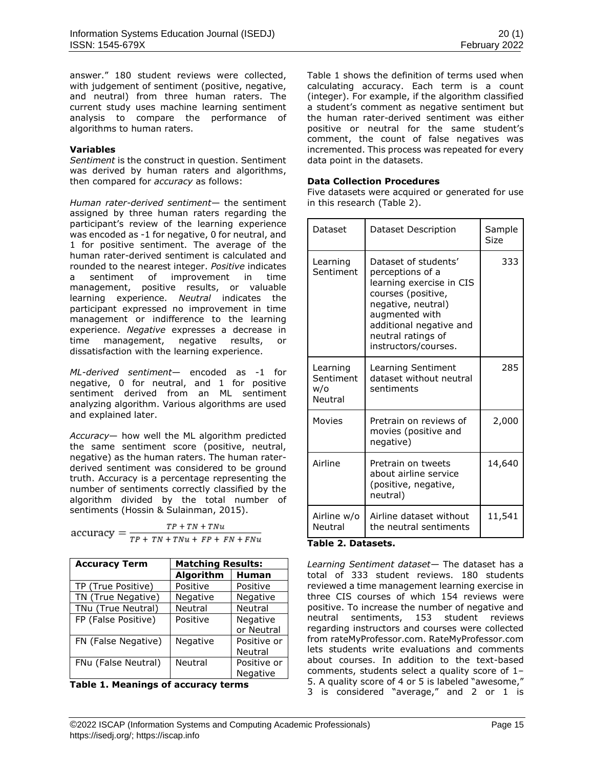answer." 180 student reviews were collected, with judgement of sentiment (positive, negative, and neutral) from three human raters. The current study uses machine learning sentiment analysis to compare the performance of algorithms to human raters.

### **Variables**

*Sentiment* is the construct in question. Sentiment was derived by human raters and algorithms, then compared for *accuracy* as follows:

*Human rater-derived sentiment*— the sentiment assigned by three human raters regarding the participant's review of the learning experience was encoded as -1 for negative, 0 for neutral, and 1 for positive sentiment. The average of the human rater-derived sentiment is calculated and rounded to the nearest integer. *Positive* indicates a sentiment of improvement in time management, positive results, or valuable learning experience. *Neutral* indicates the participant expressed no improvement in time management or indifference to the learning experience. *Negative* expresses a decrease in time management, negative results, or dissatisfaction with the learning experience.

*ML-derived sentiment*— encoded as -1 for negative, 0 for neutral, and 1 for positive sentiment derived from an ML sentiment analyzing algorithm. Various algorithms are used and explained later.

*Accuracy*— how well the ML algorithm predicted the same sentiment score (positive, neutral, negative) as the human raters. The human raterderived sentiment was considered to be ground truth. Accuracy is a percentage representing the number of sentiments correctly classified by the algorithm divided by the total number of sentiments (Hossin & Sulainman, 2015).

 $TP + TN + TNu$  $accuracy = \frac{IF + IN + INu}{TP + TN + TNu + FP + FN + FNu}$ 

| <b>Accuracy Term</b> | <b>Matching Results:</b> |                 |  |
|----------------------|--------------------------|-----------------|--|
|                      | Algorithm                | <b>Human</b>    |  |
| TP (True Positive)   | Positive                 | Positive        |  |
| TN (True Negative)   | Negative                 | <b>Negative</b> |  |
| TNu (True Neutral)   | Neutral                  | <b>Neutral</b>  |  |
| FP (False Positive)  | Positive                 | Negative        |  |
|                      |                          | or Neutral      |  |
| FN (False Negative)  | Negative                 | Positive or     |  |
|                      |                          | Neutral         |  |
| FNu (False Neutral)  | Neutral                  | Positive or     |  |
|                      |                          | Negative        |  |

**Table 1. Meanings of accuracy terms**

Table 1 shows the definition of terms used when calculating accuracy. Each term is a count (integer). For example, if the algorithm classified a student's comment as negative sentiment but the human rater-derived sentiment was either positive or neutral for the same student's comment, the count of false negatives was incremented. This process was repeated for every data point in the datasets.

# **Data Collection Procedures**

Five datasets were acquired or generated for use in this research (Table 2).

| Dataset                                 | Dataset Description                                                                                                                                                                                         | Sample<br><b>Size</b> |
|-----------------------------------------|-------------------------------------------------------------------------------------------------------------------------------------------------------------------------------------------------------------|-----------------------|
| Learning<br>Sentiment                   | Dataset of students'<br>perceptions of a<br>learning exercise in CIS<br>courses (positive,<br>negative, neutral)<br>augmented with<br>additional negative and<br>neutral ratings of<br>instructors/courses. | 333                   |
| Learning<br>Sentiment<br>w/o<br>Neutral | Learning Sentiment<br>dataset without neutral<br>sentiments                                                                                                                                                 | 285                   |
| Movies                                  | Pretrain on reviews of<br>movies (positive and<br>negative)                                                                                                                                                 | 2,000                 |
| Airline                                 | Pretrain on tweets<br>about airline service<br>(positive, negative,<br>neutral)                                                                                                                             | 14,640                |
| Airline w/o<br>Neutral                  | Airline dataset without<br>the neutral sentiments                                                                                                                                                           | 11,541                |

# **Table 2. Datasets.**

*Learning Sentiment dataset*— The dataset has a total of 333 student reviews. 180 students reviewed a time management learning exercise in three CIS courses of which 154 reviews were positive. To increase the number of negative and neutral sentiments, 153 student reviews regarding instructors and courses were collected from rateMyProfessor.com. RateMyProfessor.com lets students write evaluations and comments about courses. In addition to the text-based comments, students select a quality score of 1– 5. A quality score of 4 or 5 is labeled "awesome," 3 is considered "average," and 2 or 1 is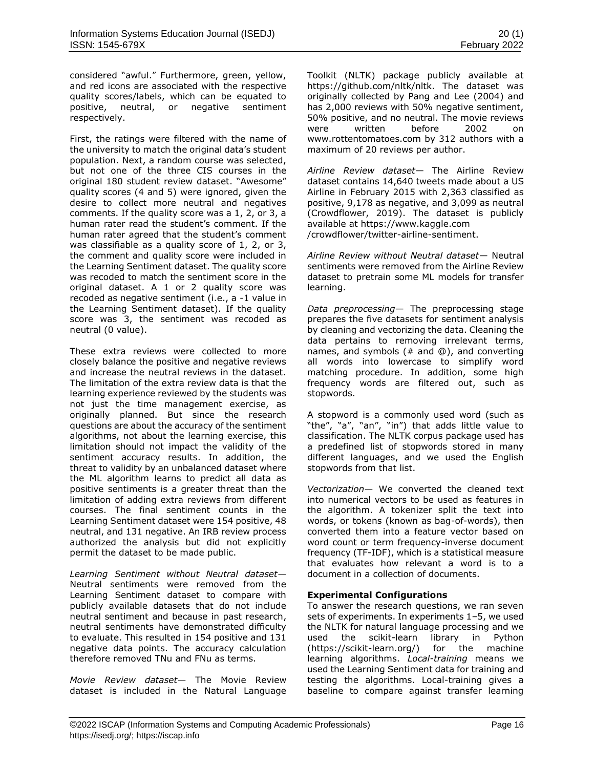considered "awful." Furthermore, green, yellow, and red icons are associated with the respective quality scores/labels, which can be equated to positive, neutral, or negative sentiment respectively.

First, the ratings were filtered with the name of the university to match the original data's student population. Next, a random course was selected, but not one of the three CIS courses in the original 180 student review dataset. "Awesome" quality scores (4 and 5) were ignored, given the desire to collect more neutral and negatives comments. If the quality score was a 1, 2, or 3, a human rater read the student's comment. If the human rater agreed that the student's comment was classifiable as a quality score of 1, 2, or 3, the comment and quality score were included in the Learning Sentiment dataset. The quality score was recoded to match the sentiment score in the original dataset. A 1 or 2 quality score was recoded as negative sentiment (i.e., a -1 value in the Learning Sentiment dataset). If the quality score was 3, the sentiment was recoded as neutral (0 value).

These extra reviews were collected to more closely balance the positive and negative reviews and increase the neutral reviews in the dataset. The limitation of the extra review data is that the learning experience reviewed by the students was not just the time management exercise, as originally planned. But since the research questions are about the accuracy of the sentiment algorithms, not about the learning exercise, this limitation should not impact the validity of the sentiment accuracy results. In addition, the threat to validity by an unbalanced dataset where the ML algorithm learns to predict all data as positive sentiments is a greater threat than the limitation of adding extra reviews from different courses. The final sentiment counts in the Learning Sentiment dataset were 154 positive, 48 neutral, and 131 negative. An IRB review process authorized the analysis but did not explicitly permit the dataset to be made public.

*Learning Sentiment without Neutral dataset*— Neutral sentiments were removed from the Learning Sentiment dataset to compare with publicly available datasets that do not include neutral sentiment and because in past research, neutral sentiments have demonstrated difficulty to evaluate. This resulted in 154 positive and 131 negative data points. The accuracy calculation therefore removed TNu and FNu as terms.

*Movie Review dataset*— The Movie Review dataset is included in the Natural Language Toolkit (NLTK) package publicly available at https://github.com/nltk/nltk. The dataset was originally collected by Pang and Lee (2004) and has 2,000 reviews with 50% negative sentiment, 50% positive, and no neutral. The movie reviews were written before 2002 on [www.rottentomatoes.com](http://www.rottentomatoes.com/) by 312 authors with a maximum of 20 reviews per author.

*Airline Review dataset*— The Airline Review dataset contains 14,640 tweets made about a US Airline in February 2015 with 2,363 classified as positive, 9,178 as negative, and 3,099 as neutral (Crowdflower, 2019). The dataset is publicly available at https://www.kaggle.com /crowdflower/twitter-airline-sentiment.

*Airline Review without Neutral dataset*— Neutral sentiments were removed from the Airline Review dataset to pretrain some ML models for transfer learning.

*Data preprocessing*— The preprocessing stage prepares the five datasets for sentiment analysis by cleaning and vectorizing the data. Cleaning the data pertains to removing irrelevant terms, names, and symbols (# and @), and converting all words into lowercase to simplify word matching procedure. In addition, some high frequency words are filtered out, such as stopwords.

A stopword is a commonly used word (such as "the", "a", "an", "in") that adds little value to classification. The NLTK corpus package used has a predefined list of stopwords stored in many different languages, and we used the English stopwords from that list.

*Vectorization*— We converted the cleaned text into numerical vectors to be used as features in the algorithm. A tokenizer split the text into words, or tokens (known as bag-of-words), then converted them into a feature vector based on word count or term frequency-inverse document frequency (TF-IDF), which is a statistical measure that evaluates how relevant a word is to a document in a collection of documents.

# **Experimental Configurations**

To answer the research questions, we ran seven sets of experiments. In experiments 1–5, we used the NLTK for natural language processing and we used the scikit-learn library in Python (https://scikit-learn.org/) for the machine learning algorithms. *Local-training* means we used the Learning Sentiment data for training and testing the algorithms. Local-training gives a baseline to compare against transfer learning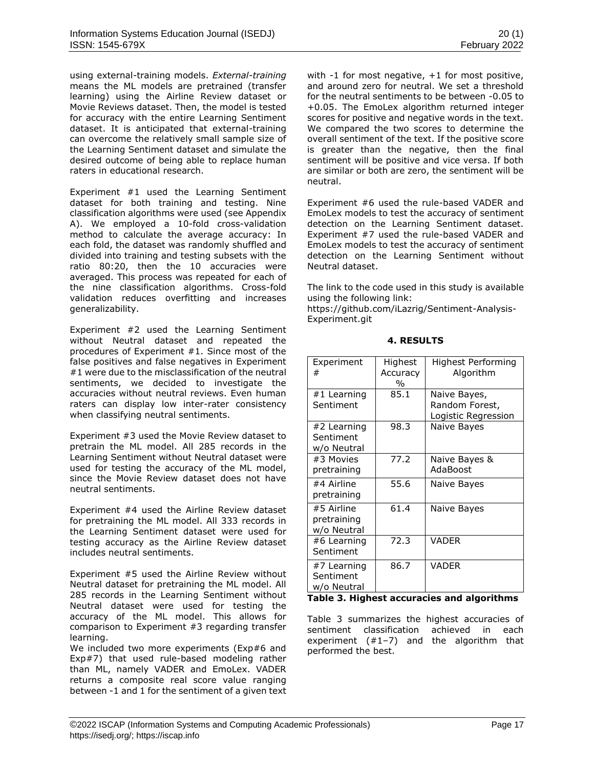using external-training models. *External-training* means the ML models are pretrained (transfer learning) using the Airline Review dataset or Movie Reviews dataset. Then, the model is tested for accuracy with the entire Learning Sentiment dataset. It is anticipated that external-training can overcome the relatively small sample size of the Learning Sentiment dataset and simulate the desired outcome of being able to replace human raters in educational research.

Experiment #1 used the Learning Sentiment dataset for both training and testing. Nine classification algorithms were used (see Appendix A). We employed a 10-fold cross-validation method to calculate the average accuracy: In each fold, the dataset was randomly shuffled and divided into training and testing subsets with the ratio 80:20, then the 10 accuracies were averaged. This process was repeated for each of the nine classification algorithms. Cross-fold validation reduces overfitting and increases generalizability.

Experiment #2 used the Learning Sentiment without Neutral dataset and repeated the procedures of Experiment #1. Since most of the false positives and false negatives in Experiment #1 were due to the misclassification of the neutral sentiments, we decided to investigate the accuracies without neutral reviews. Even human raters can display low inter-rater consistency when classifying neutral sentiments.

Experiment #3 used the Movie Review dataset to pretrain the ML model. All 285 records in the Learning Sentiment without Neutral dataset were used for testing the accuracy of the ML model, since the Movie Review dataset does not have neutral sentiments.

Experiment #4 used the Airline Review dataset for pretraining the ML model. All 333 records in the Learning Sentiment dataset were used for testing accuracy as the Airline Review dataset includes neutral sentiments.

Experiment #5 used the Airline Review without Neutral dataset for pretraining the ML model. All 285 records in the Learning Sentiment without Neutral dataset were used for testing the accuracy of the ML model. This allows for comparison to Experiment #3 regarding transfer learning.

We included two more experiments (Exp#6 and Exp#7) that used rule-based modeling rather than ML, namely VADER and EmoLex. VADER returns a composite real score value ranging between -1 and 1 for the sentiment of a given text with -1 for most negative, +1 for most positive, and around zero for neutral. We set a threshold for the neutral sentiments to be between -0.05 to +0.05. The EmoLex algorithm returned integer scores for positive and negative words in the text. We compared the two scores to determine the overall sentiment of the text. If the positive score is greater than the negative, then the final sentiment will be positive and vice versa. If both are similar or both are zero, the sentiment will be neutral.

Experiment #6 used the rule-based VADER and EmoLex models to test the accuracy of sentiment detection on the Learning Sentiment dataset. Experiment #7 used the rule-based VADER and EmoLex models to test the accuracy of sentiment detection on the Learning Sentiment without Neutral dataset.

The link to the code used in this study is available using the following link:

[https://github.com/iLazrig/Sentiment-Analysis-](https://github.com/iLazrig/Sentiment-Analysis-Experiment.git)[Experiment.git](https://github.com/iLazrig/Sentiment-Analysis-Experiment.git)

| Experiment<br>#                          | Highest<br>Accuracy<br>$\%$ | Highest Performing<br>Algorithm                       |
|------------------------------------------|-----------------------------|-------------------------------------------------------|
| #1 Learning<br>Sentiment                 | 85.1                        | Naive Bayes,<br>Random Forest,<br>Logistic Regression |
| #2 Learning<br>Sentiment<br>w/o Neutral  | 98.3                        | Naive Bayes                                           |
| #3 Movies<br>pretraining                 | 77.2                        | Naive Bayes &<br>AdaBoost                             |
| #4 Airline<br>pretraining                | 55.6                        | Naive Bayes                                           |
| #5 Airline<br>pretraining<br>w/o Neutral | 61.4                        | Naive Bayes                                           |
| #6 Learning<br>Sentiment                 | 72.3                        | <b>VADER</b>                                          |
| #7 Learning<br>Sentiment<br>w/o Neutral  | 86.7                        | <b>VADER</b><br>. .<br>.                              |

# **4. RESULTS**

**Table 3. Highest accuracies and algorithms**

Table 3 summarizes the highest accuracies of sentiment classification achieved in each experiment (#1–7) and the algorithm that performed the best.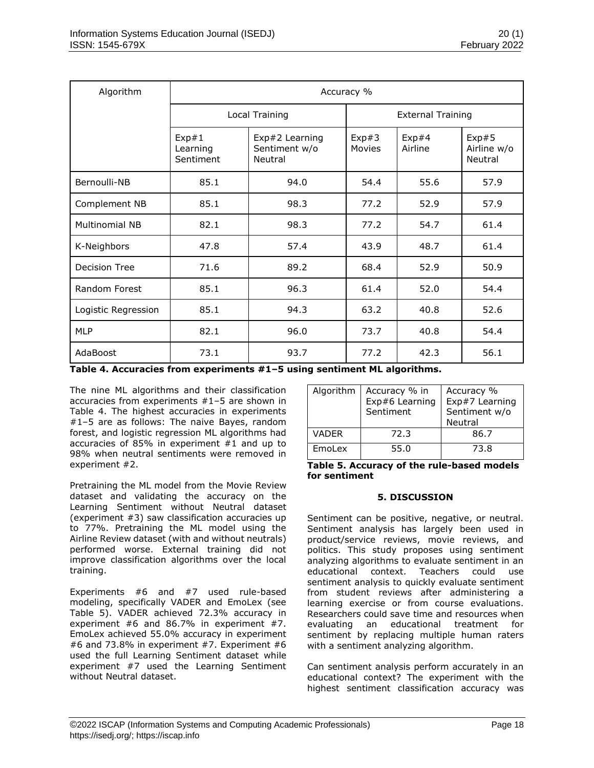| Algorithm             | Accuracy %                                                                   |                |                          |                  |                                 |
|-----------------------|------------------------------------------------------------------------------|----------------|--------------------------|------------------|---------------------------------|
|                       |                                                                              | Local Training | <b>External Training</b> |                  |                                 |
|                       | Exp#1<br>Exp#2 Learning<br>Sentiment w/o<br>Learning<br>Sentiment<br>Neutral |                | Exp#3<br>Movies          | Exp#4<br>Airline | Exp#5<br>Airline w/o<br>Neutral |
| Bernoulli-NB          | 85.1                                                                         | 94.0           | 54.4                     | 55.6             | 57.9                            |
| Complement NB         | 85.1                                                                         | 98.3           | 77.2                     | 52.9             | 57.9                            |
| <b>Multinomial NB</b> | 82.1                                                                         | 98.3           | 77.2                     | 54.7             | 61.4                            |
| K-Neighbors           | 47.8                                                                         | 57.4           | 43.9                     | 48.7             | 61.4                            |
| <b>Decision Tree</b>  | 71.6                                                                         | 89.2           | 68.4                     | 52.9             | 50.9                            |
| Random Forest         | 85.1                                                                         | 96.3           | 61.4                     | 52.0             | 54.4                            |
| Logistic Regression   | 85.1                                                                         | 94.3           | 63.2                     | 40.8             | 52.6                            |
| <b>MLP</b>            | 82.1                                                                         | 96.0           | 73.7                     | 40.8             | 54.4                            |
| AdaBoost              | 73.1                                                                         | 93.7           | 77.2                     | 42.3             | 56.1                            |

**Table 4. Accuracies from experiments #1–5 using sentiment ML algorithms.**

The nine ML algorithms and their classification accuracies from experiments #1–5 are shown in Table 4. The highest accuracies in experiments #1–5 are as follows: The naive Bayes, random forest, and logistic regression ML algorithms had accuracies of 85% in experiment #1 and up to 98% when neutral sentiments were removed in experiment #2.

Pretraining the ML model from the Movie Review dataset and validating the accuracy on the Learning Sentiment without Neutral dataset (experiment #3) saw classification accuracies up to 77%. Pretraining the ML model using the Airline Review dataset (with and without neutrals) performed worse. External training did not improve classification algorithms over the local training.

Experiments #6 and #7 used rule-based modeling, specifically VADER and EmoLex (see Table 5). VADER achieved 72.3% accuracy in experiment #6 and 86.7% in experiment #7. EmoLex achieved 55.0% accuracy in experiment #6 and 73.8% in experiment #7. Experiment #6 used the full Learning Sentiment dataset while experiment #7 used the Learning Sentiment without Neutral dataset.

| Algorithm    | Accuracy % in<br>Exp#6 Learning<br>Sentiment | Accuracy %<br>Exp#7 Learning<br>Sentiment w/o<br>Neutral |
|--------------|----------------------------------------------|----------------------------------------------------------|
| <b>VADER</b> | 72.3                                         | 86.7                                                     |
| EmoLex       | 55.0                                         | 73.8                                                     |

**Table 5. Accuracy of the rule-based models for sentiment**

### **5. DISCUSSION**

Sentiment can be positive, negative, or neutral. Sentiment analysis has largely been used in product/service reviews, movie reviews, and politics. This study proposes using sentiment analyzing algorithms to evaluate sentiment in an educational context. Teachers could use sentiment analysis to quickly evaluate sentiment from student reviews after administering a learning exercise or from course evaluations. Researchers could save time and resources when evaluating an educational treatment for sentiment by replacing multiple human raters with a sentiment analyzing algorithm.

Can sentiment analysis perform accurately in an educational context? The experiment with the highest sentiment classification accuracy was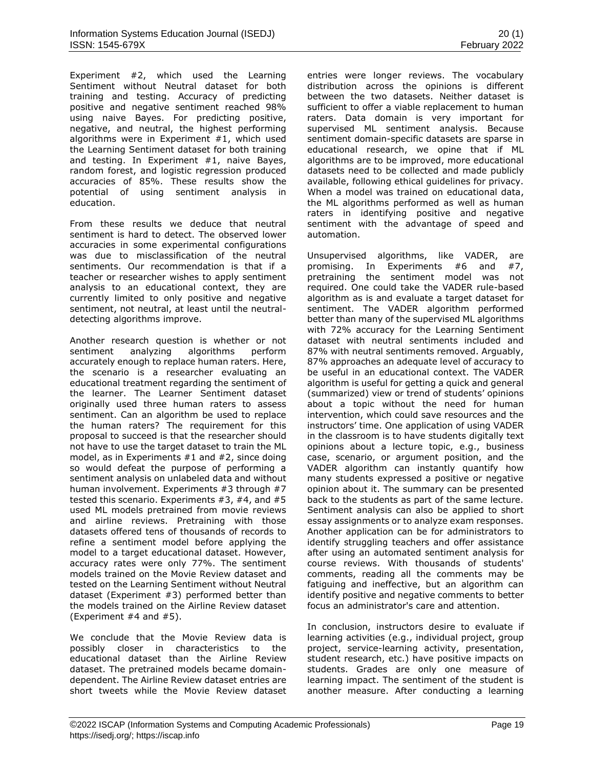Experiment #2, which used the Learning Sentiment without Neutral dataset for both training and testing. Accuracy of predicting positive and negative sentiment reached 98% using naive Bayes. For predicting positive, negative, and neutral, the highest performing algorithms were in Experiment #1, which used the Learning Sentiment dataset for both training and testing. In Experiment #1, naive Bayes, random forest, and logistic regression produced accuracies of 85%. These results show the potential of using sentiment analysis in education.

From these results we deduce that neutral sentiment is hard to detect. The observed lower accuracies in some experimental configurations was due to misclassification of the neutral sentiments. Our recommendation is that if a teacher or researcher wishes to apply sentiment analysis to an educational context, they are currently limited to only positive and negative sentiment, not neutral, at least until the neutraldetecting algorithms improve.

Another research question is whether or not sentiment analyzing algorithms perform accurately enough to replace human raters. Here, the scenario is a researcher evaluating an educational treatment regarding the sentiment of the learner. The Learner Sentiment dataset originally used three human raters to assess sentiment. Can an algorithm be used to replace the human raters? The requirement for this proposal to succeed is that the researcher should not have to use the target dataset to train the ML model, as in Experiments #1 and #2, since doing so would defeat the purpose of performing a sentiment analysis on unlabeled data and without human involvement. Experiments #3 through #7 tested this scenario. Experiments #3, #4, and #5 used ML models pretrained from movie reviews and airline reviews. Pretraining with those datasets offered tens of thousands of records to refine a sentiment model before applying the model to a target educational dataset. However, accuracy rates were only 77%. The sentiment models trained on the Movie Review dataset and tested on the Learning Sentiment without Neutral dataset (Experiment #3) performed better than the models trained on the Airline Review dataset (Experiment #4 and #5).

We conclude that the Movie Review data is possibly closer in characteristics to the educational dataset than the Airline Review dataset. The pretrained models became domaindependent. The Airline Review dataset entries are short tweets while the Movie Review dataset entries were longer reviews. The vocabulary distribution across the opinions is different between the two datasets. Neither dataset is sufficient to offer a viable replacement to human raters. Data domain is very important for supervised ML sentiment analysis. Because sentiment domain-specific datasets are sparse in educational research, we opine that if ML algorithms are to be improved, more educational datasets need to be collected and made publicly available, following ethical guidelines for privacy. When a model was trained on educational data, the ML algorithms performed as well as human raters in identifying positive and negative sentiment with the advantage of speed and automation.

Unsupervised algorithms, like VADER, are promising. In Experiments #6 and #7, pretraining the sentiment model was not required. One could take the VADER rule-based algorithm as is and evaluate a target dataset for sentiment. The VADER algorithm performed better than many of the supervised ML algorithms with 72% accuracy for the Learning Sentiment dataset with neutral sentiments included and 87% with neutral sentiments removed. Arguably, 87% approaches an adequate level of accuracy to be useful in an educational context. The VADER algorithm is useful for getting a quick and general (summarized) view or trend of students' opinions about a topic without the need for human intervention, which could save resources and the instructors' time. One application of using VADER in the classroom is to have students digitally text opinions about a lecture topic, e.g., business case, scenario, or argument position, and the VADER algorithm can instantly quantify how many students expressed a positive or negative opinion about it. The summary can be presented back to the students as part of the same lecture. Sentiment analysis can also be applied to short essay assignments or to analyze exam responses. Another application can be for administrators to identify struggling teachers and offer assistance after using an automated sentiment analysis for course reviews. With thousands of students' comments, reading all the comments may be fatiguing and ineffective, but an algorithm can identify positive and negative comments to better focus an administrator's care and attention.

In conclusion, instructors desire to evaluate if learning activities (e.g., individual project, group project, service-learning activity, presentation, student research, etc.) have positive impacts on students. Grades are only one measure of learning impact. The sentiment of the student is another measure. After conducting a learning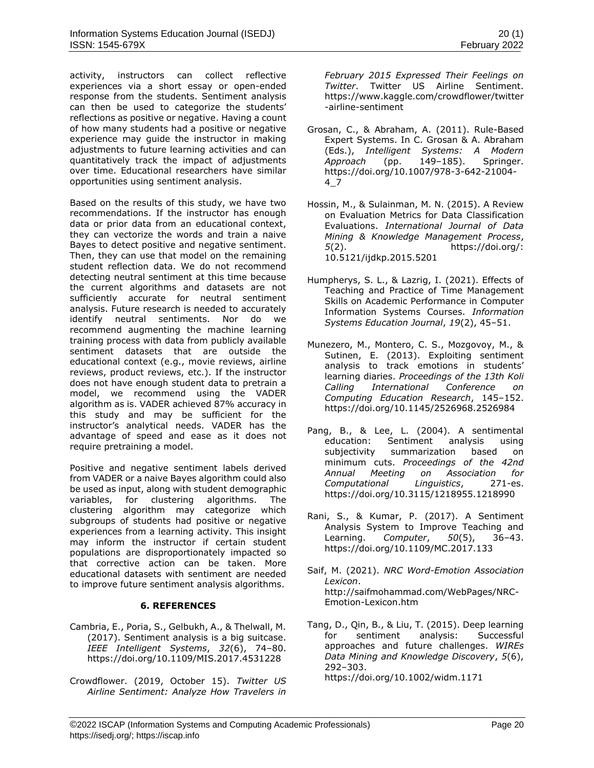activity, instructors can collect reflective experiences via a short essay or open-ended response from the students. Sentiment analysis can then be used to categorize the students' reflections as positive or negative. Having a count of how many students had a positive or negative experience may guide the instructor in making adjustments to future learning activities and can quantitatively track the impact of adjustments over time. Educational researchers have similar opportunities using sentiment analysis.

Based on the results of this study, we have two recommendations. If the instructor has enough data or prior data from an educational context, they can vectorize the words and train a naive Bayes to detect positive and negative sentiment. Then, they can use that model on the remaining student reflection data. We do not recommend detecting neutral sentiment at this time because the current algorithms and datasets are not sufficiently accurate for neutral sentiment analysis. Future research is needed to accurately identify neutral sentiments. Nor do we recommend augmenting the machine learning training process with data from publicly available sentiment datasets that are outside the educational context (e.g., movie reviews, airline reviews, product reviews, etc.). If the instructor does not have enough student data to pretrain a model, we recommend using the VADER algorithm as is. VADER achieved 87% accuracy in this study and may be sufficient for the instructor's analytical needs. VADER has the advantage of speed and ease as it does not require pretraining a model.

Positive and negative sentiment labels derived from VADER or a naive Bayes algorithm could also be used as input, along with student demographic variables, for clustering algorithms. The clustering algorithm may categorize which subgroups of students had positive or negative experiences from a learning activity. This insight may inform the instructor if certain student populations are disproportionately impacted so that corrective action can be taken. More educational datasets with sentiment are needed to improve future sentiment analysis algorithms.

# **6. REFERENCES**

- Cambria, E., Poria, S., Gelbukh, A., & Thelwall, M. (2017). Sentiment analysis is a big suitcase. *IEEE Intelligent Systems*, *32*(6), 74–80. https://doi.org/10.1109/MIS.2017.4531228
- Crowdflower. (2019, October 15). *Twitter US Airline Sentiment: Analyze How Travelers in*

*February 2015 Expressed Their Feelings on Twitter*. Twitter US Airline Sentiment. https://www.kaggle.com/crowdflower/twitter -airline-sentiment

- Grosan, C., & Abraham, A. (2011). Rule-Based Expert Systems. In C. Grosan & A. Abraham (Eds.), *Intelligent Systems: A Modern Approach* (pp. 149–185). Springer. https://doi.org/10.1007/978-3-642-21004- 4\_7
- Hossin, M., & Sulainman, M. N. (2015). A Review on Evaluation Metrics for Data Classification Evaluations. *International Journal of Data Mining & Knowledge Management Process*, *5*(2). https://doi.org/: 10.5121/ijdkp.2015.5201
- Humpherys, S. L., & Lazrig, I. (2021). Effects of Teaching and Practice of Time Management Skills on Academic Performance in Computer Information Systems Courses. *Information Systems Education Journal*, *19*(2), 45–51.
- Munezero, M., Montero, C. S., Mozgovoy, M., & Sutinen, E. (2013). Exploiting sentiment analysis to track emotions in students' learning diaries. *Proceedings of the 13th Koli Calling International Conference on Computing Education Research*, 145–152. https://doi.org/10.1145/2526968.2526984
- Pang, B., & Lee, L. (2004). A sentimental education: Sentiment analysis using subjectivity summarization based on minimum cuts. *Proceedings of the 42nd Annual Meeting on Association for Computational Linguistics*, 271-es. https://doi.org/10.3115/1218955.1218990
- Rani, S., & Kumar, P. (2017). A Sentiment Analysis System to Improve Teaching and Learning. *Computer*, *50*(5), 36–43. https://doi.org/10.1109/MC.2017.133
- Saif, M. (2021). *NRC Word-Emotion Association Lexicon*. http://saifmohammad.com/WebPages/NRC-Emotion-Lexicon.htm
- Tang, D., Qin, B., & Liu, T. (2015). Deep learning for sentiment analysis: Successful approaches and future challenges. *WIREs Data Mining and Knowledge Discovery*, *5*(6), 292–303. https://doi.org/10.1002/widm.1171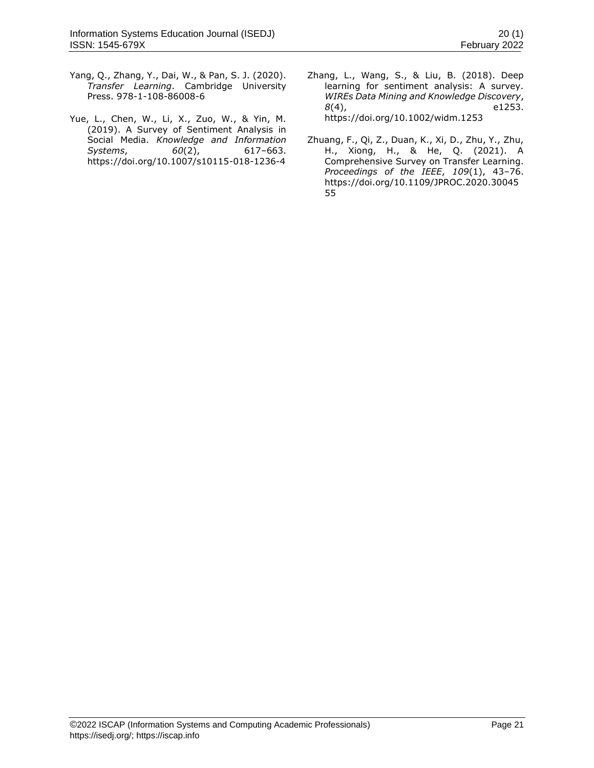- Yang, Q., Zhang, Y., Dai, W., & Pan, S. J. (2020). *Transfer Learning*. Cambridge University Press. 978-1-108-86008-6
- Yue, L., Chen, W., Li, X., Zuo, W., & Yin, M. (2019). A Survey of Sentiment Analysis in Social Media. *Knowledge and Information Systems*, *60*(2), 617–663. https://doi.org/10.1007/s10115-018-1236-4
- Zhang, L., Wang, S., & Liu, B. (2018). Deep learning for sentiment analysis: A survey. *WIREs Data Mining and Knowledge Discovery*, *8*(4), e1253. https://doi.org/10.1002/widm.1253
- Zhuang, F., Qi, Z., Duan, K., Xi, D., Zhu, Y., Zhu, H., Xiong, H., & He, Q. (2021). A Comprehensive Survey on Transfer Learning. *Proceedings of the IEEE*, *109*(1), 43–76. https://doi.org/10.1109/JPROC.2020.30045 55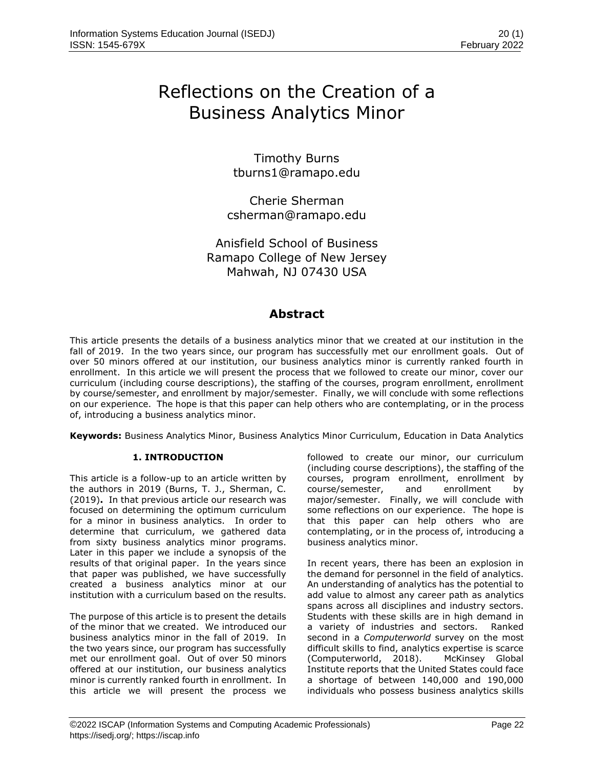# Reflections on the Creation of a Business Analytics Minor

Timothy Burns [tburns1@ramapo.edu](mailto:tburns1@ramapo.edu)

Cherie Sherman [csherman@ramapo.edu](mailto:csherman@ramapo.edu)

Anisfield School of Business Ramapo College of New Jersey Mahwah, NJ 07430 USA

# **Abstract**

This article presents the details of a business analytics minor that we created at our institution in the fall of 2019. In the two years since, our program has successfully met our enrollment goals. Out of over 50 minors offered at our institution, our business analytics minor is currently ranked fourth in enrollment. In this article we will present the process that we followed to create our minor, cover our curriculum (including course descriptions), the staffing of the courses, program enrollment, enrollment by course/semester, and enrollment by major/semester. Finally, we will conclude with some reflections on our experience. The hope is that this paper can help others who are contemplating, or in the process of, introducing a business analytics minor.

**Keywords:** Business Analytics Minor, Business Analytics Minor Curriculum, Education in Data Analytics

# **1. INTRODUCTION**

This article is a follow-up to an article written by the authors in 2019 (Burns, T. J., Sherman, C. (2019)**.** In that previous article our research was focused on determining the optimum curriculum for a minor in business analytics. In order to determine that curriculum, we gathered data from sixty business analytics minor programs. Later in this paper we include a synopsis of the results of that original paper. In the years since that paper was published, we have successfully created a business analytics minor at our institution with a curriculum based on the results.

The purpose of this article is to present the details of the minor that we created. We introduced our business analytics minor in the fall of 2019. In the two years since, our program has successfully met our enrollment goal. Out of over 50 minors offered at our institution, our business analytics minor is currently ranked fourth in enrollment. In this article we will present the process we followed to create our minor, our curriculum (including course descriptions), the staffing of the courses, program enrollment, enrollment by course/semester, and enrollment by major/semester. Finally, we will conclude with some reflections on our experience. The hope is that this paper can help others who are contemplating, or in the process of, introducing a business analytics minor.

In recent years, there has been an explosion in the demand for personnel in the field of analytics. An understanding of analytics has the potential to add value to almost any career path as analytics spans across all disciplines and industry sectors. Students with these skills are in high demand in a variety of industries and sectors. Ranked second in a *Computerworld* survey on the most difficult skills to find, analytics expertise is scarce (Computerworld, 2018). McKinsey Global Institute reports that the United States could face a shortage of between 140,000 and 190,000 individuals who possess business analytics skills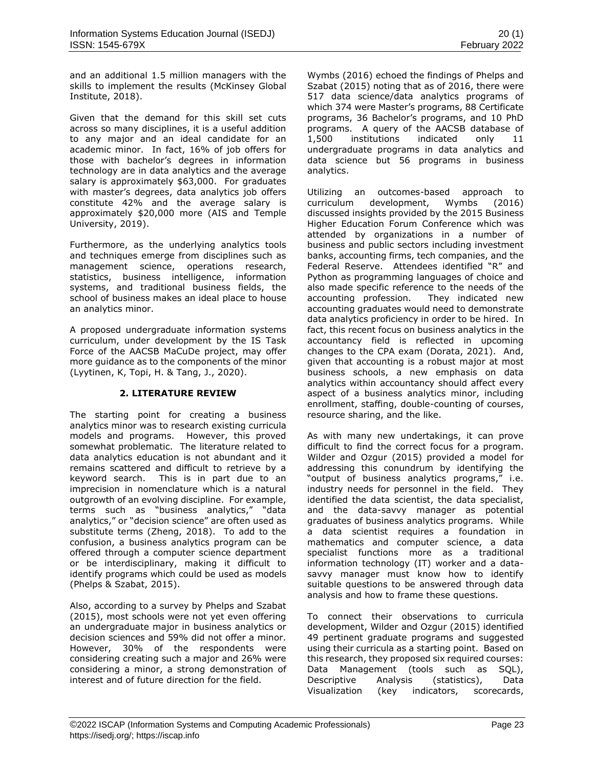and an additional 1.5 million managers with the skills to implement the results (McKinsey Global Institute, 2018).

Given that the demand for this skill set cuts across so many disciplines, it is a useful addition to any major and an ideal candidate for an academic minor. In fact, 16% of job offers for those with bachelor's degrees in information technology are in data analytics and the average salary is approximately \$63,000. For graduates with master's degrees, data analytics job offers constitute 42% and the average salary is approximately \$20,000 more (AIS and Temple University, 2019).

Furthermore, as the underlying analytics tools and techniques emerge from disciplines such as management science, operations research, statistics, business intelligence, information systems, and traditional business fields, the school of business makes an ideal place to house an analytics minor.

A proposed undergraduate information systems curriculum, under development by the IS Task Force of the AACSB MaCuDe project, may offer more guidance as to the components of the minor (Lyytinen, K, Topi, H. & Tang, J., 2020).

# **2. LITERATURE REVIEW**

The starting point for creating a business analytics minor was to research existing curricula models and programs. However, this proved somewhat problematic. The literature related to data analytics education is not abundant and it remains scattered and difficult to retrieve by a keyword search. This is in part due to an imprecision in nomenclature which is a natural outgrowth of an evolving discipline. For example, terms such as "business analytics," "data analytics," or "decision science" are often used as substitute terms (Zheng, 2018). To add to the confusion, a business analytics program can be offered through a computer science department or be interdisciplinary, making it difficult to identify programs which could be used as models (Phelps & Szabat, 2015).

Also, according to a survey by Phelps and Szabat (2015), most schools were not yet even offering an undergraduate major in business analytics or decision sciences and 59% did not offer a minor. However, 30% of the respondents were considering creating such a major and 26% were considering a minor, a strong demonstration of interest and of future direction for the field.

Wymbs (2016) echoed the findings of Phelps and Szabat (2015) noting that as of 2016, there were 517 data science/data analytics programs of which 374 were Master's programs, 88 Certificate programs, 36 Bachelor's programs, and 10 PhD programs. A query of the AACSB database of 1,500 institutions indicated only 11 undergraduate programs in data analytics and data science but 56 programs in business analytics.

Utilizing an outcomes-based approach to curriculum development, Wymbs (2016) discussed insights provided by the 2015 Business Higher Education Forum Conference which was attended by organizations in a number of business and public sectors including investment banks, accounting firms, tech companies, and the Federal Reserve. Attendees identified "R" and Python as programming languages of choice and also made specific reference to the needs of the accounting profession. They indicated new accounting graduates would need to demonstrate data analytics proficiency in order to be hired. In fact, this recent focus on business analytics in the accountancy field is reflected in upcoming changes to the CPA exam (Dorata, 2021). And, given that accounting is a robust major at most business schools, a new emphasis on data analytics within accountancy should affect every aspect of a business analytics minor, including enrollment, staffing, double-counting of courses, resource sharing, and the like.

As with many new undertakings, it can prove difficult to find the correct focus for a program. Wilder and Ozgur (2015) provided a model for addressing this conundrum by identifying the "output of business analytics programs," i.e. industry needs for personnel in the field. They identified the data scientist, the data specialist, and the data-savvy manager as potential graduates of business analytics programs. While a data scientist requires a foundation in mathematics and computer science, a data specialist functions more as a traditional information technology (IT) worker and a datasavvy manager must know how to identify suitable questions to be answered through data analysis and how to frame these questions.

To connect their observations to curricula development, Wilder and Ozgur (2015) identified 49 pertinent graduate programs and suggested using their curricula as a starting point. Based on this research, they proposed six required courses: Data Management (tools such as SQL), Descriptive Analysis (statistics), Data Visualization (key indicators, scorecards,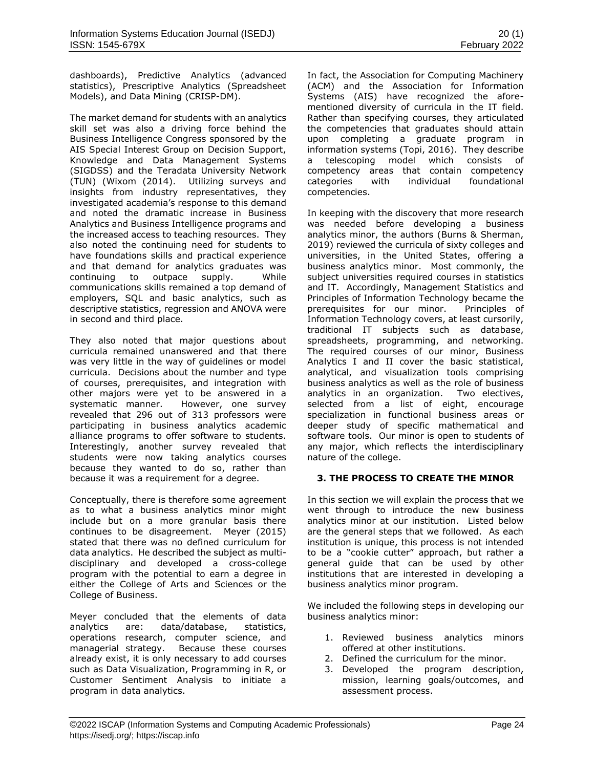dashboards), Predictive Analytics (advanced statistics), Prescriptive Analytics (Spreadsheet Models), and Data Mining (CRISP-DM).

The market demand for students with an analytics skill set was also a driving force behind the Business Intelligence Congress sponsored by the AIS Special Interest Group on Decision Support, Knowledge and Data Management Systems (SIGDSS) and the Teradata University Network (TUN) (Wixom (2014). Utilizing surveys and insights from industry representatives, they investigated academia's response to this demand and noted the dramatic increase in Business Analytics and Business Intelligence programs and the increased access to teaching resources. They also noted the continuing need for students to have foundations skills and practical experience and that demand for analytics graduates was continuing to outpace supply. While communications skills remained a top demand of employers, SQL and basic analytics, such as descriptive statistics, regression and ANOVA were in second and third place.

They also noted that major questions about curricula remained unanswered and that there was very little in the way of guidelines or model curricula. Decisions about the number and type of courses, prerequisites, and integration with other majors were yet to be answered in a systematic manner. However, one survey revealed that 296 out of 313 professors were participating in business analytics academic alliance programs to offer software to students. Interestingly, another survey revealed that students were now taking analytics courses because they wanted to do so, rather than because it was a requirement for a degree.

Conceptually, there is therefore some agreement as to what a business analytics minor might include but on a more granular basis there continues to be disagreement. Meyer (2015) stated that there was no defined curriculum for data analytics. He described the subject as multidisciplinary and developed a cross-college program with the potential to earn a degree in either the College of Arts and Sciences or the College of Business.

Meyer concluded that the elements of data analytics are: data/database, statistics, operations research, computer science, and managerial strategy. Because these courses already exist, it is only necessary to add courses such as Data Visualization, Programming in R, or Customer Sentiment Analysis to initiate a program in data analytics.

In fact, the Association for Computing Machinery (ACM) and the Association for Information Systems (AIS) have recognized the aforementioned diversity of curricula in the IT field. Rather than specifying courses, they articulated the competencies that graduates should attain upon completing a graduate program in information systems (Topi, 2016). They describe a telescoping model which consists of competency areas that contain competency categories with individual foundational competencies.

In keeping with the discovery that more research was needed before developing a business analytics minor, the authors (Burns & Sherman, 2019) reviewed the curricula of sixty colleges and universities, in the United States, offering a business analytics minor. Most commonly, the subject universities required courses in statistics and IT. Accordingly, Management Statistics and Principles of Information Technology became the prerequisites for our minor. Principles of Information Technology covers, at least cursorily, traditional IT subjects such as database, spreadsheets, programming, and networking. The required courses of our minor, Business Analytics I and II cover the basic statistical, analytical, and visualization tools comprising business analytics as well as the role of business analytics in an organization. Two electives, selected from a list of eight, encourage specialization in functional business areas or deeper study of specific mathematical and software tools. Our minor is open to students of any major, which reflects the interdisciplinary nature of the college.

# **3. THE PROCESS TO CREATE THE MINOR**

In this section we will explain the process that we went through to introduce the new business analytics minor at our institution. Listed below are the general steps that we followed. As each institution is unique, this process is not intended to be a "cookie cutter" approach, but rather a general guide that can be used by other institutions that are interested in developing a business analytics minor program.

We included the following steps in developing our business analytics minor:

- 1. Reviewed business analytics minors offered at other institutions.
- 2. Defined the curriculum for the minor.
- 3. Developed the program description, mission, learning goals/outcomes, and assessment process.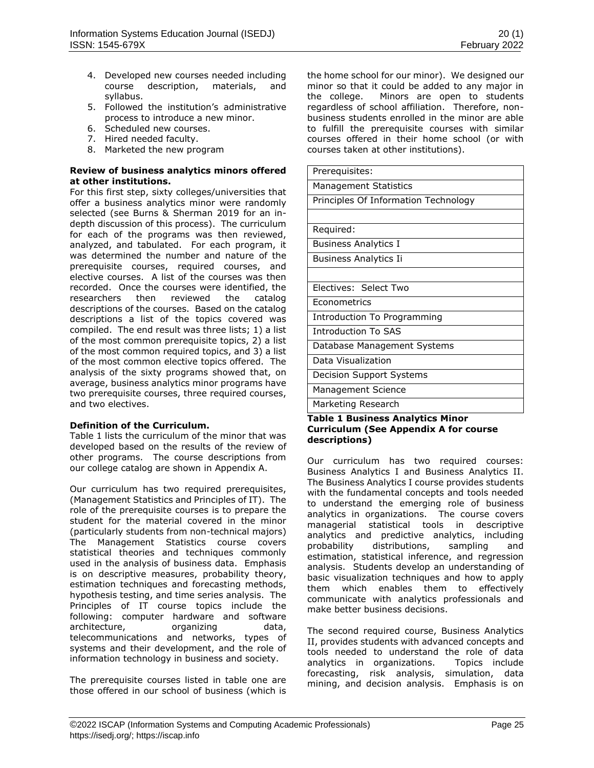- 4. Developed new courses needed including course description, materials, and syllabus.
- 5. Followed the institution's administrative process to introduce a new minor.
- 6. Scheduled new courses.
- 7. Hired needed faculty.
- 8. Marketed the new program

# **Review of business analytics minors offered at other institutions.**

For this first step, sixty colleges/universities that offer a business analytics minor were randomly selected (see Burns & Sherman 2019 for an indepth discussion of this process). The curriculum for each of the programs was then reviewed, analyzed, and tabulated. For each program, it was determined the number and nature of the prerequisite courses, required courses, and elective courses. A list of the courses was then recorded. Once the courses were identified, the researchers then reviewed the catalog descriptions of the courses. Based on the catalog descriptions a list of the topics covered was compiled. The end result was three lists; 1) a list of the most common prerequisite topics, 2) a list of the most common required topics, and 3) a list of the most common elective topics offered. The analysis of the sixty programs showed that, on average, business analytics minor programs have two prerequisite courses, three required courses, and two electives.

# **Definition of the Curriculum.**

Table 1 lists the curriculum of the minor that was developed based on the results of the review of other programs. The course descriptions from our college catalog are shown in Appendix A.

Our curriculum has two required prerequisites, (Management Statistics and Principles of IT). The role of the prerequisite courses is to prepare the student for the material covered in the minor (particularly students from non-technical majors) The Management Statistics course covers statistical theories and techniques commonly used in the analysis of business data. Emphasis is on descriptive measures, probability theory, estimation techniques and forecasting methods, hypothesis testing, and time series analysis. The Principles of IT course topics include the following: computer hardware and software architecture, organizing data, telecommunications and networks, types of systems and their development, and the role of information technology in business and society.

The prerequisite courses listed in table one are those offered in our school of business (which is the home school for our minor). We designed our minor so that it could be added to any major in the college. Minors are open to students regardless of school affiliation. Therefore, nonbusiness students enrolled in the minor are able to fulfill the prerequisite courses with similar courses offered in their home school (or with courses taken at other institutions).

Prerequisites: Management Statistics Principles Of Information Technology Required:

Business Analytics I

Business Analytics Ii

Electives: Select Two

**Econometrics** 

Introduction To Programming

Introduction To SAS

Database Management Systems

Data Visualization

Decision Support Systems

Management Science

Marketing Research

### **Table 1 Business Analytics Minor Curriculum (See Appendix A for course descriptions)**

Our curriculum has two required courses: Business Analytics I and Business Analytics II. The Business Analytics I course provides students with the fundamental concepts and tools needed to understand the emerging role of business analytics in organizations. The course covers managerial statistical tools in descriptive analytics and predictive analytics, including probability distributions, sampling and estimation, statistical inference, and regression analysis. Students develop an understanding of basic visualization techniques and how to apply them which enables them to effectively communicate with analytics professionals and make better business decisions.

The second required course, Business Analytics II, provides students with advanced concepts and tools needed to understand the role of data analytics in organizations. Topics include forecasting, risk analysis, simulation, data mining, and decision analysis. Emphasis is on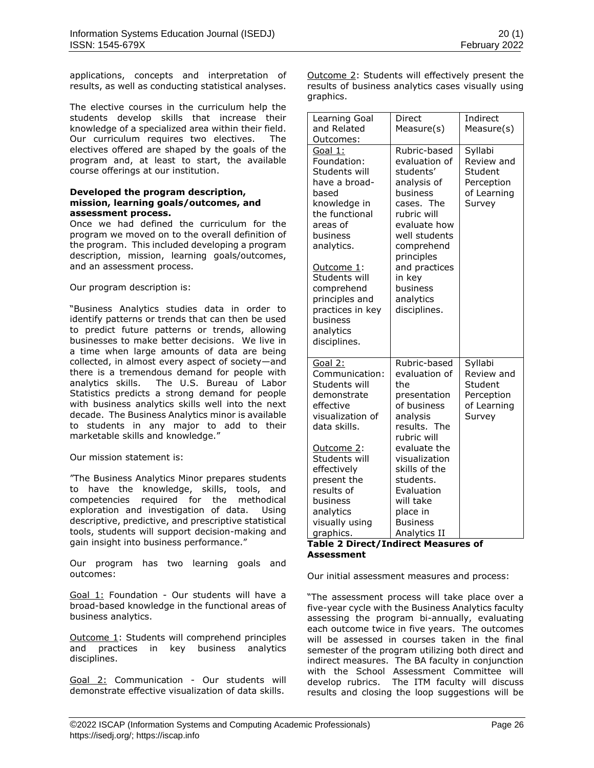applications, concepts and interpretation of results, as well as conducting statistical analyses.

The elective courses in the curriculum help the students develop skills that increase their knowledge of a specialized area within their field. Our curriculum requires two electives. The electives offered are shaped by the goals of the program and, at least to start, the available course offerings at our institution.

#### **Developed the program description, mission, learning goals/outcomes, and assessment process.**

Once we had defined the curriculum for the program we moved on to the overall definition of the program. This included developing a program description, mission, learning goals/outcomes, and an assessment process.

Our program description is:

"Business Analytics studies data in order to identify patterns or trends that can then be used to predict future patterns or trends, allowing businesses to make better decisions. We live in a time when large amounts of data are being collected, in almost every aspect of society—and there is a tremendous demand for people with analytics skills. The U.S. Bureau of Labor Statistics predicts a strong demand for people with business analytics skills well into the next decade. The Business Analytics minor is available to students in any major to add to their marketable skills and knowledge."

Our mission statement is:

"The Business Analytics Minor prepares students to have the knowledge, skills, tools, and competencies required for the methodical exploration and investigation of data. Using descriptive, predictive, and prescriptive statistical tools, students will support decision-making and gain insight into business performance."

Our program has two learning goals and outcomes:

Goal 1: Foundation - Our students will have a broad-based knowledge in the functional areas of business analytics.

Outcome 1: Students will comprehend principles and practices in key business analytics disciplines.

Goal 2: Communication - Our students will demonstrate effective visualization of data skills.

Outcome 2: Students will effectively present the results of business analytics cases visually using graphics.

| Learning Goal<br>and Related<br>Outcomes:                                                                                                                                                                                                                                     | Direct<br>Measure(s)                                                                                                                                                                                                                                    | Indirect<br>Measure(s)                                                  |
|-------------------------------------------------------------------------------------------------------------------------------------------------------------------------------------------------------------------------------------------------------------------------------|---------------------------------------------------------------------------------------------------------------------------------------------------------------------------------------------------------------------------------------------------------|-------------------------------------------------------------------------|
| Goal 1:<br>Foundation:<br>Students will<br>have a broad-<br>based<br>knowledge in<br>the functional<br>areas of<br>business<br>analytics.<br><u>Outcome 1</u> :<br>Students will<br>comprehend<br>principles and<br>practices in key<br>business<br>analytics<br>disciplines. | Rubric-based<br>evaluation of<br>students'<br>analysis of<br>business<br>cases. The<br>rubric will<br>evaluate how<br>well students<br>comprehend<br>principles<br>and practices<br>in key<br>business<br>analytics<br>disciplines.                     | Syllabi<br>Review and<br>Student<br>Perception<br>of Learning<br>Survey |
| Goal 2:<br>Communication:<br>Students will<br>demonstrate<br>effective<br>visualization of<br>data skills.<br><u>Outcome 2</u> :<br>Students will<br>effectively<br>present the<br>results of<br>business<br>analytics<br>visually using<br>graphics.                         | Rubric-based<br>evaluation of<br>the<br>presentation<br>of business<br>analysis<br>results. The<br>rubric will<br>evaluate the<br>visualization<br>skills of the<br>students.<br>Evaluation<br>will take<br>place in<br><b>Business</b><br>Analytics II | Syllabi<br>Review and<br>Student<br>Perception<br>of Learning<br>Survey |

### **Table 2 Direct/Indirect Measures of Assessment**

Our initial assessment measures and process:

"The assessment process will take place over a five-year cycle with the Business Analytics faculty assessing the program bi-annually, evaluating each outcome twice in five years. The outcomes will be assessed in courses taken in the final semester of the program utilizing both direct and indirect measures. The BA faculty in conjunction with the School Assessment Committee will develop rubrics. The ITM faculty will discuss results and closing the loop suggestions will be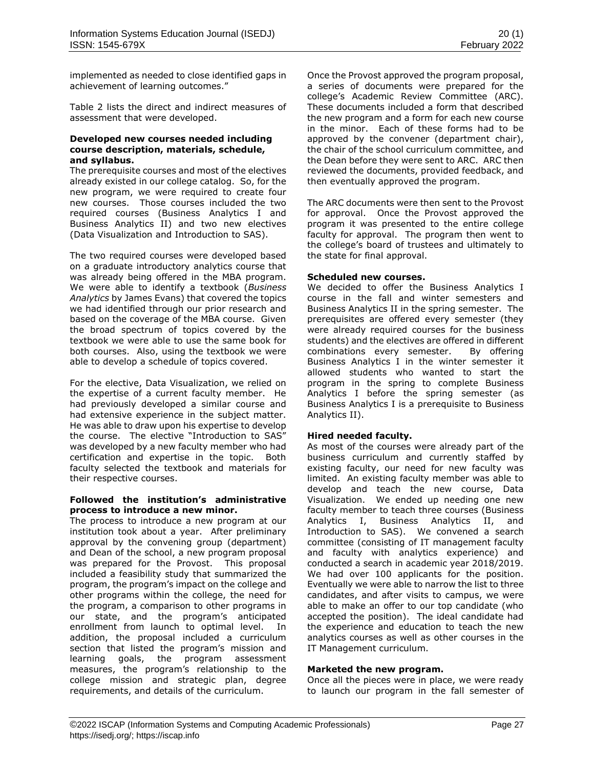implemented as needed to close identified gaps in achievement of learning outcomes."

Table 2 lists the direct and indirect measures of assessment that were developed.

### **Developed new courses needed including course description, materials, schedule, and syllabus.**

The prerequisite courses and most of the electives already existed in our college catalog. So, for the new program, we were required to create four new courses. Those courses included the two required courses (Business Analytics I and Business Analytics II) and two new electives (Data Visualization and Introduction to SAS).

The two required courses were developed based on a graduate introductory analytics course that was already being offered in the MBA program. We were able to identify a textbook (*Business Analytics* by James Evans) that covered the topics we had identified through our prior research and based on the coverage of the MBA course. Given the broad spectrum of topics covered by the textbook we were able to use the same book for both courses. Also, using the textbook we were able to develop a schedule of topics covered.

For the elective, Data Visualization, we relied on the expertise of a current faculty member. He had previously developed a similar course and had extensive experience in the subject matter. He was able to draw upon his expertise to develop the course. The elective "Introduction to SAS" was developed by a new faculty member who had certification and expertise in the topic. Both faculty selected the textbook and materials for their respective courses.

### **Followed the institution's administrative process to introduce a new minor.**

The process to introduce a new program at our institution took about a year. After preliminary approval by the convening group (department) and Dean of the school, a new program proposal was prepared for the Provost. This proposal included a feasibility study that summarized the program, the program's impact on the college and other programs within the college, the need for the program, a comparison to other programs in our state, and the program's anticipated enrollment from launch to optimal level. In addition, the proposal included a curriculum section that listed the program's mission and learning goals, the program assessment measures, the program's relationship to the college mission and strategic plan, degree requirements, and details of the curriculum.

Once the Provost approved the program proposal, a series of documents were prepared for the college's Academic Review Committee (ARC). These documents included a form that described the new program and a form for each new course in the minor. Each of these forms had to be approved by the convener (department chair), the chair of the school curriculum committee, and the Dean before they were sent to ARC. ARC then reviewed the documents, provided feedback, and then eventually approved the program.

The ARC documents were then sent to the Provost for approval. Once the Provost approved the program it was presented to the entire college faculty for approval. The program then went to the college's board of trustees and ultimately to the state for final approval.

## **Scheduled new courses.**

We decided to offer the Business Analytics I course in the fall and winter semesters and Business Analytics II in the spring semester. The prerequisites are offered every semester (they were already required courses for the business students) and the electives are offered in different combinations every semester. By offering Business Analytics I in the winter semester it allowed students who wanted to start the program in the spring to complete Business Analytics I before the spring semester (as Business Analytics I is a prerequisite to Business Analytics II).

### **Hired needed faculty.**

As most of the courses were already part of the business curriculum and currently staffed by existing faculty, our need for new faculty was limited. An existing faculty member was able to develop and teach the new course, Data Visualization. We ended up needing one new faculty member to teach three courses (Business Analytics I, Business Analytics II, and Introduction to SAS). We convened a search committee (consisting of IT management faculty and faculty with analytics experience) and conducted a search in academic year 2018/2019. We had over 100 applicants for the position. Eventually we were able to narrow the list to three candidates, and after visits to campus, we were able to make an offer to our top candidate (who accepted the position). The ideal candidate had the experience and education to teach the new analytics courses as well as other courses in the IT Management curriculum.

### **Marketed the new program.**

Once all the pieces were in place, we were ready to launch our program in the fall semester of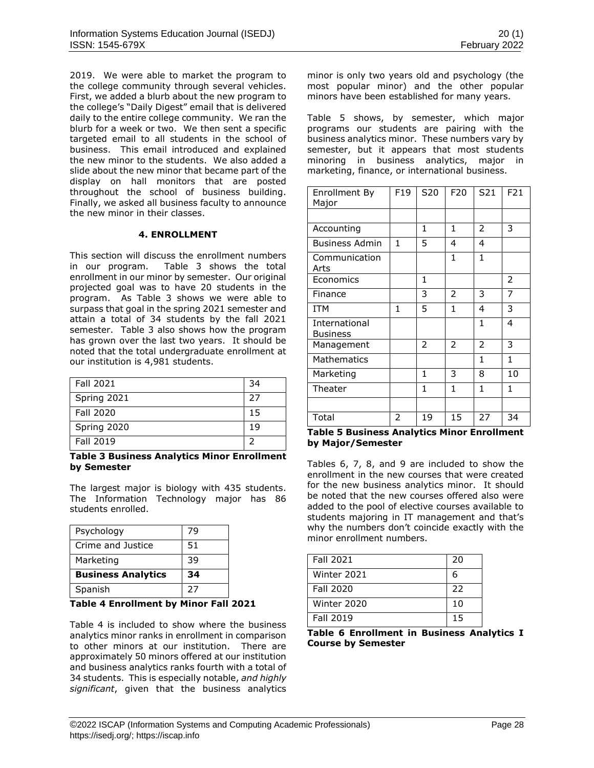2019. We were able to market the program to the college community through several vehicles. First, we added a blurb about the new program to the college's "Daily Digest" email that is delivered daily to the entire college community. We ran the blurb for a week or two. We then sent a specific targeted email to all students in the school of business. This email introduced and explained the new minor to the students. We also added a slide about the new minor that became part of the display on hall monitors that are posted throughout the school of business building. Finally, we asked all business faculty to announce the new minor in their classes.

# **4. ENROLLMENT**

This section will discuss the enrollment numbers in our program. Table 3 shows the total enrollment in our minor by semester. Our original projected goal was to have 20 students in the program. As Table 3 shows we were able to surpass that goal in the spring 2021 semester and attain a total of 34 students by the fall 2021 semester. Table 3 also shows how the program has grown over the last two years. It should be noted that the total undergraduate enrollment at our institution is 4,981 students.

| Fall 2021   | 34 |
|-------------|----|
| Spring 2021 | 27 |
| Fall 2020   | 15 |
| Spring 2020 | 19 |
| Fall 2019   |    |

### **Table 3 Business Analytics Minor Enrollment by Semester**

The largest major is biology with 435 students. The Information Technology major has 86 students enrolled.

| Psychology                | 79 |
|---------------------------|----|
| Crime and Justice         | 51 |
| Marketing                 | 39 |
| <b>Business Analytics</b> | 34 |
| Spanish                   | 27 |

### **Table 4 Enrollment by Minor Fall 2021**

Table 4 is included to show where the business analytics minor ranks in enrollment in comparison to other minors at our institution. There are approximately 50 minors offered at our institution and business analytics ranks fourth with a total of 34 students. This is especially notable, *and highly significant*, given that the business analytics minor is only two years old and psychology (the most popular minor) and the other popular minors have been established for many years.

Table 5 shows, by semester, which major programs our students are pairing with the business analytics minor. These numbers vary by semester, but it appears that most students minoring in business analytics, major in marketing, finance, or international business.

| Enrollment By<br>Major           | F19 | S20            | F <sub>20</sub> | S21 | F21          |
|----------------------------------|-----|----------------|-----------------|-----|--------------|
|                                  |     |                |                 |     |              |
| Accounting                       |     | 1              | 1               | 2   | 3            |
| <b>Business Admin</b>            | 1   | 5              | 4               | 4   |              |
| Communication<br>Arts            |     |                | $\mathbf{1}$    | 1   |              |
| Economics                        |     | 1              |                 |     | 2            |
| Finance                          |     | 3              | 2               | 3   | 7            |
| <b>ITM</b>                       | 1   | 5              | 1               | 4   | 3            |
| International<br><b>Business</b> |     |                |                 | 1   | 4            |
| Management                       |     | $\overline{2}$ | $\overline{2}$  | 2   | 3            |
| <b>Mathematics</b>               |     |                |                 | 1   | $\mathbf{1}$ |
| Marketing                        |     | $\mathbf{1}$   | 3               | 8   | 10           |
| Theater                          |     | 1              | 1               | 1   | $\mathbf{1}$ |
|                                  |     |                |                 |     |              |
| Total                            | 2   | 19             | 15              | 27  | 34           |

#### **Table 5 Business Analytics Minor Enrollment by Major/Semester**

Tables 6, 7, 8, and 9 are included to show the enrollment in the new courses that were created for the new business analytics minor. It should be noted that the new courses offered also were added to the pool of elective courses available to students majoring in IT management and that's why the numbers don't coincide exactly with the minor enrollment numbers.

| <b>Fall 2021</b> | 20 |
|------------------|----|
| Winter 2021      | 6  |
| <b>Fall 2020</b> | 22 |
| Winter 2020      | 10 |
| <b>Fall 2019</b> | 15 |

**Table 6 Enrollment in Business Analytics I Course by Semester**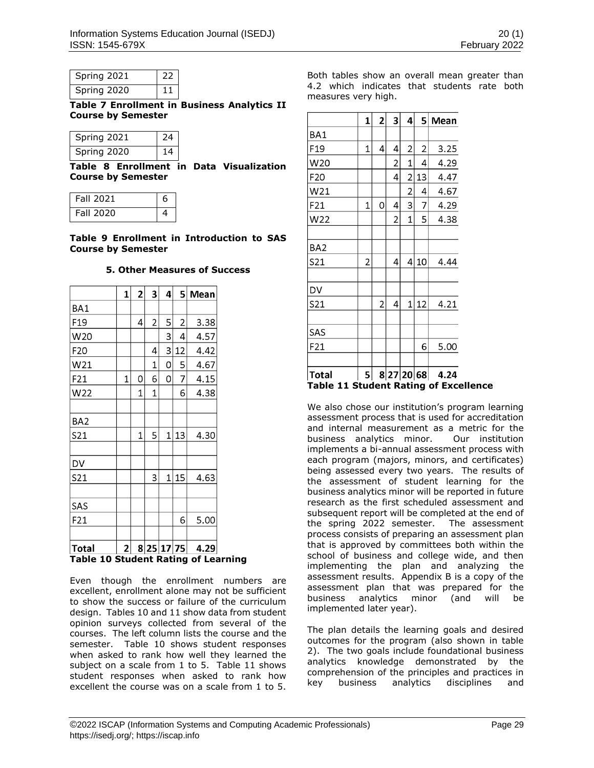| Spring 2021 | - 22 |  |
|-------------|------|--|
| Spring 2020 | U    |  |

**Table 7 Enrollment in Business Analytics II Course by Semester**

| Spring 2021 | -24 |
|-------------|-----|
| Spring 2020 | 14  |

**Table 8 Enrollment in Data Visualization Course by Semester**

| Fall 2021 | 6 |
|-----------|---|
| Fall 2020 |   |

**Table 9 Enrollment in Introduction to SAS Course by Semester**

## **5. Other Measures of Success**

|                 | 1 | $\overline{\mathbf{c}}$ | 3              | 4          | 5              | Mean |
|-----------------|---|-------------------------|----------------|------------|----------------|------|
| BA1             |   |                         |                |            |                |      |
| F <sub>19</sub> |   | 4                       | $\overline{2}$ | 5          | $\overline{2}$ | 3.38 |
| W20             |   |                         |                | 3          | 4              | 4.57 |
| F20             |   |                         | 4              | 3          | 12             | 4.42 |
| W21             |   |                         | 1              | 0          | 5              | 4.67 |
| F21             | 1 | 0                       | 6              | 0          | 7              | 4.15 |
| W22             |   | 1                       | 1              |            | 6              | 4.38 |
|                 |   |                         |                |            |                |      |
| BA <sub>2</sub> |   |                         |                |            |                |      |
| S21             |   | $\mathbf{1}$            | 5              | 1          | 13             | 4.30 |
|                 |   |                         |                |            |                |      |
| DV              |   |                         |                |            |                |      |
| S21             |   |                         | 3              | 1          | 15             | 4.63 |
|                 |   |                         |                |            |                |      |
| SAS             |   |                         |                |            |                |      |
| F21             |   |                         |                |            | 6              | 5.00 |
|                 |   |                         |                |            |                |      |
| <b>Total</b>    | 2 |                         |                | 8 25 17 75 |                | 4.29 |

# **Table 10 Student Rating of Learning**

Even though the enrollment numbers are excellent, enrollment alone may not be sufficient to show the success or failure of the curriculum design. Tables 10 and 11 show data from student opinion surveys collected from several of the courses. The left column lists the course and the semester. Table 10 shows student responses when asked to rank how well they learned the subject on a scale from 1 to 5. Table 11 shows student responses when asked to rank how excellent the course was on a scale from 1 to 5.

Both tables show an overall mean greater than 4.2 which indicates that students rate both measures very high.

|                 | 1 | 2 | 3 | 4 | 5          | Mean |
|-----------------|---|---|---|---|------------|------|
| BA1             |   |   |   |   |            |      |
| F19             | 1 | 4 | 4 | 2 | 2          | 3.25 |
| W20             |   |   | 2 | 1 | 4          | 4.29 |
| F20             |   |   | 4 | 2 | 13         | 4.47 |
| W21             |   |   |   | 2 | 4          | 4.67 |
| F21             | 1 | 0 | 4 | 3 | 7          | 4.29 |
| W22             |   |   | 2 | 1 | 5          | 4.38 |
|                 |   |   |   |   |            |      |
| BA <sub>2</sub> |   |   |   |   |            |      |
| S21             | 2 |   | 4 | 4 | 10         | 4.44 |
|                 |   |   |   |   |            |      |
| DV              |   |   |   |   |            |      |
| S21             |   | 2 | 4 | 1 | 12         | 4.21 |
| SAS             |   |   |   |   |            |      |
| F21             |   |   |   |   | 6          | 5.00 |
|                 |   |   |   |   |            |      |
| <b>Total</b>    | 5 |   |   |   | 8 27 20 68 | 4.24 |

# **Student Rating of Excellence**

We also chose our institution's program learning assessment process that is used for accreditation and internal measurement as a metric for the business analytics minor. Our institution implements a bi-annual assessment process with each program (majors, minors, and certificates) being assessed every two years. The results of the assessment of student learning for the business analytics minor will be reported in future research as the first scheduled assessment and subsequent report will be completed at the end of the spring 2022 semester. The assessment process consists of preparing an assessment plan that is approved by committees both within the school of business and college wide, and then implementing the plan and analyzing the assessment results. Appendix B is a copy of the assessment plan that was prepared for the business analytics minor (and will be implemented later year).

The plan details the learning goals and desired outcomes for the program (also shown in table 2). The two goals include foundational business analytics knowledge demonstrated by the comprehension of the principles and practices in key business analytics disciplines and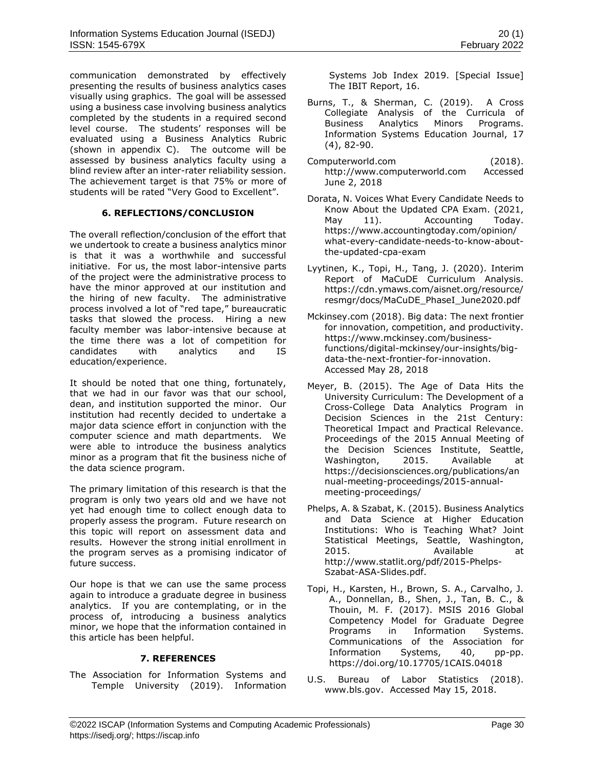communication demonstrated by effectively presenting the results of business analytics cases visually using graphics. The goal will be assessed using a business case involving business analytics completed by the students in a required second level course. The students' responses will be evaluated using a Business Analytics Rubric (shown in appendix C). The outcome will be assessed by business analytics faculty using a blind review after an inter-rater reliability session. The achievement target is that 75% or more of students will be rated "Very Good to Excellent".

# **6. REFLECTIONS/CONCLUSION**

The overall reflection/conclusion of the effort that we undertook to create a business analytics minor is that it was a worthwhile and successful initiative. For us, the most labor-intensive parts of the project were the administrative process to have the minor approved at our institution and the hiring of new faculty. The administrative process involved a lot of "red tape," bureaucratic tasks that slowed the process. Hiring a new faculty member was labor-intensive because at the time there was a lot of competition for candidates with analytics and IS education/experience.

It should be noted that one thing, fortunately, that we had in our favor was that our school, dean, and institution supported the minor. Our institution had recently decided to undertake a major data science effort in conjunction with the computer science and math departments. We were able to introduce the business analytics minor as a program that fit the business niche of the data science program.

The primary limitation of this research is that the program is only two years old and we have not yet had enough time to collect enough data to properly assess the program. Future research on this topic will report on assessment data and results. However the strong initial enrollment in the program serves as a promising indicator of future success.

Our hope is that we can use the same process again to introduce a graduate degree in business analytics. If you are contemplating, or in the process of, introducing a business analytics minor, we hope that the information contained in this article has been helpful.

### **7. REFERENCES**

The Association for Information Systems and Temple University (2019). Information Systems Job Index 2019. [Special Issue] The IBIT Report, 16.

- Burns, T., & Sherman, C. (2019). A Cross Collegiate Analysis of the Curricula of Business Analytics Minors Programs. Information Systems Education Journal, 17 (4), 82-90.
- Computerworld.com (2018). [http://www.computerworld.com](http://www.computerworld.com/) Accessed June 2, 2018
- Dorata, N. Voices What Every Candidate Needs to Know About the Updated CPA Exam. (2021, May 11). Accounting Today. https://www.accountingtoday.com/opinion/ what-every-candidate-needs-to-know-aboutthe-updated-cpa-exam
- Lyytinen, K., Topi, H., Tang, J. (2020). Interim Report of MaCuDE Curriculum Analysis. https://cdn.ymaws.com/aisnet.org/resource/ resmgr/docs/MaCuDE\_PhaseI\_June2020.pdf
- Mckinsey.com (2018). Big data: The next frontier for innovation, competition, and productivity. [https://www.mckinsey.com/business](https://www.mckinsey.com/business-functions/digital-mckinsey/our-insights/big-data-the-next-frontier-for-innovation)[functions/digital-mckinsey/our-insights/big](https://www.mckinsey.com/business-functions/digital-mckinsey/our-insights/big-data-the-next-frontier-for-innovation)[data-the-next-frontier-for-innovation.](https://www.mckinsey.com/business-functions/digital-mckinsey/our-insights/big-data-the-next-frontier-for-innovation) Accessed May 28, 2018
- Meyer, B. (2015). The Age of Data Hits the University Curriculum: The Development of a Cross-College Data Analytics Program in Decision Sciences in the 21st Century: Theoretical Impact and Practical Relevance. Proceedings of the 2015 Annual Meeting of the Decision Sciences Institute, Seattle, Washington, 2015. Available at [https://decisionsciences.org/publications/an](https://decisionsciences.org/publications/annual-meeting-proceedings/2015-annual-meeting-proceedings/) [nual-meeting-proceedings/2015-annual](https://decisionsciences.org/publications/annual-meeting-proceedings/2015-annual-meeting-proceedings/)[meeting-proceedings/](https://decisionsciences.org/publications/annual-meeting-proceedings/2015-annual-meeting-proceedings/)
- Phelps, A. & Szabat, K. (2015). Business Analytics and Data Science at Higher Education Institutions: Who is Teaching What? Joint Statistical Meetings, Seattle, Washington, 2015. Available at [http://www.statlit.org/pdf/2015-Phelps-](http://www.statlit.org/pdf/2015-Phelps-Szabat-ASA-Slides.pdf)[Szabat-ASA-Slides.pdf.](http://www.statlit.org/pdf/2015-Phelps-Szabat-ASA-Slides.pdf)
- Topi, H., Karsten, H., Brown, S. A., Carvalho, J. A., Donnellan, B., Shen, J., Tan, B. C., & Thouin, M. F. (2017). MSIS 2016 Global Competency Model for Graduate Degree Programs in Information Systems. Communications of the Association for Information Systems, 40, pp-pp. https://doi.org/10.17705/1CAIS.04018
- U.S. Bureau of Labor Statistics (2018). [www.bls.gov.](http://www.bls.gov/) Accessed May 15, 2018.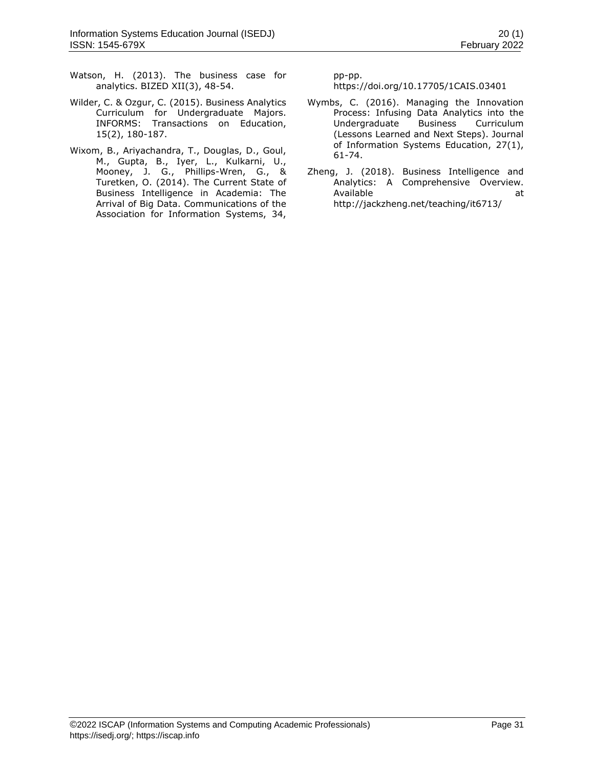- Watson, H. (2013). The business case for analytics. BIZED XII(3), 48-54.
- Wilder, C. & Ozgur, C. (2015). Business Analytics Curriculum for Undergraduate Majors. INFORMS: Transactions on Education, 15(2), 180-187.
- Wixom, B., Ariyachandra, T., Douglas, D., Goul, M., Gupta, B., Iyer, L., Kulkarni, U., Mooney, J. G., Phillips-Wren, G., & Turetken, O. (2014). The Current State of Business Intelligence in Academia: The Arrival of Big Data. Communications of the Association for Information Systems, 34,

pp-pp.

https://doi.org/10.17705/1CAIS.03401

- Wymbs, C. (2016). Managing the Innovation Process: Infusing Data Analytics into the Undergraduate Business Curriculum (Lessons Learned and Next Steps). Journal of Information Systems Education, 27(1), 61-74.
- Zheng, J. (2018). Business Intelligence and Analytics: A Comprehensive Overview. Available at a state at a state at a state and a state at a state and a state at a state and a state at a state and a state at a state and a state at a state and a state and a state and a state and a state and a state and <http://jackzheng.net/teaching/it6713/>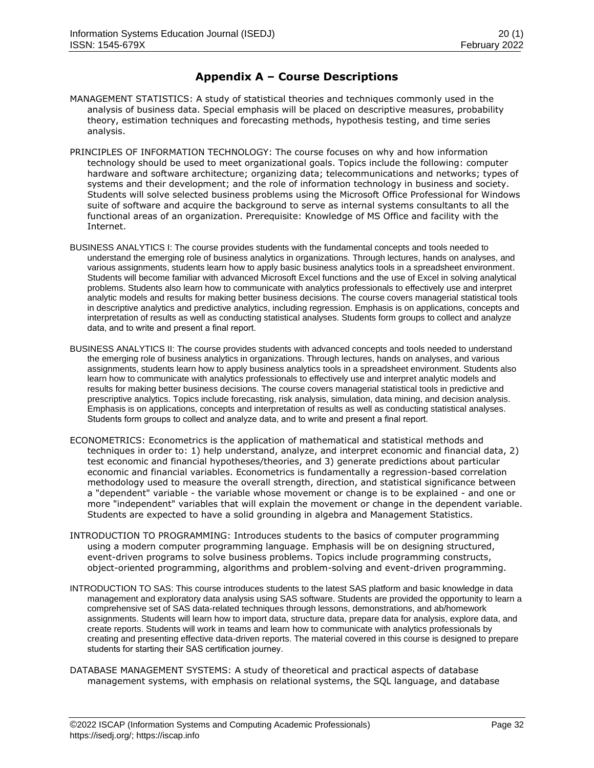# **Appendix A – Course Descriptions**

- MANAGEMENT STATISTICS: A study of statistical theories and techniques commonly used in the analysis of business data. Special emphasis will be placed on descriptive measures, probability theory, estimation techniques and forecasting methods, hypothesis testing, and time series analysis.
- PRINCIPLES OF INFORMATION TECHNOLOGY: The course focuses on why and how information technology should be used to meet organizational goals. Topics include the following: computer hardware and software architecture; organizing data; telecommunications and networks; types of systems and their development; and the role of information technology in business and society. Students will solve selected business problems using the Microsoft Office Professional for Windows suite of software and acquire the background to serve as internal systems consultants to all the functional areas of an organization. Prerequisite: Knowledge of MS Office and facility with the Internet.
- BUSINESS ANALYTICS I: The course provides students with the fundamental concepts and tools needed to understand the emerging role of business analytics in organizations. Through lectures, hands on analyses, and various assignments, students learn how to apply basic business analytics tools in a spreadsheet environment. Students will become familiar with advanced Microsoft Excel functions and the use of Excel in solving analytical problems. Students also learn how to communicate with analytics professionals to effectively use and interpret analytic models and results for making better business decisions. The course covers managerial statistical tools in descriptive analytics and predictive analytics, including regression. Emphasis is on applications, concepts and interpretation of results as well as conducting statistical analyses. Students form groups to collect and analyze data, and to write and present a final report.
- BUSINESS ANALYTICS II: The course provides students with advanced concepts and tools needed to understand the emerging role of business analytics in organizations. Through lectures, hands on analyses, and various assignments, students learn how to apply business analytics tools in a spreadsheet environment. Students also learn how to communicate with analytics professionals to effectively use and interpret analytic models and results for making better business decisions. The course covers managerial statistical tools in predictive and prescriptive analytics. Topics include forecasting, risk analysis, simulation, data mining, and decision analysis. Emphasis is on applications, concepts and interpretation of results as well as conducting statistical analyses. Students form groups to collect and analyze data, and to write and present a final report.
- ECONOMETRICS: Econometrics is the application of mathematical and statistical methods and techniques in order to: 1) help understand, analyze, and interpret economic and financial data, 2) test economic and financial hypotheses/theories, and 3) generate predictions about particular economic and financial variables. Econometrics is fundamentally a regression-based correlation methodology used to measure the overall strength, direction, and statistical significance between a "dependent" variable - the variable whose movement or change is to be explained - and one or more "independent" variables that will explain the movement or change in the dependent variable. Students are expected to have a solid grounding in algebra and Management Statistics.
- INTRODUCTION TO PROGRAMMING: Introduces students to the basics of computer programming using a modern computer programming language. Emphasis will be on designing structured, event-driven programs to solve business problems. Topics include programming constructs, object-oriented programming, algorithms and problem-solving and event-driven programming.
- INTRODUCTION TO SAS: This course introduces students to the latest SAS platform and basic knowledge in data management and exploratory data analysis using SAS software. Students are provided the opportunity to learn a comprehensive set of SAS data-related techniques through lessons, demonstrations, and ab/homework assignments. Students will learn how to import data, structure data, prepare data for analysis, explore data, and create reports. Students will work in teams and learn how to communicate with analytics professionals by creating and presenting effective data-driven reports. The material covered in this course is designed to prepare students for starting their SAS certification journey.
- DATABASE MANAGEMENT SYSTEMS: A study of theoretical and practical aspects of database management systems, with emphasis on relational systems, the SQL language, and database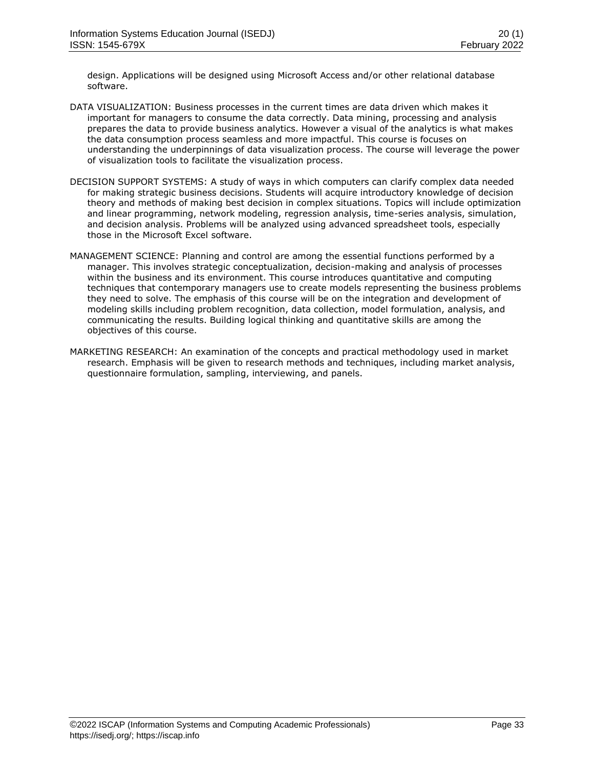design. Applications will be designed using Microsoft Access and/or other relational database software.

- DATA VISUALIZATION: Business processes in the current times are data driven which makes it important for managers to consume the data correctly. Data mining, processing and analysis prepares the data to provide business analytics. However a visual of the analytics is what makes the data consumption process seamless and more impactful. This course is focuses on understanding the underpinnings of data visualization process. The course will leverage the power of visualization tools to facilitate the visualization process.
- DECISION SUPPORT SYSTEMS: A study of ways in which computers can clarify complex data needed for making strategic business decisions. Students will acquire introductory knowledge of decision theory and methods of making best decision in complex situations. Topics will include optimization and linear programming, network modeling, regression analysis, time-series analysis, simulation, and decision analysis. Problems will be analyzed using advanced spreadsheet tools, especially those in the Microsoft Excel software.
- MANAGEMENT SCIENCE: Planning and control are among the essential functions performed by a manager. This involves strategic conceptualization, decision-making and analysis of processes within the business and its environment. This course introduces quantitative and computing techniques that contemporary managers use to create models representing the business problems they need to solve. The emphasis of this course will be on the integration and development of modeling skills including problem recognition, data collection, model formulation, analysis, and communicating the results. Building logical thinking and quantitative skills are among the objectives of this course.
- MARKETING RESEARCH: An examination of the concepts and practical methodology used in market research. Emphasis will be given to research methods and techniques, including market analysis, questionnaire formulation, sampling, interviewing, and panels.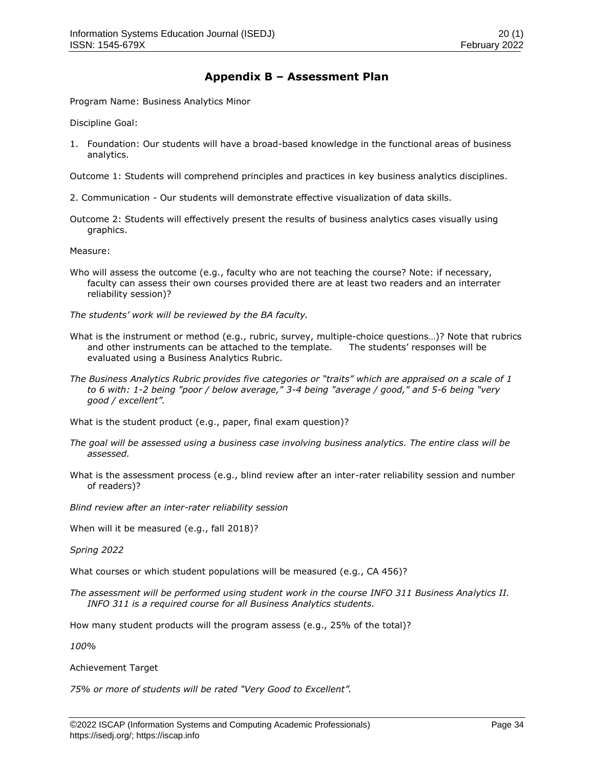# **Appendix B – Assessment Plan**

Program Name: Business Analytics Minor

Discipline Goal:

1. Foundation: Our students will have a broad-based knowledge in the functional areas of business analytics.

Outcome 1: Students will comprehend principles and practices in key business analytics disciplines.

- 2. Communication Our students will demonstrate effective visualization of data skills.
- Outcome 2: Students will effectively present the results of business analytics cases visually using graphics.

Measure:

Who will assess the outcome (e.g., faculty who are not teaching the course? Note: if necessary, faculty can assess their own courses provided there are at least two readers and an interrater reliability session)?

*The students' work will be reviewed by the BA faculty.*

- What is the instrument or method (e.g., rubric, survey, multiple-choice questions…)? Note that rubrics and other instruments can be attached to the template. The students' responses will be evaluated using a Business Analytics Rubric.
- *The Business Analytics Rubric provides five categories or "traits" which are appraised on a scale of 1 to 6 with: 1-2 being "poor / below average," 3-4 being "average / good," and 5-6 being "very good / excellent".*

What is the student product (e.g., paper, final exam question)?

- *The goal will be assessed using a business case involving business analytics. The entire class will be assessed.*
- What is the assessment process (e.g., blind review after an inter-rater reliability session and number of readers)?

*Blind review after an inter-rater reliability session*

When will it be measured (e.g., fall 2018)?

*Spring 2022*

What courses or which student populations will be measured (e.g., CA 456)?

*The assessment will be performed using student work in the course INFO 311 Business Analytics II. INFO 311 is a required course for all Business Analytics students.* 

How many student products will the program assess (e.g., 25% of the total)?

*100%*

Achievement Target

*75% or more of students will be rated "Very Good to Excellent".*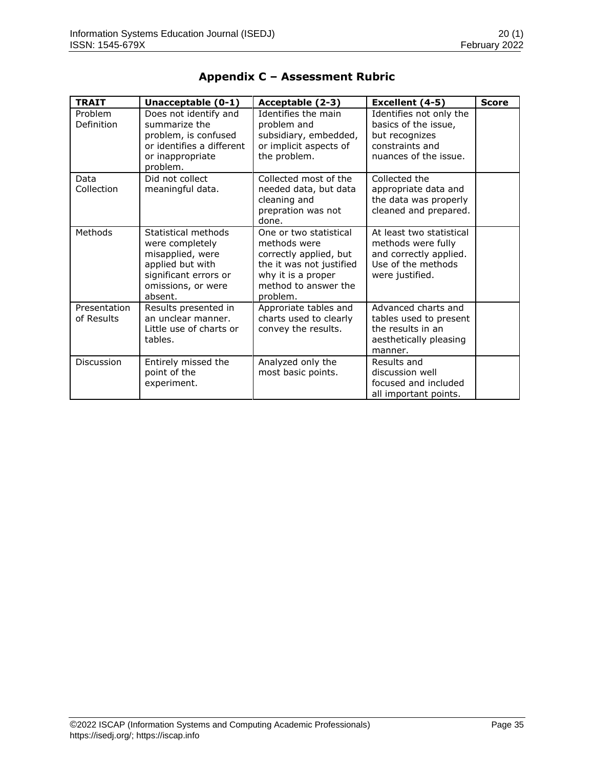| <b>TRAIT</b>               | Unacceptable (0-1)                                                                                                                       | Acceptable (2-3)                                                                                                                                       | Excellent (4-5)                                                                                                   | <b>Score</b> |
|----------------------------|------------------------------------------------------------------------------------------------------------------------------------------|--------------------------------------------------------------------------------------------------------------------------------------------------------|-------------------------------------------------------------------------------------------------------------------|--------------|
| Problem<br>Definition      | Does not identify and<br>summarize the<br>problem, is confused<br>or identifies a different<br>or inappropriate<br>problem.              | Identifies the main<br>problem and<br>subsidiary, embedded,<br>or implicit aspects of<br>the problem.                                                  | Identifies not only the<br>basics of the issue,<br>but recognizes<br>constraints and<br>nuances of the issue.     |              |
| Data<br>Collection         | Did not collect<br>meaningful data.                                                                                                      | Collected most of the<br>needed data, but data<br>cleaning and<br>prepration was not<br>done.                                                          | Collected the<br>appropriate data and<br>the data was properly<br>cleaned and prepared.                           |              |
| Methods                    | Statistical methods<br>were completely<br>misapplied, were<br>applied but with<br>significant errors or<br>omissions, or were<br>absent. | One or two statistical<br>methods were<br>correctly applied, but<br>the it was not justified<br>why it is a proper<br>method to answer the<br>problem. | At least two statistical<br>methods were fully<br>and correctly applied.<br>Use of the methods<br>were justified. |              |
| Presentation<br>of Results | Results presented in<br>an unclear manner.<br>Little use of charts or<br>tables.                                                         | Approriate tables and<br>charts used to clearly<br>convey the results.                                                                                 | Advanced charts and<br>tables used to present<br>the results in an<br>aesthetically pleasing<br>manner.           |              |
| Discussion                 | Entirely missed the<br>point of the<br>experiment.                                                                                       | Analyzed only the<br>most basic points.                                                                                                                | Results and<br>discussion well<br>focused and included<br>all important points.                                   |              |

# **Appendix C – Assessment Rubric**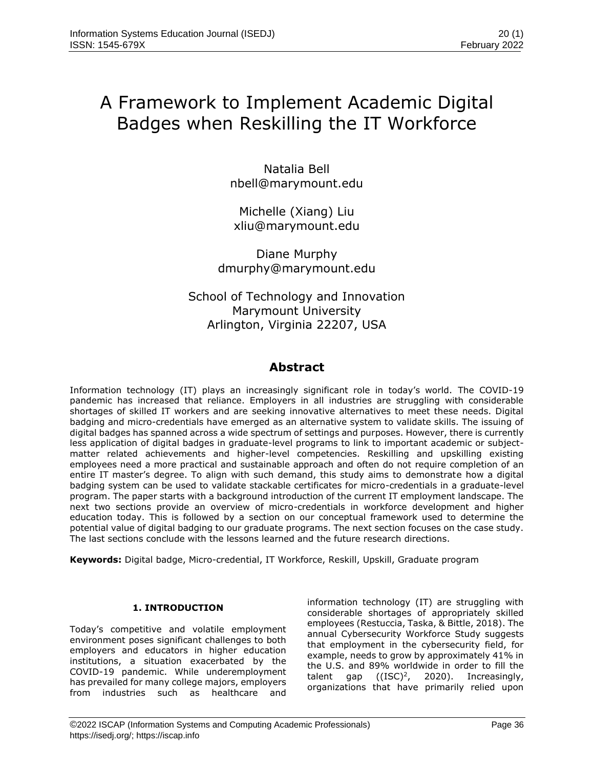# A Framework to Implement Academic Digital Badges when Reskilling the IT Workforce

Natalia Bell [nbell@marymount.edu](mailto:nbell@marymount.edu)

Michelle (Xiang) Liu [xliu@marymount.edu](about:blank)

Diane Murphy [dmurphy@marymount.edu](about:blank)

School of Technology and Innovation Marymount University Arlington, Virginia 22207, USA

# **Abstract**

Information technology (IT) plays an increasingly significant role in today's world. The COVID-19 pandemic has increased that reliance. Employers in all industries are struggling with considerable shortages of skilled IT workers and are seeking innovative alternatives to meet these needs. Digital badging and micro-credentials have emerged as an alternative system to validate skills. The issuing of digital badges has spanned across a wide spectrum of settings and purposes. However, there is currently less application of digital badges in graduate-level programs to link to important academic or subjectmatter related achievements and higher-level competencies. Reskilling and upskilling existing employees need a more practical and sustainable approach and often do not require completion of an entire IT master's degree. To align with such demand, this study aims to demonstrate how a digital badging system can be used to validate stackable certificates for micro-credentials in a graduate-level program. The paper starts with a background introduction of the current IT employment landscape. The next two sections provide an overview of micro-credentials in workforce development and higher education today. This is followed by a section on our conceptual framework used to determine the potential value of digital badging to our graduate programs. The next section focuses on the case study. The last sections conclude with the lessons learned and the future research directions.

**Keywords:** Digital badge, Micro-credential, IT Workforce, Reskill, Upskill, Graduate program

# **1. INTRODUCTION**

Today's competitive and volatile employment environment poses significant challenges to both employers and educators in higher education institutions, a situation exacerbated by the COVID-19 pandemic. While underemployment has prevailed for many college majors, employers from industries such as healthcare and information technology (IT) are struggling with considerable shortages of appropriately skilled employees (Restuccia, Taska, & Bittle, 2018). The annual Cybersecurity Workforce Study suggests that employment in the cybersecurity field, for example, needs to grow by approximately 41% in the U.S. and 89% worldwide in order to fill the talent gap  $((ISC)^2, 2020)$ . Increasingly, talent gap  $((ISC)^2)$ , , 2020). Increasingly, organizations that have primarily relied upon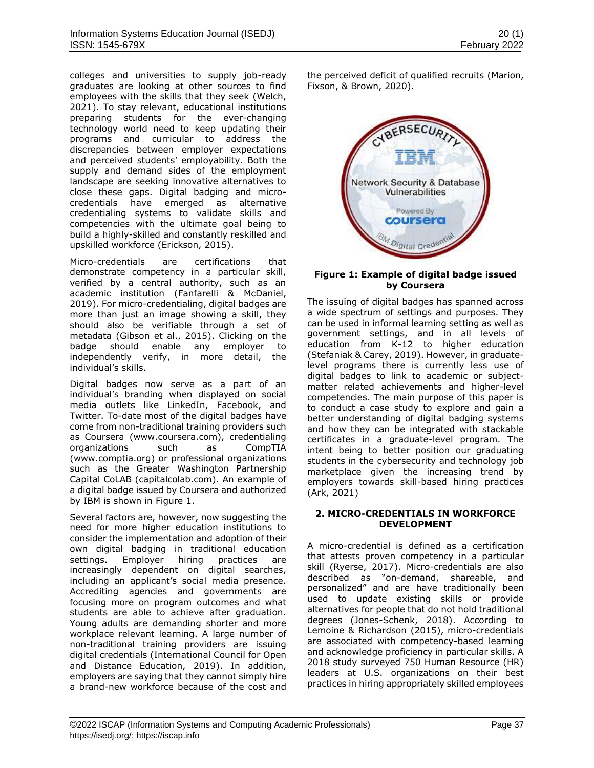colleges and universities to supply job-ready graduates are looking at other sources to find employees with the skills that they seek (Welch, 2021). To stay relevant, educational institutions preparing students for the ever-changing technology world need to keep updating their programs and curricular to address the discrepancies between employer expectations and perceived students' employability. Both the supply and demand sides of the employment landscape are seeking innovative alternatives to close these gaps. Digital badging and microcredentials have emerged as alternative credentialing systems to validate skills and competencies with the ultimate goal being to build a highly-skilled and constantly reskilled and upskilled workforce (Erickson, 2015).

Micro-credentials are certifications that demonstrate competency in a particular skill, verified by a central authority, such as an academic institution (Fanfarelli & McDaniel, 2019). For micro-credentialing, digital badges are more than just an image showing a skill, they should also be verifiable through a set of metadata (Gibson et al., 2015). Clicking on the badge should enable any employer to independently verify, in more detail, the individual's skills.

Digital badges now serve as a part of an individual's branding when displayed on social media outlets like LinkedIn, Facebook, and Twitter. To-date most of the digital badges have come from non-traditional training providers such as Coursera (www.coursera.com), credentialing organizations such as CompTIA (www.comptia.org) or professional organizations such as the Greater Washington Partnership Capital CoLAB (capitalcolab.com). An example of a digital badge issued by Coursera and authorized by IBM is shown in Figure 1.

Several factors are, however, now suggesting the need for more higher education institutions to consider the implementation and adoption of their own digital badging in traditional education settings. Employer hiring practices are increasingly dependent on digital searches, including an applicant's social media presence. Accrediting agencies and governments are focusing more on program outcomes and what students are able to achieve after graduation. Young adults are demanding shorter and more workplace relevant learning. A large number of non-traditional training providers are issuing digital credentials (International Council for Open and Distance Education, 2019). In addition, employers are saying that they cannot simply hire a brand-new workforce because of the cost and the perceived deficit of qualified recruits (Marion, Fixson, & Brown, 2020).



## **Figure 1: Example of digital badge issued by Coursera**

The issuing of digital badges has spanned across a wide spectrum of settings and purposes. They can be used in informal learning setting as well as government settings, and in all levels of education from K-12 to higher education (Stefaniak & Carey, 2019). However, in graduatelevel programs there is currently less use of digital badges to link to academic or subjectmatter related achievements and higher-level competencies. The main purpose of this paper is to conduct a case study to explore and gain a better understanding of digital badging systems and how they can be integrated with stackable certificates in a graduate-level program. The intent being to better position our graduating students in the cybersecurity and technology job marketplace given the increasing trend by employers towards skill-based hiring practices (Ark, 2021)

# **2. MICRO-CREDENTIALS IN WORKFORCE DEVELOPMENT**

A micro-credential is defined as a certification that attests proven competency in a particular skill (Ryerse, 2017). Micro-credentials are also described as "on-demand, shareable, and personalized" and are have traditionally been used to update existing skills or provide alternatives for people that do not hold traditional degrees (Jones-Schenk, 2018). According to Lemoine & Richardson (2015), micro-credentials are associated with competency-based learning and acknowledge proficiency in particular skills. A 2018 study surveyed 750 Human Resource (HR) leaders at U.S. organizations on their best practices in hiring appropriately skilled employees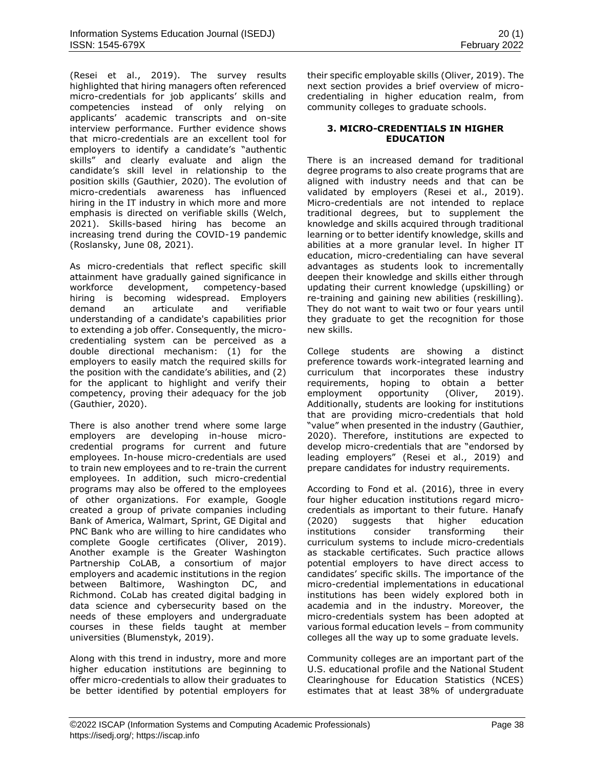(Resei et al., 2019). The survey results highlighted that hiring managers often referenced micro-credentials for job applicants' skills and competencies instead of only relying on applicants' academic transcripts and on-site interview performance. Further evidence shows that micro-credentials are an excellent tool for employers to identify a candidate's "authentic skills" and clearly evaluate and align the candidate's skill level in relationship to the position skills (Gauthier, 2020). The evolution of micro-credentials awareness has influenced hiring in the IT industry in which more and more emphasis is directed on verifiable skills (Welch, 2021). Skills-based hiring has become an increasing trend during the COVID-19 pandemic (Roslansky, June 08, 2021).

As micro-credentials that reflect specific skill attainment have gradually gained significance in<br>workforce development, competency-based workforce development, competency-based hiring is becoming widespread. Employers demand an articulate and verifiable understanding of a candidate's capabilities prior to extending a job offer. Consequently, the microcredentialing system can be perceived as a double directional mechanism: (1) for the employers to easily match the required skills for the position with the candidate's abilities, and (2) for the applicant to highlight and verify their competency, proving their adequacy for the job (Gauthier, 2020).

There is also another trend where some large employers are developing in-house microcredential programs for current and future employees. In-house micro-credentials are used to train new employees and to re-train the current employees. In addition, such micro-credential programs may also be offered to the employees of other organizations. For example, Google created a group of private companies including Bank of America, Walmart, Sprint, GE Digital and PNC Bank who are willing to hire candidates who complete Google certificates (Oliver, 2019). Another example is the Greater Washington Partnership CoLAB, a consortium of major employers and academic institutions in the region between Baltimore, Washington DC, and Richmond. CoLab has created digital badging in data science and cybersecurity based on the needs of these employers and undergraduate courses in these fields taught at member universities (Blumenstyk, 2019).

Along with this trend in industry, more and more higher education institutions are beginning to offer micro-credentials to allow their graduates to be better identified by potential employers for their specific employable skills (Oliver, 2019). The next section provides a brief overview of microcredentialing in higher education realm, from community colleges to graduate schools.

# **3. MICRO-CREDENTIALS IN HIGHER EDUCATION**

There is an increased demand for traditional degree programs to also create programs that are aligned with industry needs and that can be validated by employers (Resei et al., 2019). Micro-credentials are not intended to replace traditional degrees, but to supplement the knowledge and skills acquired through traditional learning or to better identify knowledge, skills and abilities at a more granular level. In higher IT education, micro-credentialing can have several advantages as students look to incrementally deepen their knowledge and skills either through updating their current knowledge (upskilling) or re-training and gaining new abilities (reskilling). They do not want to wait two or four years until they graduate to get the recognition for those new skills.

College students are showing a distinct preference towards work-integrated learning and curriculum that incorporates these industry requirements, hoping to obtain a better employment opportunity (Oliver, 2019). Additionally, students are looking for institutions that are providing micro-credentials that hold "value" when presented in the industry (Gauthier, 2020). Therefore, institutions are expected to develop micro-credentials that are "endorsed by leading employers" (Resei et al., 2019) and prepare candidates for industry requirements.

According to Fond et al. (2016), three in every four higher education institutions regard microcredentials as important to their future. Hanafy (2020) suggests that higher education institutions consider transforming their curriculum systems to include micro-credentials as stackable certificates. Such practice allows potential employers to have direct access to candidates' specific skills. The importance of the micro-credential implementations in educational institutions has been widely explored both in academia and in the industry. Moreover, the micro-credentials system has been adopted at various formal education levels – from community colleges all the way up to some graduate levels.

Community colleges are an important part of the U.S. educational profile and the National Student Clearinghouse for Education Statistics (NCES) estimates that at least 38% of undergraduate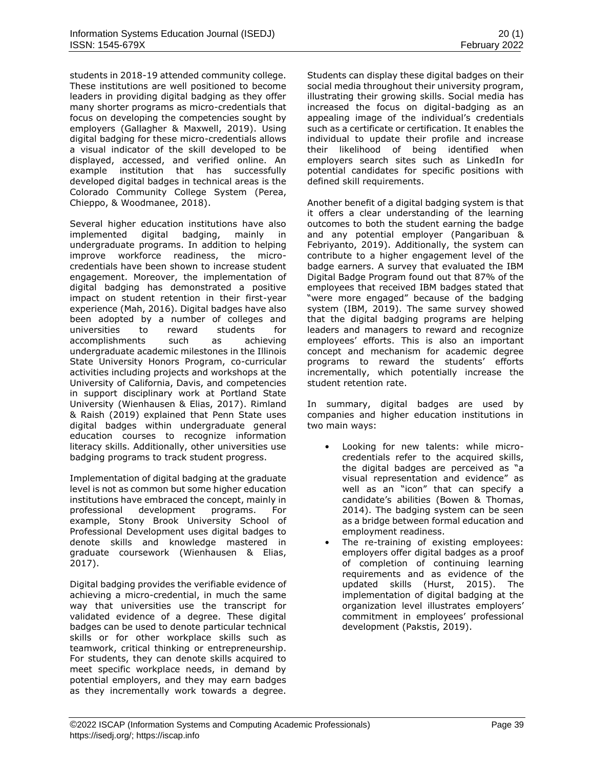students in 2018-19 attended community college. These institutions are well positioned to become leaders in providing digital badging as they offer many shorter programs as micro-credentials that focus on developing the competencies sought by employers (Gallagher & Maxwell, 2019). Using digital badging for these micro-credentials allows a visual indicator of the skill developed to be displayed, accessed, and verified online. An example institution that has successfully developed digital badges in technical areas is the Colorado Community College System (Perea, Chieppo, & Woodmanee, 2018).

Several higher education institutions have also implemented digital badging, mainly in undergraduate programs. In addition to helping improve workforce readiness, the microcredentials have been shown to increase student engagement. Moreover, the implementation of digital badging has demonstrated a positive impact on student retention in their first-year experience (Mah, 2016). Digital badges have also been adopted by a number of colleges and universities to reward students for accomplishments such as achieving undergraduate academic milestones in the Illinois State University Honors Program, co-curricular activities including projects and workshops at the University of California, Davis, and competencies in support disciplinary work at Portland State University (Wienhausen & Elias, 2017). Rimland & Raish (2019) explained that Penn State uses digital badges within undergraduate general education courses to recognize information literacy skills. Additionally, other universities use badging programs to track student progress.

Implementation of digital badging at the graduate level is not as common but some higher education institutions have embraced the concept, mainly in professional development programs. For example, Stony Brook University School of Professional Development uses digital badges to denote skills and knowledge mastered in graduate coursework (Wienhausen & Elias, 2017).

Digital badging provides the verifiable evidence of achieving a micro-credential, in much the same way that universities use the transcript for validated evidence of a degree. These digital badges can be used to denote particular technical skills or for other workplace skills such as teamwork, critical thinking or entrepreneurship. For students, they can denote skills acquired to meet specific workplace needs, in demand by potential employers, and they may earn badges as they incrementally work towards a degree. Students can display these digital badges on their social media throughout their university program, illustrating their growing skills. Social media has increased the focus on digital-badging as an appealing image of the individual's credentials such as a certificate or certification. It enables the individual to update their profile and increase their likelihood of being identified when employers search sites such as LinkedIn for potential candidates for specific positions with defined skill requirements.

Another benefit of a digital badging system is that it offers a clear understanding of the learning outcomes to both the student earning the badge and any potential employer (Pangaribuan & Febriyanto, 2019). Additionally, the system can contribute to a higher engagement level of the badge earners. A survey that evaluated the IBM Digital Badge Program found out that 87% of the employees that received IBM badges stated that "were more engaged" because of the badging system (IBM, 2019). The same survey showed that the digital badging programs are helping leaders and managers to reward and recognize employees' efforts. This is also an important concept and mechanism for academic degree programs to reward the students' efforts incrementally, which potentially increase the student retention rate.

In summary, digital badges are used by companies and higher education institutions in two main ways:

- Looking for new talents: while microcredentials refer to the acquired skills, the digital badges are perceived as "a visual representation and evidence" as well as an "icon" that can specify a candidate's abilities (Bowen & Thomas, 2014). The badging system can be seen as a bridge between formal education and employment readiness.
- The re-training of existing employees: employers offer digital badges as a proof of completion of continuing learning requirements and as evidence of the updated skills (Hurst, 2015). The implementation of digital badging at the organization level illustrates employers' commitment in employees' professional development (Pakstis, 2019).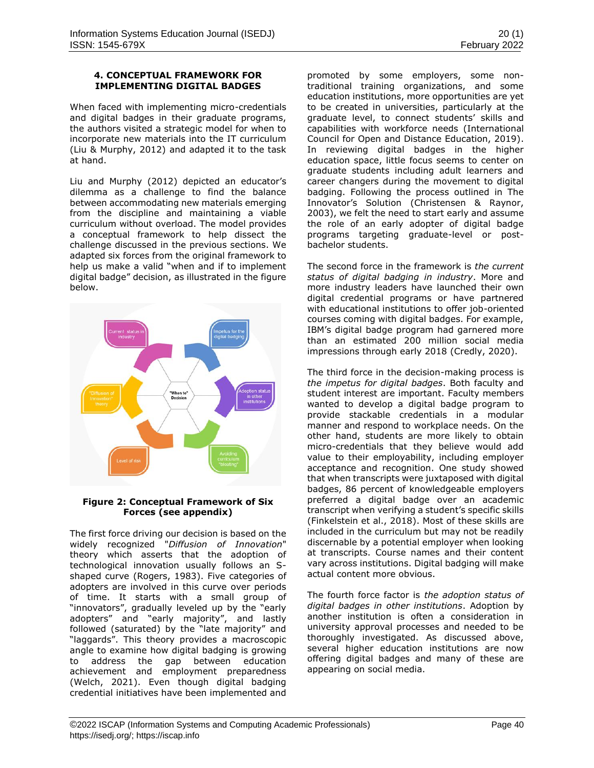## **4. CONCEPTUAL FRAMEWORK FOR IMPLEMENTING DIGITAL BADGES**

When faced with implementing micro-credentials and digital badges in their graduate programs, the authors visited a strategic model for when to incorporate new materials into the IT curriculum (Liu & Murphy, 2012) and adapted it to the task at hand.

Liu and Murphy (2012) depicted an educator's dilemma as a challenge to find the balance between accommodating new materials emerging from the discipline and maintaining a viable curriculum without overload. The model provides a conceptual framework to help dissect the challenge discussed in the previous sections. We adapted six forces from the original framework to help us make a valid "when and if to implement digital badge" decision, as illustrated in the figure below.



# **Figure 2: Conceptual Framework of Six Forces (see appendix)**

The first force driving our decision is based on the widely recognized "*Diffusion of Innovation*" theory which asserts that the adoption of technological innovation usually follows an Sshaped curve (Rogers, 1983). Five categories of adopters are involved in this curve over periods of time. It starts with a small group of "innovators", gradually leveled up by the "early adopters" and "early majority", and lastly followed (saturated) by the "late majority" and "laggards". This theory provides a macroscopic angle to examine how digital badging is growing to address the gap between education achievement and employment preparedness (Welch, 2021). Even though digital badging credential initiatives have been implemented and

promoted by some employers, some nontraditional training organizations, and some education institutions, more opportunities are yet to be created in universities, particularly at the graduate level, to connect students' skills and capabilities with workforce needs (International Council for Open and Distance Education, 2019). In reviewing digital badges in the higher education space, little focus seems to center on graduate students including adult learners and career changers during the movement to digital badging. Following the process outlined in The Innovator's Solution (Christensen & Raynor, 2003), we felt the need to start early and assume the role of an early adopter of digital badge programs targeting graduate-level or postbachelor students.

The second force in the framework is *the current status of digital badging in industry*. More and more industry leaders have launched their own digital credential programs or have partnered with educational institutions to offer job-oriented courses coming with digital badges. For example, IBM's digital badge program had garnered more than an estimated 200 million social media impressions through early 2018 (Credly, 2020).

The third force in the decision-making process is *the impetus for digital badges*. Both faculty and student interest are important. Faculty members wanted to develop a digital badge program to provide stackable credentials in a modular manner and respond to workplace needs. On the other hand, students are more likely to obtain micro-credentials that they believe would add value to their employability, including employer acceptance and recognition. One study showed that when transcripts were juxtaposed with digital badges, 86 percent of knowledgeable employers preferred a digital badge over an academic transcript when verifying a student's specific skills (Finkelstein et al., 2018). Most of these skills are included in the curriculum but may not be readily discernable by a potential employer when looking at transcripts. Course names and their content vary across institutions. Digital badging will make actual content more obvious.

The fourth force factor is *the adoption status of digital badges in other institutions*. Adoption by another institution is often a consideration in university approval processes and needed to be thoroughly investigated. As discussed above, several higher education institutions are now offering digital badges and many of these are appearing on social media.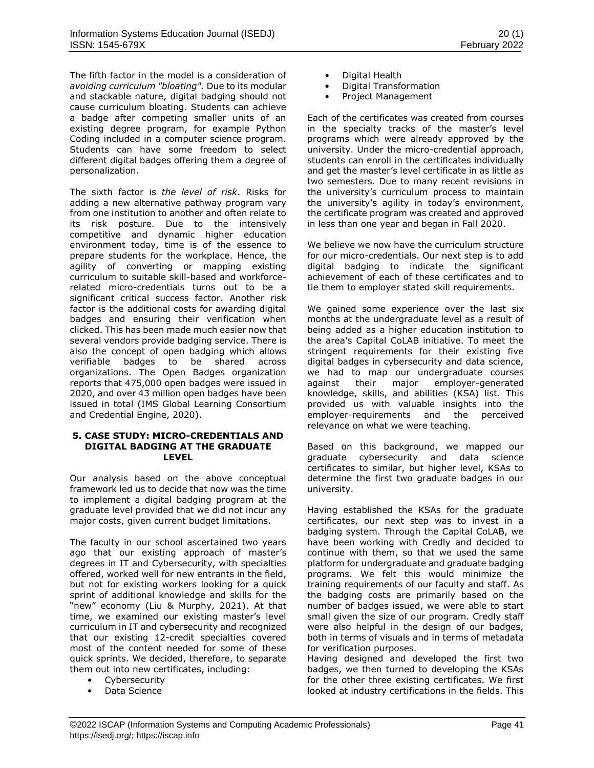The fifth factor in the model is a consideration of *avoiding curriculum "bloating".* Due to its modular and stackable nature, digital badging should not cause curriculum bloating. Students can achieve a badge after competing smaller units of an existing degree program, for example Python Coding included in a computer science program. Students can have some freedom to select different digital badges offering them a degree of personalization.

The sixth factor is *the level of risk*. Risks for adding a new alternative pathway program vary from one institution to another and often relate to its risk posture. Due to the intensively competitive and dynamic higher education environment today, time is of the essence to prepare students for the workplace. Hence, the agility of converting or mapping existing curriculum to suitable skill-based and workforcerelated micro-credentials turns out to be a significant critical success factor. Another risk factor is the additional costs for awarding digital badges and ensuring their verification when clicked. This has been made much easier now that several vendors provide badging service. There is also the concept of open badging which allows verifiable badges to be shared across organizations. The Open Badges organization reports that 475,000 open badges were issued in 2020, and over 43 million open badges have been issued in total (IMS Global Learning Consortium and Credential Engine, 2020).

#### **5. CASE STUDY: MICRO-CREDENTIALS AND DIGITAL BADGING AT THE GRADUATE LEVEL**

Our analysis based on the above conceptual framework led us to decide that now was the time to implement a digital badging program at the graduate level provided that we did not incur any major costs, given current budget limitations.

The faculty in our school ascertained two years ago that our existing approach of master's degrees in IT and Cybersecurity, with specialties offered, worked well for new entrants in the field, but not for existing workers looking for a quick sprint of additional knowledge and skills for the "new" economy (Liu & Murphy, 2021). At that time, we examined our existing master's level curriculum in IT and cybersecurity and recognized that our existing 12-credit specialties covered most of the content needed for some of these quick sprints. We decided, therefore, to separate them out into new certificates, including:

- Cybersecurity
- Data Science
- Digital Health
- Digital Transformation
- Project Management

Each of the certificates was created from courses in the specialty tracks of the master's level programs which were already approved by the university. Under the micro-credential approach, students can enroll in the certificates individually and get the master's level certificate in as little as two semesters. Due to many recent revisions in the university's curriculum process to maintain the university's agility in today's environment, the certificate program was created and approved in less than one year and began in Fall 2020.

We believe we now have the curriculum structure for our micro-credentials. Our next step is to add digital badging to indicate the significant achievement of each of these certificates and to tie them to employer stated skill requirements.

We gained some experience over the last six months at the undergraduate level as a result of being added as a higher education institution to the area's Capital CoLAB initiative. To meet the stringent requirements for their existing five digital badges in cybersecurity and data science, we had to map our undergraduate courses against their major employer-generated knowledge, skills, and abilities (KSA) list. This provided us with valuable insights into the employer-requirements and the perceived relevance on what we were teaching.

Based on this background, we mapped our graduate cybersecurity and data science certificates to similar, but higher level, KSAs to determine the first two graduate badges in our university.

Having established the KSAs for the graduate certificates, our next step was to invest in a badging system. Through the Capital CoLAB, we have been working with Credly and decided to continue with them, so that we used the same platform for undergraduate and graduate badging programs. We felt this would minimize the training requirements of our faculty and staff. As the badging costs are primarily based on the number of badges issued, we were able to start small given the size of our program. Credly staff were also helpful in the design of our badges, both in terms of visuals and in terms of metadata for verification purposes.

Having designed and developed the first two badges, we then turned to developing the KSAs for the other three existing certificates. We first looked at industry certifications in the fields. This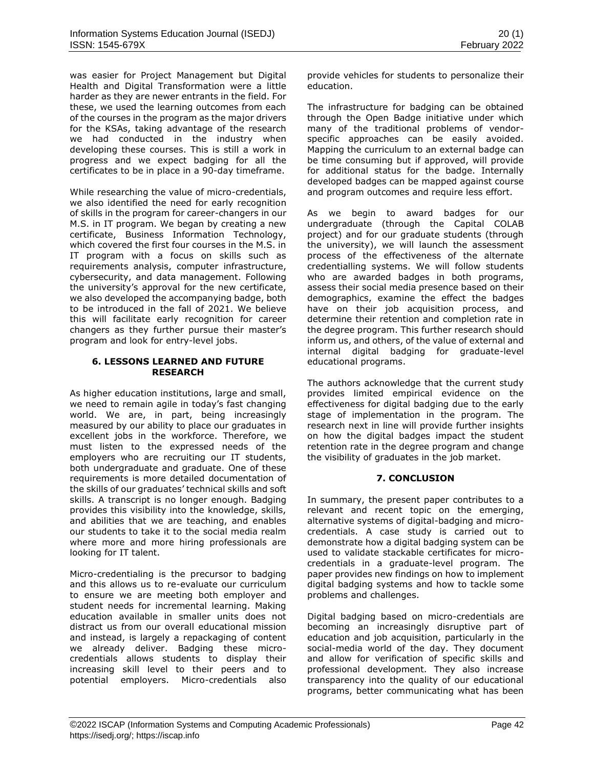was easier for Project Management but Digital Health and Digital Transformation were a little harder as they are newer entrants in the field. For these, we used the learning outcomes from each of the courses in the program as the major drivers for the KSAs, taking advantage of the research we had conducted in the industry when developing these courses. This is still a work in progress and we expect badging for all the certificates to be in place in a 90-day timeframe.

While researching the value of micro-credentials, we also identified the need for early recognition of skills in the program for career-changers in our M.S. in IT program. We began by creating a new certificate, Business Information Technology, which covered the first four courses in the M.S. in IT program with a focus on skills such as requirements analysis, computer infrastructure, cybersecurity, and data management. Following the university's approval for the new certificate, we also developed the accompanying badge, both to be introduced in the fall of 2021. We believe this will facilitate early recognition for career changers as they further pursue their master's program and look for entry-level jobs.

### **6. LESSONS LEARNED AND FUTURE RESEARCH**

As higher education institutions, large and small, we need to remain agile in today's fast changing world. We are, in part, being increasingly measured by our ability to place our graduates in excellent jobs in the workforce. Therefore, we must listen to the expressed needs of the employers who are recruiting our IT students, both undergraduate and graduate. One of these requirements is more detailed documentation of the skills of our graduates' technical skills and soft skills. A transcript is no longer enough. Badging provides this visibility into the knowledge, skills, and abilities that we are teaching, and enables our students to take it to the social media realm where more and more hiring professionals are looking for IT talent.

Micro-credentialing is the precursor to badging and this allows us to re-evaluate our curriculum to ensure we are meeting both employer and student needs for incremental learning. Making education available in smaller units does not distract us from our overall educational mission and instead, is largely a repackaging of content we already deliver. Badging these microcredentials allows students to display their increasing skill level to their peers and to potential employers. Micro-credentials also provide vehicles for students to personalize their education.

The infrastructure for badging can be obtained through the Open Badge initiative under which many of the traditional problems of vendorspecific approaches can be easily avoided. Mapping the curriculum to an external badge can be time consuming but if approved, will provide for additional status for the badge. Internally developed badges can be mapped against course and program outcomes and require less effort.

As we begin to award badges for our undergraduate (through the Capital COLAB project) and for our graduate students (through the university), we will launch the assessment process of the effectiveness of the alternate credentialling systems. We will follow students who are awarded badges in both programs, assess their social media presence based on their demographics, examine the effect the badges have on their job acquisition process, and determine their retention and completion rate in the degree program. This further research should inform us, and others, of the value of external and internal digital badging for graduate-level educational programs.

The authors acknowledge that the current study provides limited empirical evidence on the effectiveness for digital badging due to the early stage of implementation in the program. The research next in line will provide further insights on how the digital badges impact the student retention rate in the degree program and change the visibility of graduates in the job market.

# **7. CONCLUSION**

In summary, the present paper contributes to a relevant and recent topic on the emerging, alternative systems of digital-badging and microcredentials. A case study is carried out to demonstrate how a digital badging system can be used to validate stackable certificates for microcredentials in a graduate-level program. The paper provides new findings on how to implement digital badging systems and how to tackle some problems and challenges.

Digital badging based on micro-credentials are becoming an increasingly disruptive part of education and job acquisition, particularly in the social-media world of the day. They document and allow for verification of specific skills and professional development. They also increase transparency into the quality of our educational programs, better communicating what has been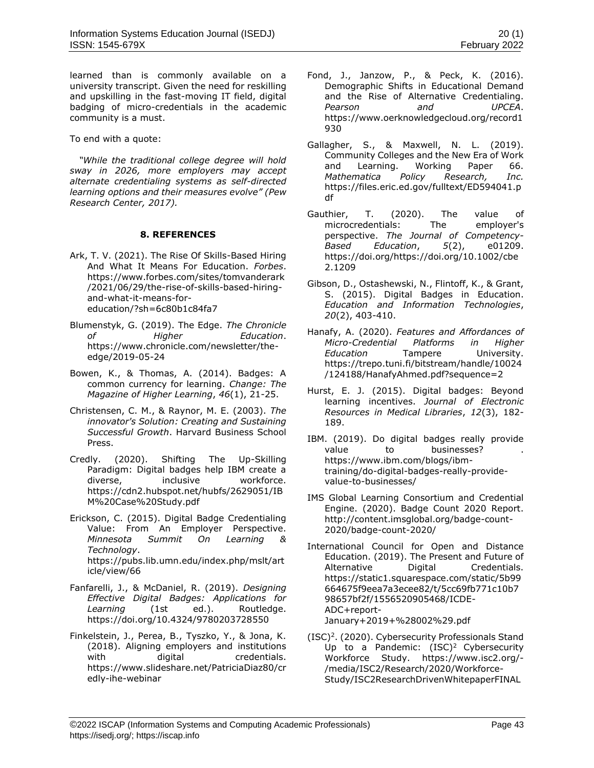learned than is commonly available on a university transcript. Given the need for reskilling and upskilling in the fast-moving IT field, digital badging of micro-credentials in the academic community is a must.

To end with a quote:

 *"While the traditional college degree will hold sway in 2026, more employers may accept alternate credentialing systems as self-directed learning options and their measures evolve" (Pew Research Center, 2017).*

### **8. REFERENCES**

- Ark, T. V. (2021). The Rise Of Skills-Based Hiring And What It Means For Education. *Forbes*. [https://www.forbes.com/sites/tomvanderark](about:blank) [/2021/06/29/the-rise-of-skills-based-hiring](about:blank)[and-what-it-means-for](about:blank)[education/?sh=6c80b1c84fa7](about:blank)
- Blumenstyk, G. (2019). The Edge. *The Chronicle of Higher Education*. [https://www.chronicle.com/newsletter/the](about:blank)[edge/2019-05-24](about:blank)
- Bowen, K., & Thomas, A. (2014). Badges: A common currency for learning. *Change: The Magazine of Higher Learning*, *46*(1), 21-25.
- Christensen, C. M., & Raynor, M. E. (2003). *The innovator's Solution: Creating and Sustaining Successful Growth*. Harvard Business School Press.
- Credly. (2020). Shifting The Up-Skilling Paradigm: Digital badges help IBM create a diverse, inclusive workforce. [https://cdn2.hubspot.net/hubfs/2629051/IB](about:blank) [M%20Case%20Study.pdf](about:blank)
- Erickson, C. (2015). Digital Badge Credentialing Value: From An Employer Perspective. *Minnesota Summit On Learning & Technology*. [https://pubs.lib.umn.edu/index.php/mslt/art](about:blank) [icle/view/66](about:blank)
- Fanfarelli, J., & McDaniel, R. (2019). *Designing Effective Digital Badges: Applications for Learning* (1st ed.). Routledge. [https://doi.org/10.4324/9780203728550](about:blank)
- Finkelstein, J., Perea, B., Tyszko, Y., & Jona, K. (2018). Aligning employers and institutions with digital credentials. [https://www.slideshare.net/PatriciaDiaz80/cr](about:blank) [edly-ihe-webinar](about:blank)
- Fond, J., Janzow, P., & Peck, K. (2016). Demographic Shifts in Educational Demand and the Rise of Alternative Credentialing. *Pearson and UPCEA*. [https://www.oerknowledgecloud.org/record1](about:blank) [930](about:blank)
- Gallagher, S., & Maxwell, N. L. (2019). Community Colleges and the New Era of Work and Learning. Working Paper 66. *Mathematica Policy Research, Inc.* [https://files.eric.ed.gov/fulltext/ED594041.p](about:blank) [df](about:blank)
- Gauthier, T. (2020). The value of microcredentials: The employer's perspective. *The Journal of Competency-Based Education*, *5*(2), e01209. [https://doi.org/https://doi.org/10.1002/cbe](about:blank) [2.1209](about:blank)
- Gibson, D., Ostashewski, N., Flintoff, K., & Grant, S. (2015). Digital Badges in Education. *Education and Information Technologies*, *20*(2), 403-410.
- Hanafy, A. (2020). *Features and Affordances of Micro-Credential Platforms in Higher Education* Tampere University. [https://trepo.tuni.fi/bitstream/handle/10024](about:blank) [/124188/HanafyAhmed.pdf?sequence=2](about:blank)
- Hurst, E. J. (2015). Digital badges: Beyond learning incentives. *Journal of Electronic Resources in Medical Libraries*, *12*(3), 182- 189.
- IBM. (2019). Do digital badges really provide value to businesses? [https://www.ibm.com/blogs/ibm](about:blank)[training/do-digital-badges-really-provide](about:blank)[value-to-businesses/](about:blank)
- IMS Global Learning Consortium and Credential Engine. (2020). Badge Count 2020 Report. [http://content.imsglobal.org/badge-count-](about:blank)[2020/badge-count-2020/](about:blank)
- International Council for Open and Distance Education. (2019). The Present and Future of Alternative Digital Credentials. [https://static1.squarespace.com/static/5b99](about:blank) [664675f9eea7a3ecee82/t/5cc69fb771c10b7](about:blank) [98657bf2f/1556520905468/ICDE-](about:blank)[ADC+report-](about:blank)[January+2019+%28002%29.pdf](about:blank)
- (ISC)<sup>2</sup>. (2020). Cybersecurity Professionals Stand Up to a Pandemic:  $(ISC)^2$  Cybersecurity Workforce Study. [https://www.isc2.org/-](about:blank) [/media/ISC2/Research/2020/Workforce-](about:blank)[Study/ISC2ResearchDrivenWhitepaperFINAL](about:blank)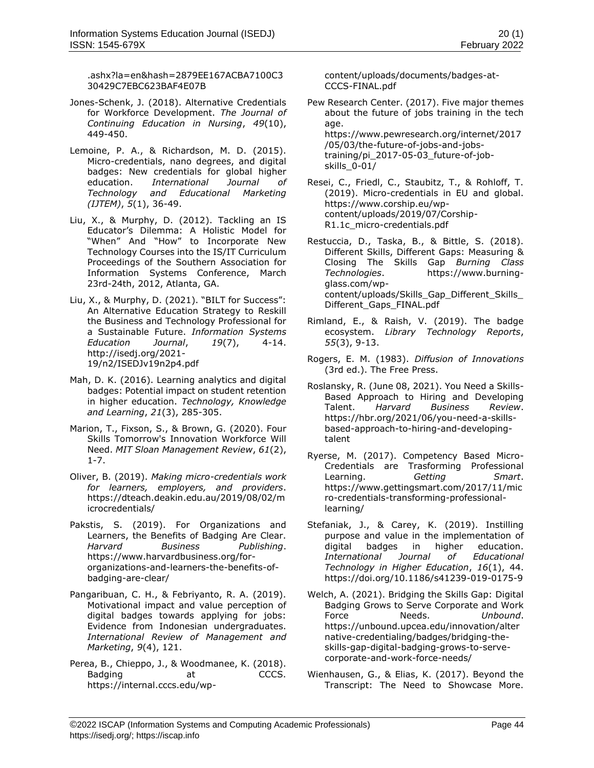[.ashx?la=en&hash=2879EE167ACBA7100C3](about:blank) [30429C7EBC623BAF4E07B](about:blank)

- Jones-Schenk, J. (2018). Alternative Credentials for Workforce Development. *The Journal of Continuing Education in Nursing*, *49*(10), 449-450.
- Lemoine, P. A., & Richardson, M. D. (2015). Micro-credentials, nano degrees, and digital badges: New credentials for global higher education. *International Journal of Technology and Educational Marketing (IJTEM)*, *5*(1), 36-49.
- Liu, X., & Murphy, D. (2012). Tackling an IS Educator's Dilemma: A Holistic Model for "When" And "How" to Incorporate New Technology Courses into the IS/IT Curriculum Proceedings of the Southern Association for Information Systems Conference, March 23rd-24th, 2012, Atlanta, GA.
- Liu, X., & Murphy, D. (2021). "BILT for Success": An Alternative Education Strategy to Reskill the Business and Technology Professional for a Sustainable Future. *Information Systems Education Journal*, *19*(7), 4-14. [http://isedj.org/2021-](about:blank) [19/n2/ISEDJv19n2p4.pdf](about:blank)
- Mah, D. K. (2016). Learning analytics and digital badges: Potential impact on student retention in higher education. *Technology, Knowledge and Learning*, *21*(3), 285-305.
- Marion, T., Fixson, S., & Brown, G. (2020). Four Skills Tomorrow's Innovation Workforce Will Need. *MIT Sloan Management Review*, *61*(2), 1-7.
- Oliver, B. (2019). *Making micro-credentials work for learners, employers, and providers*. [https://dteach.deakin.edu.au/2019/08/02/m](about:blank) [icrocredentials/](about:blank)
- Pakstis, S. (2019). For Organizations and Learners, the Benefits of Badging Are Clear. *Harvard Business Publishing*. [https://www.harvardbusiness.org/for](about:blank)[organizations-and-learners-the-benefits-of](about:blank)[badging-are-clear/](about:blank)
- Pangaribuan, C. H., & Febriyanto, R. A. (2019). Motivational impact and value perception of digital badges towards applying for jobs: Evidence from Indonesian undergraduates. *International Review of Management and Marketing*, *9*(4), 121.
- Perea, B., Chieppo, J., & Woodmanee, K. (2018). Badging at CCCS. [https://internal.cccs.edu/wp-](about:blank)

[content/uploads/documents/badges-at-](about:blank)[CCCS-FINAL.pdf](about:blank)

Pew Research Center. (2017). Five major themes about the future of jobs training in the tech age. [https://www.pewresearch.org/internet/2017](about:blank) [/05/03/the-future-of-jobs-and-jobs-](about:blank)

[training/pi\\_2017-05-03\\_future-of-job](about:blank)[skills\\_0-01/](about:blank)

- Resei, C., Friedl, C., Staubitz, T., & Rohloff, T. (2019). Micro-credentials in EU and global. [https://www.corship.eu/wp](about:blank)[content/uploads/2019/07/Corship-](about:blank)[R1.1c\\_micro-credentials.pdf](about:blank)
- Restuccia, D., Taska, B., & Bittle, S. (2018). Different Skills, Different Gaps: Measuring & Closing The Skills Gap *Burning Class Technologies*. [https://www.burning](about:blank)[glass.com/wp](about:blank)content/uploads/Skills Gap Different Skills [Different\\_Gaps\\_FINAL.pdf](about:blank)
- Rimland, E., & Raish, V. (2019). The badge ecosystem. *Library Technology Reports*, *55*(3), 9-13.
- Rogers, E. M. (1983). *Diffusion of Innovations* (3rd ed.). The Free Press.
- Roslansky, R. (June 08, 2021). You Need a Skills-Based Approach to Hiring and Developing Talent. *Harvard Business Review*. [https://hbr.org/2021/06/you-need-a-skills](about:blank)[based-approach-to-hiring-and-developing](about:blank)[talent](about:blank)
- Ryerse, M. (2017). Competency Based Micro-Credentials are Trasforming Professional Learning. *Getting Smart*. [https://www.gettingsmart.com/2017/11/mic](about:blank) [ro-credentials-transforming-professional](about:blank)[learning/](about:blank)
- Stefaniak, J., & Carey, K. (2019). Instilling purpose and value in the implementation of digital badges in higher education. *International Journal of Educational Technology in Higher Education*, *16*(1), 44. [https://doi.org/10.1186/s41239-019-0175-9](about:blank)
- Welch, A. (2021). Bridging the Skills Gap: Digital Badging Grows to Serve Corporate and Work Force Needs. *Unbound*. [https://unbound.upcea.edu/innovation/alter](about:blank) [native-credentialing/badges/bridging-the](about:blank)[skills-gap-digital-badging-grows-to-serve](about:blank)[corporate-and-work-force-needs/](about:blank)
- Wienhausen, G., & Elias, K. (2017). Beyond the Transcript: The Need to Showcase More.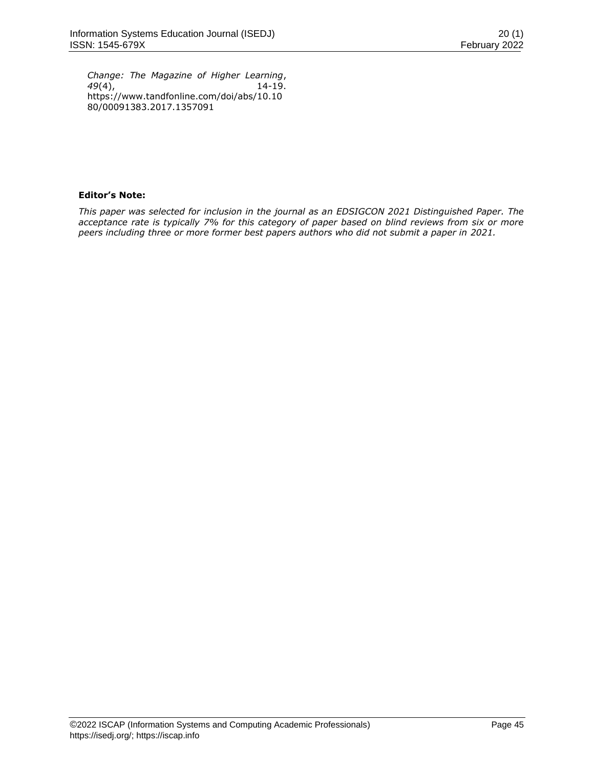*Change: The Magazine of Higher Learning*, *49*(4), 14-19. [https://www.tandfonline.com/doi/abs/10.10](about:blank) [80/00091383.2017.1357091](about:blank)

# **Editor's Note:**

*This paper was selected for inclusion in the journal as an EDSIGCON 2021 Distinguished Paper. The acceptance rate is typically 7% for this category of paper based on blind reviews from six or more peers including three or more former best papers authors who did not submit a paper in 2021.*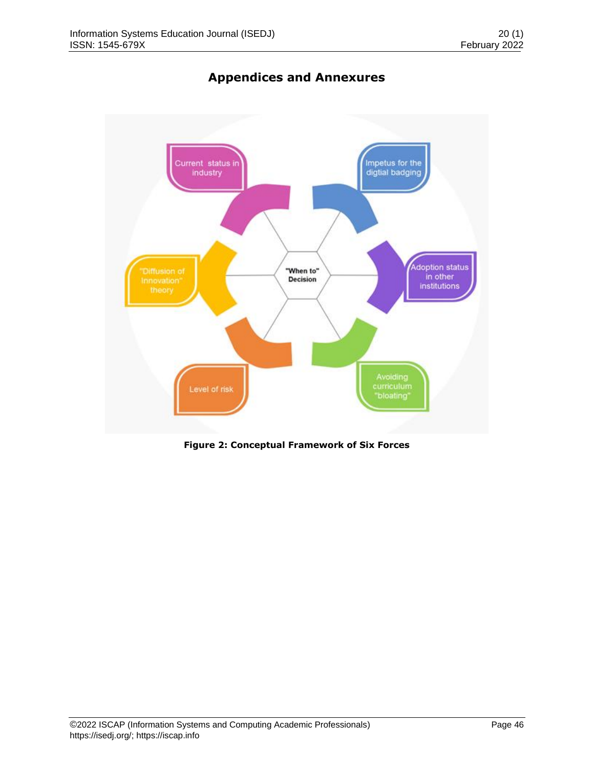

# **Appendices and Annexures**

**Figure 2: Conceptual Framework of Six Forces**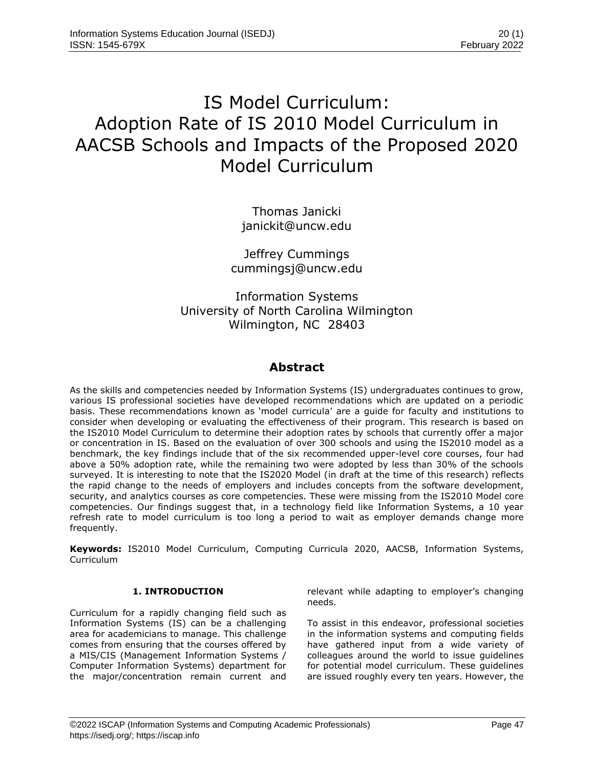# IS Model Curriculum: Adoption Rate of IS 2010 Model Curriculum in AACSB Schools and Impacts of the Proposed 2020 Model Curriculum

Thomas Janicki [janickit@uncw.edu](mailto:janickit@uncw.edu)

Jeffrey Cummings [cummingsj@uncw.edu](mailto:cummingsj@uncw.edu)

Information Systems University of North Carolina Wilmington Wilmington, NC 28403

# **Abstract**

As the skills and competencies needed by Information Systems (IS) undergraduates continues to grow, various IS professional societies have developed recommendations which are updated on a periodic basis. These recommendations known as 'model curricula' are a guide for faculty and institutions to consider when developing or evaluating the effectiveness of their program. This research is based on the IS2010 Model Curriculum to determine their adoption rates by schools that currently offer a major or concentration in IS. Based on the evaluation of over 300 schools and using the IS2010 model as a benchmark, the key findings include that of the six recommended upper-level core courses, four had above a 50% adoption rate, while the remaining two were adopted by less than 30% of the schools surveyed. It is interesting to note that the IS2020 Model (in draft at the time of this research) reflects the rapid change to the needs of employers and includes concepts from the software development, security, and analytics courses as core competencies. These were missing from the IS2010 Model core competencies. Our findings suggest that, in a technology field like Information Systems, a 10 year refresh rate to model curriculum is too long a period to wait as employer demands change more frequently.

**Keywords:** IS2010 Model Curriculum, Computing Curricula 2020, AACSB, Information Systems, Curriculum

# **1. INTRODUCTION**

Curriculum for a rapidly changing field such as Information Systems (IS) can be a challenging area for academicians to manage. This challenge comes from ensuring that the courses offered by a MIS/CIS (Management Information Systems / Computer Information Systems) department for the major/concentration remain current and relevant while adapting to employer's changing needs.

To assist in this endeavor, professional societies in the information systems and computing fields have gathered input from a wide variety of colleagues around the world to issue guidelines for potential model curriculum. These guidelines are issued roughly every ten years. However, the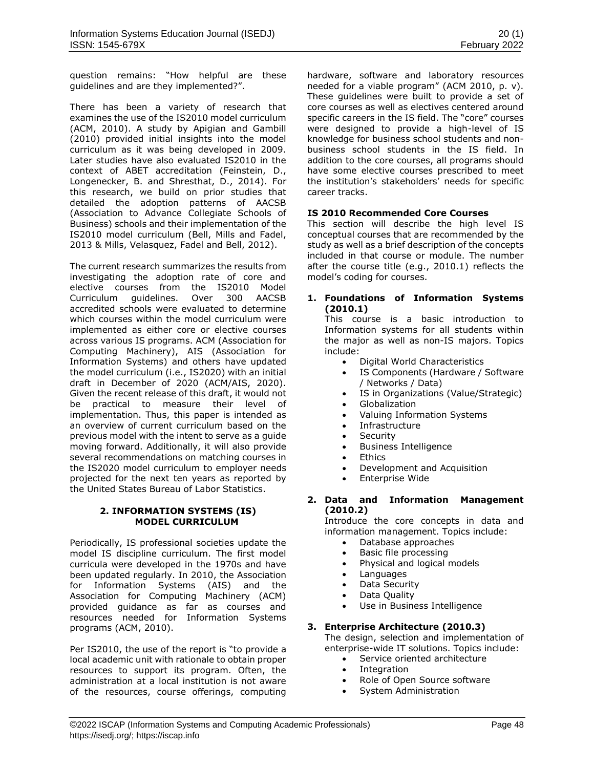question remains: "How helpful are these guidelines and are they implemented?".

There has been a variety of research that examines the use of the IS2010 model curriculum (ACM, 2010). A study by Apigian and Gambill (2010) provided initial insights into the model curriculum as it was being developed in 2009. Later studies have also evaluated IS2010 in the context of ABET accreditation (Feinstein, D., Longenecker, B. and Shresthat, D., 2014). For this research, we build on prior studies that detailed the adoption patterns of AACSB (Association to Advance Collegiate Schools of Business) schools and their implementation of the IS2010 model curriculum (Bell, Mills and Fadel, 2013 & Mills, Velasquez, Fadel and Bell, 2012).

The current research summarizes the results from investigating the adoption rate of core and elective courses from the IS2010 Model Curriculum guidelines. Over 300 AACSB accredited schools were evaluated to determine which courses within the model curriculum were implemented as either core or elective courses across various IS programs. ACM (Association for Computing Machinery), AIS (Association for Information Systems) and others have updated the model curriculum (i.e., IS2020) with an initial draft in December of 2020 (ACM/AIS, 2020). Given the recent release of this draft, it would not be practical to measure their level of implementation. Thus, this paper is intended as an overview of current curriculum based on the previous model with the intent to serve as a guide moving forward. Additionally, it will also provide several recommendations on matching courses in the IS2020 model curriculum to employer needs projected for the next ten years as reported by the United States Bureau of Labor Statistics.

### **2. INFORMATION SYSTEMS (IS) MODEL CURRICULUM**

Periodically, IS professional societies update the model IS discipline curriculum. The first model curricula were developed in the 1970s and have been updated regularly. In 2010, the Association for Information Systems (AIS) and the Association for Computing Machinery (ACM) provided guidance as far as courses and resources needed for Information Systems programs (ACM, 2010).

Per IS2010, the use of the report is "to provide a local academic unit with rationale to obtain proper resources to support its program. Often, the administration at a local institution is not aware of the resources, course offerings, computing hardware, software and laboratory resources needed for a viable program" (ACM 2010, p. v). These guidelines were built to provide a set of core courses as well as electives centered around specific careers in the IS field. The "core" courses were designed to provide a high-level of IS knowledge for business school students and nonbusiness school students in the IS field. In addition to the core courses, all programs should have some elective courses prescribed to meet the institution's stakeholders' needs for specific career tracks.

# **IS 2010 Recommended Core Courses**

This section will describe the high level IS conceptual courses that are recommended by the study as well as a brief description of the concepts included in that course or module. The number after the course title (e.g., 2010.1) reflects the model's coding for courses.

### **1. Foundations of Information Systems (2010.1)**

This course is a basic introduction to Information systems for all students within the major as well as non-IS majors. Topics include:

- Digital World Characteristics
- IS Components (Hardware / Software / Networks / Data)
- IS in Organizations (Value/Strategic)
- Globalization
- Valuing Information Systems
- Infrastructure
- Security
- Business Intelligence
- Ethics
- Development and Acquisition
- Enterprise Wide

# **2. Data and Information Management (2010.2)**

Introduce the core concepts in data and information management. Topics include:

- Database approaches
- Basic file processing
- Physical and logical models
- Languages
- Data Security
- Data Quality
- Use in Business Intelligence

### **3. Enterprise Architecture (2010.3)**

The design, selection and implementation of enterprise-wide IT solutions. Topics include:

- Service oriented architecture
- Integration
- Role of Open Source software
- System Administration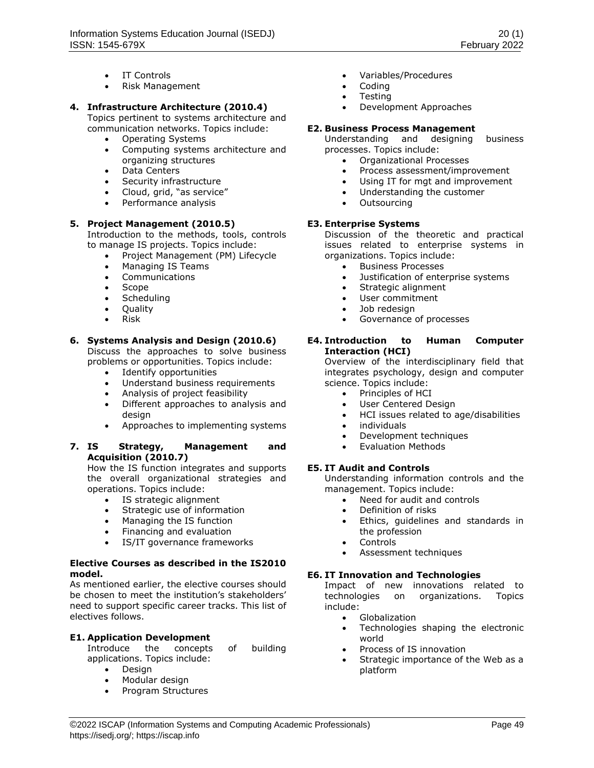- IT Controls
- Risk Management

## **4. Infrastructure Architecture (2010.4)**

Topics pertinent to systems architecture and communication networks. Topics include:

- Operating Systems
- Computing systems architecture and organizing structures
- Data Centers
- Security infrastructure
- Cloud, grid, "as service"
- Performance analysis

### **5. Project Management (2010.5)**

Introduction to the methods, tools, controls to manage IS projects. Topics include:

- Project Management (PM) Lifecycle
- Managing IS Teams
- Communications
- Scope
- Scheduling
- Quality
- Risk

### **6. Systems Analysis and Design (2010.6)**

Discuss the approaches to solve business problems or opportunities. Topics include:

- Identify opportunities
- Understand business requirements
- Analysis of project feasibility
- Different approaches to analysis and desian
- Approaches to implementing systems

### **7. IS Strategy, Management and Acquisition (2010.7)**

How the IS function integrates and supports the overall organizational strategies and operations. Topics include:

- IS strategic alignment
- Strategic use of information
- Managing the IS function
- Financing and evaluation
- IS/IT governance frameworks

### **Elective Courses as described in the IS2010 model.**

As mentioned earlier, the elective courses should be chosen to meet the institution's stakeholders' need to support specific career tracks. This list of electives follows.

### **E1. Application Development**

Introduce the concepts of building applications. Topics include:

- Design
- Modular design<br>• Program Structu
- Program Structures
- Variables/Procedures
- Coding
- **Testing**
- Development Approaches

### **E2. Business Process Management**

Understanding and designing business processes. Topics include:

- Organizational Processes
- Process assessment/improvement
- Using IT for mgt and improvement
- Understanding the customer
- **Outsourcing**

### **E3. Enterprise Systems**

Discussion of the theoretic and practical issues related to enterprise systems in organizations. Topics include:

- Business Processes
- Justification of enterprise systems
- Strategic alignment
- User commitment
- Job redesign
- Governance of processes

### **E4. Introduction to Human Computer Interaction (HCI)**

Overview of the interdisciplinary field that integrates psychology, design and computer science. Topics include:

- Principles of HCI
- User Centered Design
- HCI issues related to age/disabilities
- individuals
- Development techniques
- Evaluation Methods

## **E5. IT Audit and Controls**

Understanding information controls and the management. Topics include:

- Need for audit and controls
- Definition of risks
- Ethics, guidelines and standards in the profession
- **Controls**
- Assessment techniques

### **E6. IT Innovation and Technologies**

Impact of new innovations related to technologies on organizations. Topics include:

- Globalization
- Technologies shaping the electronic world
- Process of IS innovation
- Strategic importance of the Web as a platform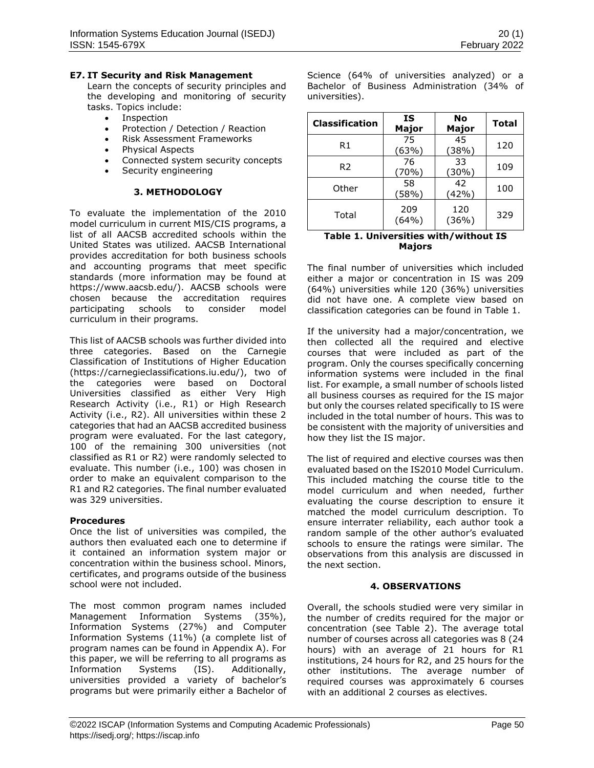### **E7. IT Security and Risk Management**

Learn the concepts of security principles and the developing and monitoring of security tasks. Topics include:

- **Inspection**
- Protection / Detection / Reaction
- Risk Assessment Frameworks
- Physical Aspects
- Connected system security concepts
- Security engineering

### **3. METHODOLOGY**

To evaluate the implementation of the 2010 model curriculum in current MIS/CIS programs, a list of all AACSB accredited schools within the United States was utilized. AACSB International provides accreditation for both business schools and accounting programs that meet specific standards (more information may be found at [https://www.aacsb.edu/\)](https://www.aacsb.edu/). AACSB schools were chosen because the accreditation requires participating schools to consider model curriculum in their programs.

This list of AACSB schools was further divided into three categories. Based on the Carnegie Classification of Institutions of Higher Education [\(https://carnegieclassifications.iu.edu/\)](https://carnegieclassifications.iu.edu/), two of the categories were based on Doctoral Universities classified as either Very High Research Activity (i.e., R1) or High Research Activity (i.e., R2). All universities within these 2 categories that had an AACSB accredited business program were evaluated. For the last category, 100 of the remaining 300 universities (not classified as R1 or R2) were randomly selected to evaluate. This number (i.e., 100) was chosen in order to make an equivalent comparison to the R1 and R2 categories. The final number evaluated was 329 universities.

### **Procedures**

Once the list of universities was compiled, the authors then evaluated each one to determine if it contained an information system major or concentration within the business school. Minors, certificates, and programs outside of the business school were not included.

The most common program names included Management Information Systems (35%), Information Systems (27%) and Computer Information Systems (11%) (a complete list of program names can be found in Appendix A). For this paper, we will be referring to all programs as Information Systems (IS). Additionally, universities provided a variety of bachelor's programs but were primarily either a Bachelor of

Science (64% of universities analyzed) or a Bachelor of Business Administration (34% of universities).

| 45<br>75<br>120<br>R1<br>(38%)<br>(63%)<br>33<br>76<br>R <sub>2</sub><br>109<br>$(30\%)$<br>70%)<br>42<br>58<br>Other<br>100<br>(42%)<br>(58%)<br>209<br>120<br>329<br>Total | <b>Classification</b> | IS<br>Major | No<br>Major | <b>Total</b> |
|------------------------------------------------------------------------------------------------------------------------------------------------------------------------------|-----------------------|-------------|-------------|--------------|
|                                                                                                                                                                              |                       |             |             |              |
|                                                                                                                                                                              |                       |             |             |              |
|                                                                                                                                                                              |                       |             |             |              |
|                                                                                                                                                                              |                       | (64%)       | (36%)       |              |

### **Table 1. Universities with/without IS Majors**

The final number of universities which included either a major or concentration in IS was 209 (64%) universities while 120 (36%) universities did not have one. A complete view based on classification categories can be found in Table 1.

If the university had a major/concentration, we then collected all the required and elective courses that were included as part of the program. Only the courses specifically concerning information systems were included in the final list. For example, a small number of schools listed all business courses as required for the IS major but only the courses related specifically to IS were included in the total number of hours. This was to be consistent with the majority of universities and how they list the IS major.

The list of required and elective courses was then evaluated based on the IS2010 Model Curriculum. This included matching the course title to the model curriculum and when needed, further evaluating the course description to ensure it matched the model curriculum description. To ensure interrater reliability, each author took a random sample of the other author's evaluated schools to ensure the ratings were similar. The observations from this analysis are discussed in the next section.

### **4. OBSERVATIONS**

Overall, the schools studied were very similar in the number of credits required for the major or concentration (see Table 2). The average total number of courses across all categories was 8 (24 hours) with an average of 21 hours for R1 institutions, 24 hours for R2, and 25 hours for the other institutions. The average number of required courses was approximately 6 courses with an additional 2 courses as electives.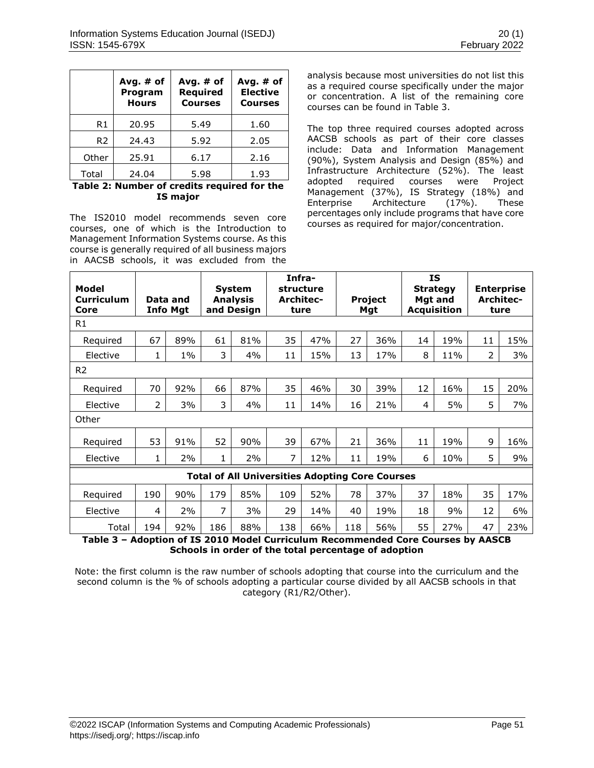|                | Avg. $#$ of<br>Program<br><b>Hours</b> | Avg. $#$ of<br><b>Required</b><br><b>Courses</b> | Avg. $#$ of<br><b>Elective</b><br><b>Courses</b> |
|----------------|----------------------------------------|--------------------------------------------------|--------------------------------------------------|
| R1             | 20.95                                  | 5.49                                             | 1.60                                             |
| R <sub>2</sub> | 5.92<br>24.43                          |                                                  | 2.05                                             |
| Other          | 25.91                                  | 6.17                                             | 2.16                                             |
| Total          | 24.04                                  | 5.98                                             | 1.93                                             |

**Table 2: Number of credits required for the IS major**

The IS2010 model recommends seven core courses, one of which is the Introduction to Management Information Systems course. As this course is generally required of all business majors in AACSB schools, it was excluded from the analysis because most universities do not list this as a required course specifically under the major or concentration. A list of the remaining core courses can be found in Table 3.

The top three required courses adopted across AACSB schools as part of their core classes include: Data and Information Management (90%), System Analysis and Design (85%) and Infrastructure Architecture (52%). The least adopted required courses were Project Management (37%), IS Strategy (18%) and Enterprise Architecture (17%). These percentages only include programs that have core courses as required for major/concentration.

| Model<br><b>Curriculum</b><br>Core                     | Data and<br><b>Info Mgt</b> |       |                     |          |     |     |     | <b>System</b><br><b>Analysis</b><br>and Design | Infra-<br>structure<br>Architec-<br>ture |     |                            | <b>Project</b><br>Mgt |  | <b>IS</b><br><b>Strategy</b><br>Mgt and<br><b>Acquisition</b> |  | <b>Enterprise</b><br><b>Architec-</b><br>ture |
|--------------------------------------------------------|-----------------------------|-------|---------------------|----------|-----|-----|-----|------------------------------------------------|------------------------------------------|-----|----------------------------|-----------------------|--|---------------------------------------------------------------|--|-----------------------------------------------|
| R1                                                     |                             |       |                     |          |     |     |     |                                                |                                          |     |                            |                       |  |                                                               |  |                                               |
| Required                                               | 67                          | 89%   | 61                  | 81%      | 35  | 47% | 27  | 36%                                            | 14                                       | 19% | 11                         | 15%                   |  |                                                               |  |                                               |
| Elective                                               | 1                           | $1\%$ | 3                   | 4%       | 11  | 15% | 13  | 17%                                            | 8                                        | 11% | $\overline{2}$             | 3%                    |  |                                                               |  |                                               |
| R <sub>2</sub>                                         |                             |       |                     |          |     |     |     |                                                |                                          |     |                            |                       |  |                                                               |  |                                               |
| Required                                               | 70                          | 92%   | 66                  | 87%      | 35  | 46% | 30  | 39%                                            | 12                                       | 16% | 15                         | 20%                   |  |                                                               |  |                                               |
| Elective                                               | 2                           | 3%    | 3                   | 4%       | 11  | 14% | 16  | 21%                                            | 4                                        | 5%  | 5                          | 7%                    |  |                                                               |  |                                               |
| Other                                                  |                             |       |                     |          |     |     |     |                                                |                                          |     |                            |                       |  |                                                               |  |                                               |
| Required                                               | 53                          | 91%   | 52                  | 90%      | 39  | 67% | 21  | 36%                                            | 11                                       | 19% | 9                          | 16%                   |  |                                                               |  |                                               |
| Elective                                               | 1                           | 2%    | 1                   | 2%       | 7   | 12% | 11  | 19%                                            | 6                                        | 10% | 5                          | 9%                    |  |                                                               |  |                                               |
| <b>Total of All Universities Adopting Core Courses</b> |                             |       |                     |          |     |     |     |                                                |                                          |     |                            |                       |  |                                                               |  |                                               |
| Required                                               | 190                         | 90%   | 179                 | 85%      | 109 | 52% | 78  | 37%                                            | 37                                       | 18% | 35                         | 17%                   |  |                                                               |  |                                               |
| Elective                                               | 4                           | 2%    | $\overline{7}$      | 3%       | 29  | 14% | 40  | 19%                                            | 18                                       | 9%  | 12                         | 6%                    |  |                                                               |  |                                               |
| Total<br>-<br>. .                                      | 194                         | 92%   | 186<br>2.77.0848.14 | 88%<br>. | 138 | 66% | 118 | 56%<br>.                                       | 55                                       | 27% | 47<br>$\ddot{\phantom{a}}$ | 23%                   |  |                                                               |  |                                               |

**Table 3 – Adoption of IS 2010 Model Curriculum Recommended Core Courses by AASCB Schools in order of the total percentage of adoption**

Note: the first column is the raw number of schools adopting that course into the curriculum and the second column is the % of schools adopting a particular course divided by all AACSB schools in that category (R1/R2/Other).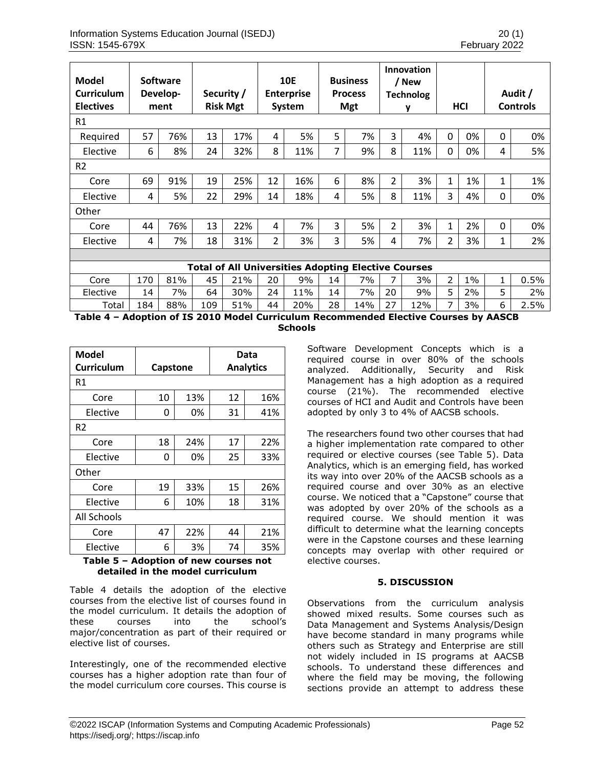| Model<br><b>Curriculum</b><br><b>Electives</b>             |     | <b>Software</b><br>Develop-<br>ment |     | Security /<br><b>Risk Mgt</b> |    | <b>10E</b><br><b>Enterprise</b><br>System |    | <b>Business</b><br><b>Process</b><br><b>Mgt</b> |                | <b>Innovation</b><br>/ New<br><b>Technolog</b><br>у |          | HCI   |              | Audit /<br><b>Controls</b> |
|------------------------------------------------------------|-----|-------------------------------------|-----|-------------------------------|----|-------------------------------------------|----|-------------------------------------------------|----------------|-----------------------------------------------------|----------|-------|--------------|----------------------------|
| R <sub>1</sub>                                             |     |                                     |     |                               |    |                                           |    |                                                 |                |                                                     |          |       |              |                            |
| Required                                                   | 57  | 76%                                 | 13  | 17%                           | 4  | 5%                                        | 5  | 7%                                              | 3              | 4%                                                  | $\Omega$ | 0%    | 0            | 0%                         |
| Elective                                                   | 6   | 8%                                  | 24  | 32%                           | 8  | 11%                                       | 7  | 9%                                              | 8              | 11%                                                 | 0        | 0%    | 4            | 5%                         |
| R <sub>2</sub>                                             |     |                                     |     |                               |    |                                           |    |                                                 |                |                                                     |          |       |              |                            |
| Core                                                       | 69  | 91%                                 | 19  | 25%                           | 12 | 16%                                       | 6  | 8%                                              | $\overline{2}$ | 3%                                                  | 1        | 1%    | $\mathbf{1}$ | 1%                         |
| Elective                                                   | 4   | 5%                                  | 22  | 29%                           | 14 | 18%                                       | 4  | 5%                                              | 8              | 11%                                                 | 3        | 4%    | 0            | 0%                         |
| Other                                                      |     |                                     |     |                               |    |                                           |    |                                                 |                |                                                     |          |       |              |                            |
| Core                                                       | 44  | 76%                                 | 13  | 22%                           | 4  | 7%                                        | 3  | 5%                                              | $\overline{2}$ | 3%                                                  | 1        | 2%    | 0            | 0%                         |
| Elective                                                   | 4   | 7%                                  | 18  | 31%                           | 2  | 3%                                        | 3  | 5%                                              | 4              | 7%                                                  | 2        | 3%    | 1            | 2%                         |
|                                                            |     |                                     |     |                               |    |                                           |    |                                                 |                |                                                     |          |       |              |                            |
| <b>Total of All Universities Adopting Elective Courses</b> |     |                                     |     |                               |    |                                           |    |                                                 |                |                                                     |          |       |              |                            |
| Core                                                       | 170 | 81%                                 | 45  | 21%                           | 20 | 9%                                        | 14 | 7%                                              | 7              | 3%                                                  | 2        | $1\%$ | 1            | 0.5%                       |
| Elective                                                   | 14  | 7%                                  | 64  | 30%                           | 24 | 11%                                       | 14 | 7%                                              | 20             | 9%                                                  | 5        | 2%    | 5            | 2%                         |
| Total                                                      | 184 | 88%                                 | 109 | 51%                           | 44 | 20%                                       | 28 | 14%                                             | 27             | 12%                                                 | 7        | 3%    | 6            | 2.5%                       |

**Table 4 – Adoption of IS 2010 Model Curriculum Recommended Elective Courses by AASCB Schools**

| Model<br>Curriculum | Capstone |     |    | Data<br><b>Analytics</b> |
|---------------------|----------|-----|----|--------------------------|
| R1                  |          |     |    |                          |
| Core                | 10       | 13% | 12 | 16%                      |
| Elective            | 0        | 0%  | 31 | 41%                      |
| R2                  |          |     |    |                          |
| Core                | 18       | 24% | 17 | 22%                      |
| Elective            | 0        | 0%  | 25 | 33%                      |
| Other               |          |     |    |                          |
| Core                | 19       | 33% | 15 | 26%                      |
| Elective            | 6        | 10% | 18 | 31%                      |
| All Schools         |          |     |    |                          |
| Core                | 47       | 22% | 44 | 21%                      |
| Elective            | 6        | 3%  | 74 | 35%                      |

### **Table 5 – Adoption of new courses not detailed in the model curriculum**

Table 4 details the adoption of the elective courses from the elective list of courses found in the model curriculum. It details the adoption of these courses into the school's major/concentration as part of their required or elective list of courses.

Interestingly, one of the recommended elective courses has a higher adoption rate than four of the model curriculum core courses. This course is Software Development Concepts which is a required course in over 80% of the schools analyzed. Additionally, Security and Risk Management has a high adoption as a required course (21%). The recommended elective courses of HCI and Audit and Controls have been adopted by only 3 to 4% of AACSB schools.

The researchers found two other courses that had a higher implementation rate compared to other required or elective courses (see Table 5). Data Analytics, which is an emerging field, has worked its way into over 20% of the AACSB schools as a required course and over 30% as an elective course. We noticed that a "Capstone" course that was adopted by over 20% of the schools as a required course. We should mention it was difficult to determine what the learning concepts were in the Capstone courses and these learning concepts may overlap with other required or elective courses.

# **5. DISCUSSION**

Observations from the curriculum analysis showed mixed results. Some courses such as Data Management and Systems Analysis/Design have become standard in many programs while others such as Strategy and Enterprise are still not widely included in IS programs at AACSB schools. To understand these differences and where the field may be moving, the following sections provide an attempt to address these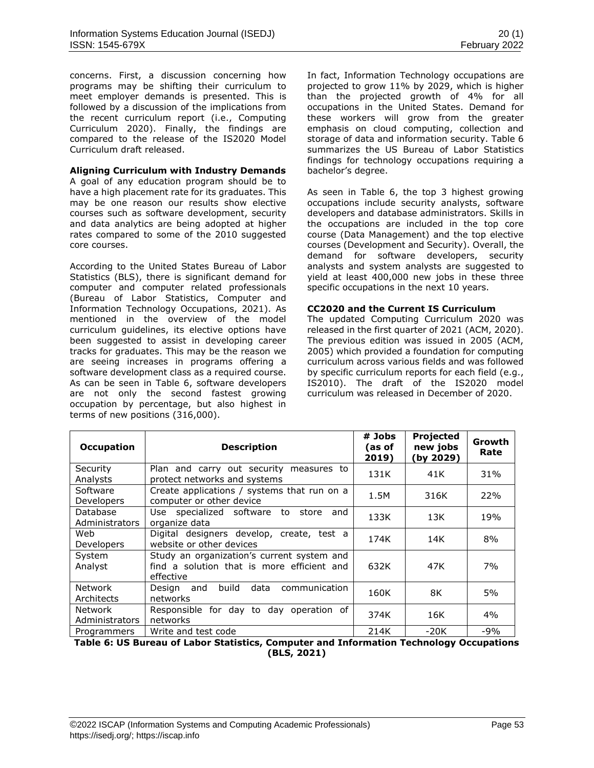concerns. First, a discussion concerning how programs may be shifting their curriculum to meet employer demands is presented. This is followed by a discussion of the implications from the recent curriculum report (i.e., Computing Curriculum 2020). Finally, the findings are compared to the release of the IS2020 Model Curriculum draft released.

### **Aligning Curriculum with Industry Demands**

A goal of any education program should be to have a high placement rate for its graduates. This may be one reason our results show elective courses such as software development, security and data analytics are being adopted at higher rates compared to some of the 2010 suggested core courses.

According to the United States Bureau of Labor Statistics (BLS), there is significant demand for computer and computer related professionals (Bureau of Labor Statistics, Computer and Information Technology Occupations, 2021). As mentioned in the overview of the model curriculum guidelines, its elective options have been suggested to assist in developing career tracks for graduates. This may be the reason we are seeing increases in programs offering a software development class as a required course. As can be seen in Table 6, software developers are not only the second fastest growing occupation by percentage, but also highest in terms of new positions (316,000).

In fact, Information Technology occupations are projected to grow 11% by 2029, which is higher than the projected growth of 4% for all occupations in the United States. Demand for these workers will grow from the greater emphasis on cloud computing, collection and storage of data and information security. Table 6 summarizes the US Bureau of Labor Statistics findings for technology occupations requiring a bachelor's degree.

As seen in Table 6, the top 3 highest growing occupations include security analysts, software developers and database administrators. Skills in the occupations are included in the top core course (Data Management) and the top elective courses (Development and Security). Overall, the demand for software developers, security analysts and system analysts are suggested to yield at least 400,000 new jobs in these three specific occupations in the next 10 years.

### **CC2020 and the Current IS Curriculum**

The updated Computing Curriculum 2020 was released in the first quarter of 2021 (ACM, 2020). The previous edition was issued in 2005 (ACM, 2005) which provided a foundation for computing curriculum across various fields and was followed by specific curriculum reports for each field (e.g., IS2010). The draft of the IS2020 model curriculum was released in December of 2020.

| Occupation                       | <b>Description</b>                                                                                    | # Jobs<br>(as of<br>2019) | Projected<br>new jobs<br>(by 2029) | Growth<br>Rate |
|----------------------------------|-------------------------------------------------------------------------------------------------------|---------------------------|------------------------------------|----------------|
| Security<br>Analysts             | Plan and carry out security measures to<br>protect networks and systems                               | 131K                      | 41K                                | 31%            |
| Software<br>Developers           | Create applications / systems that run on a<br>computer or other device                               | 1.5M                      | 316K                               | 22%            |
| Database<br>Administrators       | Use specialized software to store<br>and<br>organize data                                             | 133K                      | 13K                                | 19%            |
| Web<br>Developers                | Digital designers develop, create, test a<br>website or other devices                                 | 174K                      | 14K                                | 8%             |
| System<br>Analyst                | Study an organization's current system and<br>find a solution that is more efficient and<br>effective | 632K                      | 47K                                | 7%             |
| Network<br>Architects            | communication<br>build<br>data<br>Desian<br>and<br>networks                                           | 160K                      | 8K                                 | 5%             |
| <b>Network</b><br>Administrators | Responsible for day to day operation of<br>networks                                                   | 374K                      | 16K                                | 4%             |
| Programmers                      | Write and test code<br>$\sim$ $\sim$                                                                  | 214K                      | -20K                               | $-9%$          |

**Table 6: US Bureau of Labor Statistics, Computer and Information Technology Occupations (BLS, 2021)**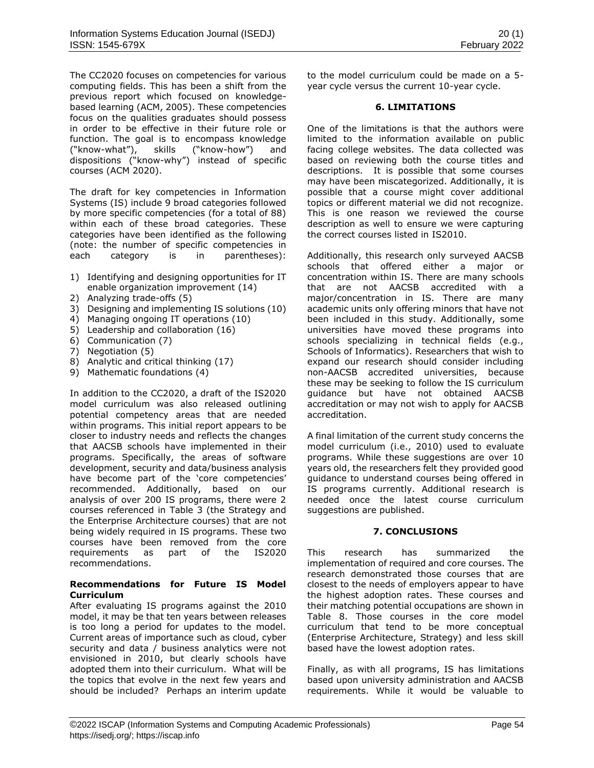The CC2020 focuses on competencies for various computing fields. This has been a shift from the previous report which focused on knowledgebased learning (ACM, 2005). These competencies focus on the qualities graduates should possess in order to be effective in their future role or function. The goal is to encompass knowledge ("know-what"), skills ("know-how") and dispositions ("know-why") instead of specific courses (ACM 2020).

The draft for key competencies in Information Systems (IS) include 9 broad categories followed by more specific competencies (for a total of 88) within each of these broad categories. These categories have been identified as the following (note: the number of specific competencies in each category is in parentheses):

- 1) Identifying and designing opportunities for IT enable organization improvement (14)
- 2) Analyzing trade-offs (5)
- 3) Designing and implementing IS solutions (10)
- 4) Managing ongoing IT operations (10)
- 5) Leadership and collaboration (16)
- 6) Communication (7)
- 7) Negotiation (5)
- 8) Analytic and critical thinking (17)
- 9) Mathematic foundations (4)

In addition to the CC2020, a draft of the IS2020 model curriculum was also released outlining potential competency areas that are needed within programs. This initial report appears to be closer to industry needs and reflects the changes that AACSB schools have implemented in their programs. Specifically, the areas of software development, security and data/business analysis have become part of the 'core competencies' recommended. Additionally, based on our analysis of over 200 IS programs, there were 2 courses referenced in Table 3 (the Strategy and the Enterprise Architecture courses) that are not being widely required in IS programs. These two courses have been removed from the core requirements as part of the IS2020 recommendations.

# **Recommendations for Future IS Model Curriculum**

After evaluating IS programs against the 2010 model, it may be that ten years between releases is too long a period for updates to the model. Current areas of importance such as cloud, cyber security and data / business analytics were not envisioned in 2010, but clearly schools have adopted them into their curriculum. What will be the topics that evolve in the next few years and should be included? Perhaps an interim update to the model curriculum could be made on a 5 year cycle versus the current 10-year cycle.

### **6. LIMITATIONS**

One of the limitations is that the authors were limited to the information available on public facing college websites. The data collected was based on reviewing both the course titles and descriptions. It is possible that some courses may have been miscategorized. Additionally, it is possible that a course might cover additional topics or different material we did not recognize. This is one reason we reviewed the course description as well to ensure we were capturing the correct courses listed in IS2010.

Additionally, this research only surveyed AACSB schools that offered either a major or concentration within IS. There are many schools that are not AACSB accredited with a major/concentration in IS. There are many academic units only offering minors that have not been included in this study. Additionally, some universities have moved these programs into schools specializing in technical fields (e.g., Schools of Informatics). Researchers that wish to expand our research should consider including non-AACSB accredited universities, because these may be seeking to follow the IS curriculum guidance but have not obtained AACSB accreditation or may not wish to apply for AACSB accreditation.

A final limitation of the current study concerns the model curriculum (i.e., 2010) used to evaluate programs. While these suggestions are over 10 years old, the researchers felt they provided good guidance to understand courses being offered in IS programs currently. Additional research is needed once the latest course curriculum suggestions are published.

### **7. CONCLUSIONS**

This research has summarized the implementation of required and core courses. The research demonstrated those courses that are closest to the needs of employers appear to have the highest adoption rates. These courses and their matching potential occupations are shown in Table 8. Those courses in the core model curriculum that tend to be more conceptual (Enterprise Architecture, Strategy) and less skill based have the lowest adoption rates.

Finally, as with all programs, IS has limitations based upon university administration and AACSB requirements. While it would be valuable to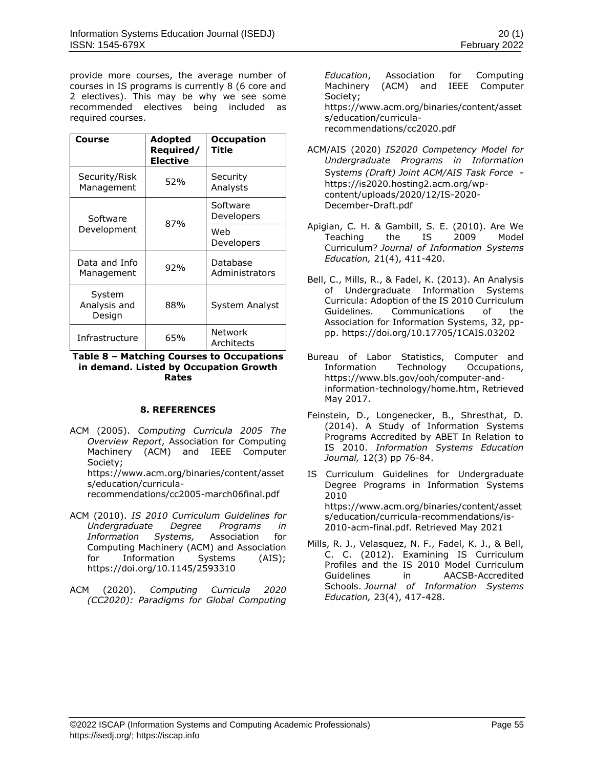provide more courses, the average number of courses in IS programs is currently 8 (6 core and 2 electives). This may be why we see some recommended electives being included as required courses.

| Course                           | Adopted<br>Required/<br><b>Elective</b> | <b>Occupation</b><br>Title |
|----------------------------------|-----------------------------------------|----------------------------|
| Security/Risk<br>Management      | 52%                                     | Security<br>Analysts       |
| Software                         | 87%                                     | Software<br>Developers     |
| Development                      |                                         | Web<br>Developers          |
| Data and Info<br>Management      | 92%                                     | Database<br>Administrators |
| System<br>Analysis and<br>Design | 88%                                     | System Analyst             |
| Infrastructure                   | 65%                                     | Network<br>Architects      |

### **Table 8 – Matching Courses to Occupations in demand. Listed by Occupation Growth Rates**

# **8. REFERENCES**

- ACM (2005). *[Computing Curricula 2005 The](https://www.acm.org/binaries/content/assets/education/curricula-recommendations/cc2020.pdf)  [Overview Report](https://www.acm.org/binaries/content/assets/education/curricula-recommendations/cc2020.pdf)*, Association for Computing Machinery (ACM) and IEEE Computer Society; [https://www.acm.org/binaries/content/asset](https://www.acm.org/binaries/content/assets/education/curricula-recommendations/cc2005-march06final.pdf) [s/education/curricula](https://www.acm.org/binaries/content/assets/education/curricula-recommendations/cc2005-march06final.pdf)[recommendations/cc2005-march06final.pdf](https://www.acm.org/binaries/content/assets/education/curricula-recommendations/cc2005-march06final.pdf)
- ACM (2010). *IS 2010 Curriculum Guidelines for Undergraduate Degree Programs in Information Systems,* Association for Computing Machinery (ACM) and Association for Information Systems (AIS); <https://doi.org/10.1145/2593310>
- ACM (2020). *[Computing Curricula 2020](https://www.acm.org/binaries/content/assets/education/curricula-recommendations/cc2020.pdf)  [\(CC2020\): Paradigms for Global Computing](https://www.acm.org/binaries/content/assets/education/curricula-recommendations/cc2020.pdf)*

*[Education](https://www.acm.org/binaries/content/assets/education/curricula-recommendations/cc2020.pdf)*, Association for Computing Machinery (ACM) and IEEE Computer Society; [https://www.acm.org/binaries/content/asset](https://www.acm.org/binaries/content/assets/education/curricula-recommendations/cc2020.pdf) [s/education/curricula](https://www.acm.org/binaries/content/assets/education/curricula-recommendations/cc2020.pdf)[recommendations/cc2020.pdf](https://www.acm.org/binaries/content/assets/education/curricula-recommendations/cc2020.pdf)

ACM/AIS (2020) *IS2020 Competency Model for Undergraduate Programs in Information* Sys*tems (Draft) Joint ACM/AIS Task Force*  https://is2020.hosting2.acm.org/wpcontent/uploads/2020/12/IS-2020- December-Draft.pdf

- Apigian, C. H. & Gambill, S. E. (2010). Are We Teaching the IS 2009 Model Curriculum? *Journal of Information Systems Education,* 21(4), 411-420.
- Bell, C., Mills, R., & Fadel, K. (2013). An Analysis of Undergraduate Information Systems Curricula: Adoption of the IS 2010 Curriculum Guidelines. Communications of the Association for Information Systems, 32, pppp. <https://doi.org/10.17705/1CAIS.03202>
- Bureau of Labor Statistics, Computer and Information Technology Occupations, [https://www.bls.gov/ooh/computer-and](https://www.bls.gov/ooh/computer-and-information-technology/home.htm)[information-technology/home.htm,](https://www.bls.gov/ooh/computer-and-information-technology/home.htm) Retrieved May 2017.
- Feinstein, D., Longenecker, B., Shresthat, D. (2014). A Study of Information Systems Programs Accredited by ABET In Relation to IS 2010. *Information Systems Education Journal,* 12(3) pp 76-84.
- IS Curriculum Guidelines for Undergraduate Degree Programs in Information Systems 2010 [https://www.acm.org/binaries/content/asset](https://www.acm.org/binaries/content/assets/education/curricula-recommendations/is-2010-acm-final.pdf.%20Retrieved) [s/education/curricula-recommendations/is-](https://www.acm.org/binaries/content/assets/education/curricula-recommendations/is-2010-acm-final.pdf.%20Retrieved)[2010-acm-final.pdf. Retrieved](https://www.acm.org/binaries/content/assets/education/curricula-recommendations/is-2010-acm-final.pdf.%20Retrieved) May 2021
- Mills, R. J., Velasquez, N. F., Fadel, K. J., & Bell, C. C. (2012). Examining IS Curriculum Profiles and the IS 2010 Model Curriculum Guidelines in AACSB-Accredited Schools. *Journal of Information Systems Education,* 23(4), 417-428.